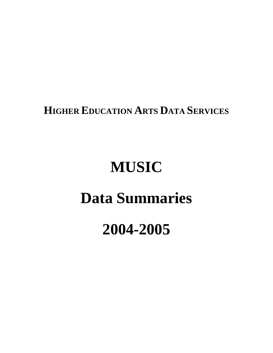**HIGHER EDUCATION ARTS DATA SERVICES**

# **MUSIC**

## **Data Summaries**

## **2004-2005**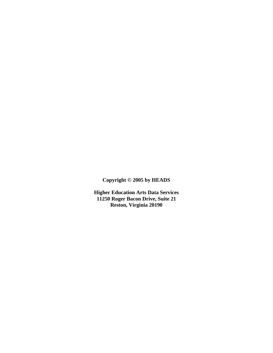**Copyright © 2005 by HEADS**

**Higher Education Arts Data Services 11250 Roger Bacon Drive, Suite 21 Reston, Virginia 20190**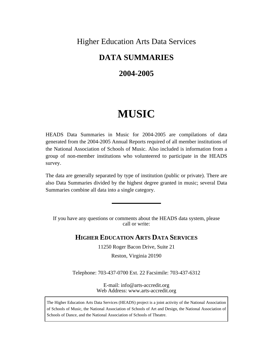## Higher Education Arts Data Services

## **DATA SUMMARIES**

## **2004-2005**

## **MUSIC**

HEADS Data Summaries in Music for 2004-2005 are compilations of data generated from the 2004-2005 Annual Reports required of all member institutions of the National Association of Schools of Music. Also included is information from a group of non-member institutions who volunteered to participate in the HEADS survey.

The data are generally separated by type of institution (public or private). There are also Data Summaries divided by the highest degree granted in music; several Data Summaries combine all data into a single category.

If you have any questions or comments about the HEADS data system, please call or write:

### **HIGHER EDUCATION ARTS DATA SERVICES**

11250 Roger Bacon Drive, Suite 21

Reston, Virginia 20190

Telephone: 703-437-0700 Ext. 22 Facsimile: 703-437-6312

E-mail: info@arts-accredit.org Web Address: www.arts-accredit.org

The Higher Education Arts Data Services (HEADS) project is a joint activity of the National Association of Schools of Music, the National Association of Schools of Art and Design, the National Association of Schools of Dance, and the National Association of Schools of Theatre.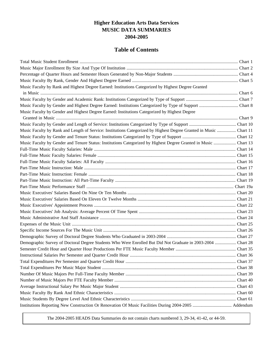## **Higher Education Arts Data Services MUSIC DATA SUMMARIES 2004-2005**

## **Table of Contents**

| Music Faculty by Rank and Highest Degree Earned: Institutions Categorized by Highest Degree Granted                |  |
|--------------------------------------------------------------------------------------------------------------------|--|
|                                                                                                                    |  |
|                                                                                                                    |  |
|                                                                                                                    |  |
| Music Faculty by Gender and Highest Degree Earned: Institutions Categorized by Highest Degree                      |  |
|                                                                                                                    |  |
|                                                                                                                    |  |
| Music Faculty by Rank and Length of Service: Institutions Categorized by Highest Degree Granted in Music  Chart 11 |  |
|                                                                                                                    |  |
| Music Faculty by Gender and Tenure Status: Institutions Categorized by Highest Degree Granted in Music  Chart 13   |  |
|                                                                                                                    |  |
|                                                                                                                    |  |
|                                                                                                                    |  |
|                                                                                                                    |  |
|                                                                                                                    |  |
|                                                                                                                    |  |
|                                                                                                                    |  |
|                                                                                                                    |  |
|                                                                                                                    |  |
|                                                                                                                    |  |
|                                                                                                                    |  |
|                                                                                                                    |  |
|                                                                                                                    |  |
|                                                                                                                    |  |
|                                                                                                                    |  |
| Demographic Survey of Doctoral Degree Students Who Were Enrolled But Did Not Graduate in 2003-2004  Chart 28       |  |
|                                                                                                                    |  |
|                                                                                                                    |  |
|                                                                                                                    |  |
|                                                                                                                    |  |
|                                                                                                                    |  |
|                                                                                                                    |  |
|                                                                                                                    |  |
|                                                                                                                    |  |
|                                                                                                                    |  |
|                                                                                                                    |  |

The 2004-2005 HEADS Data Summaries do not contain charts numbered 3, 29-34, 41-42, or 44-59.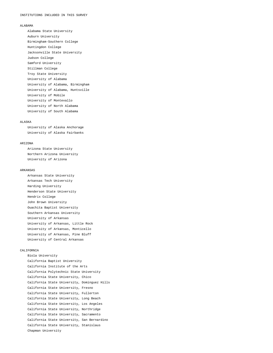#### ALABAMA

 Alabama State University Auburn University Birmingham-Southern College Huntingdon College Jacksonville State University Judson College Samford University Stillman College Troy State University University of Alabama University of Alabama, Birmingham University of Alabama, Huntsville University of Mobile University of Montevallo University of North Alabama University of South Alabama

#### ALASKA

 University of Alaska Anchorage University of Alaska Fairbanks

#### ARIZONA

 Arizona State University Northern Arizona University University of Arizona

#### ARKANSAS

 Arkansas State University Arkansas Tech University Harding University Henderson State University Hendrix College John Brown University Ouachita Baptist University Southern Arkansas University University of Arkansas University of Arkansas, Little Rock University of Arkansas, Monticello University of Arkansas, Pine Bluff University of Central Arkansas

#### CALIFORNIA

 Biola University California Baptist University California Institute of the Arts California Polytechnic State University California State University, Chico California State University, Dominguez Hills California State University, Fresno California State University, Fullerton California State University, Long Beach California State University, Los Angeles California State University, Northridge California State University, Sacramento California State University, San Bernardino California State University, Stanislaus Chapman University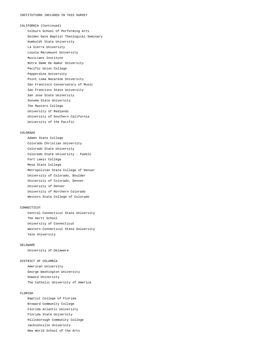CALIFORNIA (Continued) Colburn School of Performing Arts Golden Gate Baptist Theological Seminary Humboldt State University La Sierra University Loyola Marymount University Musicians Institute Notre Dame De Namur University Pacific Union College Pepperdine University Point Loma Nazarene University San Francisco Conservatory of Music San Francisco State University San Jose State University Sonoma State University The Masters College University of Redlands University of Southern California University of the Pacific

#### COLORADO

 Adams State College Colorado Christian University Colorado State University Colorado State University - Pueblo Fort Lewis College Mesa State College Metropolitan State College of Denver University of Colorado, Boulder University of Colorado, Denver University of Denver University of Northern Colorado Western State College of Colorado

#### CONNECTICUT

 Central Connecticut State University The Hartt School University of Connecticut Western Connecticut State University Yale University

#### DELAWARE

University of Delaware

#### DISTRICT OF COLUMBIA

 American University George Washington University Howard University The Catholic University of America

#### FLORIDA

 Baptist College of Florida Broward Community College Florida Atlantic University Florida State University Hillsborough Community College Jacksonville University New World School of the Arts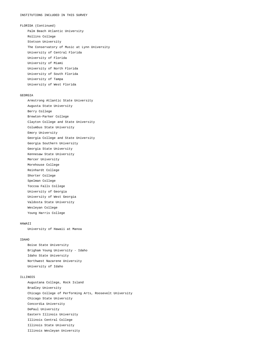FLORIDA (Continued) Palm Beach Atlantic University Rollins College Stetson University The Conservatory of Music at Lynn University University of Central Florida University of Florida University of Miami University of North Florida University of South Florida University of Tampa University of West Florida

#### GEORGIA

 Armstrong Atlantic State University Augusta State University Berry College Brewton-Parker College Clayton College and State University Columbus State University Emory University Georgia College and State University Georgia Southern University Georgia State University Kennesaw State University Mercer University Morehouse College Reinhardt College Shorter College Spelman College Toccoa Falls College University of Georgia University of West Georgia Valdosta State University Wesleyan College Young Harris College

#### HAWAII

University of Hawaii at Manoa

#### IDAHO

 Boise State University Brigham Young University - Idaho Idaho State University Northwest Nazarene University University of Idaho

#### ILLINOIS

 Augustana College, Rock Island Bradley University Chicago College of Performing Arts, Roosevelt University Chicago State University Concordia University DePaul University Eastern Illinois University Illinois Central College Illinois State University Illinois Wesleyan University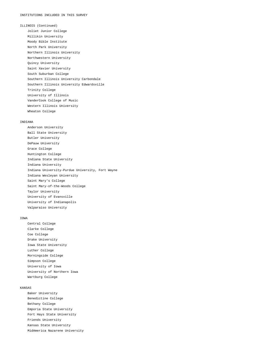ILLINOIS (Continued) Joliet Junior College Millikin University Moody Bible Institute North Park University Northern Illinois University Northwestern University Quincy University Saint Xavier University South Suburban College Southern Illinois University Carbondale Southern Illinois University Edwardsville Trinity College University of Illinois VanderCook College of Music Western Illinois University Wheaton College

#### INDIANA

 Anderson University Ball State University Butler University DePauw University Grace College Huntington College Indiana State University Indiana University Indiana University-Purdue University, Fort Wayne Indiana Wesleyan University Saint Mary's College Saint Mary-of-the-Woods College Taylor University University of Evansville University of Indianapolis Valparaiso University

#### IOWA

 Central College Clarke College Coe College Drake University Iowa State University Luther College Morningside College Simpson College University of Iowa University of Northern Iowa Wartburg College

#### KANSAS

 Baker University Benedictine College Bethany College Emporia State University Fort Hays State University Friends University Kansas State University MidAmerica Nazarene University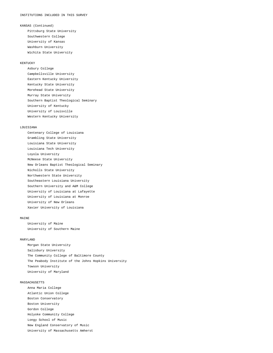KANSAS (Continued)

 Pittsburg State University Southwestern College University of Kansas Washburn University Wichita State University

#### **KENTUCKY**

 Asbury College Campbellsville University Eastern Kentucky University Kentucky State University Morehead State University Murray State University Southern Baptist Theological Seminary University of Kentucky University of Louisville Western Kentucky University

#### LOUISIANA

 Centenary College of Louisiana Grambling State University Louisiana State University Louisiana Tech University Loyola University McNeese State University New Orleans Baptist Theological Seminary Nicholls State University Northwestern State University Southeastern Louisiana University Southern University and A&M College University of Louisiana at Lafayette University of Louisiana at Monroe University of New Orleans Xavier University of Louisiana

#### MATNE

 University of Maine University of Southern Maine

#### MARYLAND

 Morgan State University Salisbury University The Community College of Baltimore County The Peabody Institute of the Johns Hopkins University Towson University University of Maryland

#### MASSACHUSETTS

 Anna Maria College Atlantic Union College Boston Conservatory Boston University Gordon College Holyoke Community College Longy School of Music New England Conservatory of Music University of Massachusetts Amherst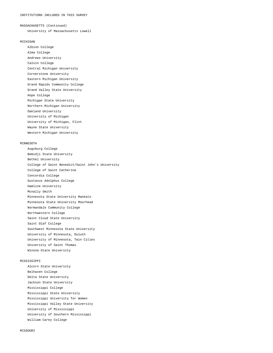#### MASSACHUSETTS (Continued)

University of Massachusetts Lowell

#### MICHIGAN

 Albion College Alma College Andrews University Calvin College Central Michigan University Cornerstone University Eastern Michigan University Grand Rapids Community College Grand Valley State University Hope College Michigan State University Northern Michigan University Oakland University University of Michigan University of Michigan, Flint Wayne State University

Western Michigan University

#### MINNESOTA

 Augsburg College Bemidji State University Bethel University College of Saint Benedict/Saint John's University College of Saint Catherine Concordia College Gustavus Adolphus College Hamline University Mcnally Smith Minnesota State University Mankato Minnesota State University Moorhead Normandale Community College Northwestern College Saint Cloud State University Saint Olaf College Southwest Minnesota State University University of Minnesota, Duluth University of Minnesota, Twin Cities University of Saint Thomas Winona State University

#### MISSISSIPPI

 Alcorn State University Belhaven College Delta State University Jackson State University Mississippi College Mississippi State University Mississippi University for Women Mississippi Valley State University University of Mississippi University of Southern Mississippi William Carey College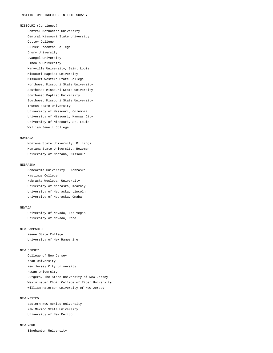MISSOURI (Continued) Central Methodist University Central Missouri State University Cottey College Culver-Stockton College Drury University Evangel University Lincoln University Maryville University, Saint Louis Missouri Baptist University Missouri Western State College Northwest Missouri State University Southeast Missouri State University Southwest Baptist University Southwest Missouri State University Truman State University University of Missouri, Columbia University of Missouri, Kansas City University of Missouri, St. Louis William Jewell College

#### MONTANA

 Montana State University, Billings Montana State University, Bozeman University of Montana, Missoula

#### NEBRASKA

 Concordia University - Nebraska Hastings College Nebraska Wesleyan University University of Nebraska, Kearney University of Nebraska, Lincoln University of Nebraska, Omaha

#### NEVADA

 University of Nevada, Las Vegas University of Nevada, Reno

#### NEW HAMPSHIRE

 Keene State College University of New Hampshire

#### NEW JERSEY

 College of New Jersey Kean University New Jersey City University Rowan University Rutgers, The State University of New Jersey Westminster Choir College of Rider University William Paterson University of New Jersey

#### NEW MEXICO

 Eastern New Mexico University New Mexico State University University of New Mexico

#### NEW YORK

Binghamton University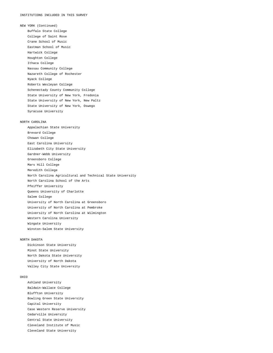NEW YORK (Continued) Buffalo State College College of Saint Rose Crane School of Music Eastman School of Music Hartwick College Houghton College Ithaca College Nassau Community College Nazareth College of Rochester Nyack College Roberts Wesleyan College Schenectady County Community College State University of New York, Fredonia State University of New York, New Paltz State University of New York, Oswego Syracuse University NORTH CAROLINA Appalachian State University Brevard College Chowan College East Carolina University Elizabeth City State University Gardner-Webb University Greensboro College Mars Hill College Meredith College North Carolina Agricultural and Technical State University North Carolina School of the Arts Pfeiffer University

 Queens University of Charlotte Salem College University of North Carolina at Greensboro University of North Carolina at Pembroke University of North Carolina at Wilmington Western Carolina University Wingate University Winston-Salem State University

#### NORTH DAKOTA

 Dickinson State University Minot State University North Dakota State University University of North Dakota Valley City State University

#### OHIO

 Ashland University Baldwin-Wallace College Bluffton University Bowling Green State University Capital University Case Western Reserve University Cedarville University Central State University Cleveland Institute of Music Cleveland State University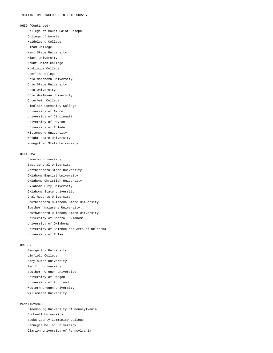OHIO (Continued)

 College of Mount Saint Joseph College of Wooster Heidelberg College Hiram College Kent State University Miami University Mount Union College Muskingum College Oberlin College Ohio Northern University Ohio State University Ohio University Ohio Wesleyan University Otterbein College Sinclair Community College University of Akron University of Cincinnati University of Dayton University of Toledo Wittenberg University Wright State University Youngstown State University

#### OKLAHOMA

 Cameron University East Central University Northeastern State University Oklahoma Baptist University Oklahoma Christian University Oklahoma City University Oklahoma State University Oral Roberts University Southeastern Oklahoma State University Southern Nazarene University Southwestern Oklahoma State University University of Central Oklahoma University of Oklahoma University of Science and Arts of Oklahoma University of Tulsa

#### OREGON

 George Fox University Linfield College Marylhurst University Pacific University Southern Oregon University University of Oregon University of Portland Western Oregon University Willamette University

#### PENNSYLVANIA

 Bloomsburg University of Pennsylvania Bucknell University Bucks County Community College Carnegie Mellon University Clarion University of Pennsylvania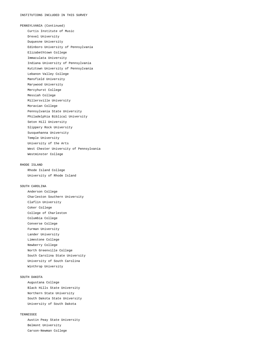PENNSYLVANIA (Continued) Curtis Institute of Music Drexel University Duquesne University Edinboro University of Pennsylvania Elizabethtown College Immaculata University Indiana University of Pennsylvania Kutztown University of Pennsylvania Lebanon Valley College Mansfield University Marywood University Mercyhurst College Messiah College Millersville University Moravian College Pennsylvania State University Philadelphia Biblical University Seton Hill University Slippery Rock University Susquehanna University Temple University University of the Arts West Chester University of Pennsylvania Westminster College

#### RHODE ISLAND

 Rhode Island College University of Rhode Island

#### SOUTH CAROLINA

 Anderson College Charleston Southern University Claflin University Coker College College of Charleston Columbia College Converse College Furman University Lander University Limestone College Newberry College North Greenville College South Carolina State University University of South Carolina Winthrop University

#### SOUTH DAKOTA

 Augustana College Black Hills State University Northern State University South Dakota State University University of South Dakota

#### TENNESSEE

 Austin Peay State University Belmont University Carson-Newman College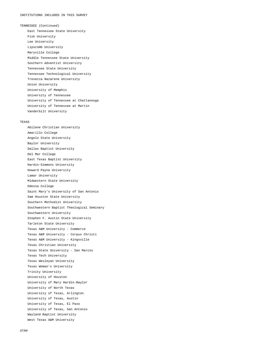TENNESSEE (Continued) East Tennessee State University Fisk University Lee University Lipscomb University Maryville College Middle Tennessee State University Southern Adventist University Tennessee State University Tennessee Technological University Trevecca Nazarene University Union University University of Memphis University of Tennessee University of Tennessee at Chattanooga University of Tennessee at Martin Vanderbilt University

#### TEXAS

 Abilene Christian University Amarillo College Angelo State University Baylor University Dallas Baptist University Del Mar College East Texas Baptist University Hardin-Simmons University Howard Payne University Lamar University Midwestern State University Odessa College Saint Mary's University of San Antonio Sam Houston State University Southern Methodist University Southwestern Baptist Theological Seminary Southwestern University Stephen F. Austin State University Tarleton State University Texas A&M University - Commerce Texas A&M University - Corpus Christi Texas A&M University - Kingsville Texas Christian University Texas State University - San Marcos Texas Tech University Texas Wesleyan University Texas Woman's University Trinity University University of Houston University of Mary Hardin-Baylor University of North Texas University of Texas, Arlington University of Texas, Austin University of Texas, El Paso University of Texas, San Antonio Wayland Baptist University West Texas A&M University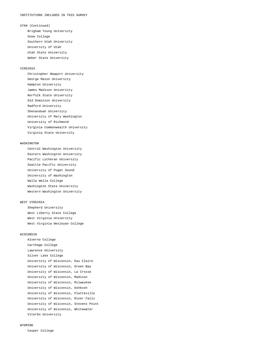UTAH (Continued)

 Brigham Young University Snow College Southern Utah University University of Utah Utah State University Weber State University

#### VIRGINIA

 Christopher Newport University George Mason University Hampton University James Madison University Norfolk State University Old Dominion University Radford University Shenandoah University University of Mary Washington University of Richmond Virginia Commonwealth University Virginia State University

#### WASHINGTON

 Central Washington University Eastern Washington University Pacific Lutheran University Seattle Pacific University University of Puget Sound University of Washington Walla Walla College Washington State University Western Washington University

#### WEST VIRGINIA

 Shepherd University West Liberty State College West Virginia University West Virginia Wesleyan College

#### WISCONSIN

 Alverno College Carthage College Lawrence University Silver Lake College University of Wisconsin, Eau Claire University of Wisconsin, Green Bay University of Wisconsin, La Crosse University of Wisconsin, Madison University of Wisconsin, Milwaukee University of Wisconsin, Oshkosh University of Wisconsin, Platteville University of Wisconsin, River Falls University of Wisconsin, Stevens Point University of Wisconsin, Whitewater Viterbo University

#### WYOMING

Casper College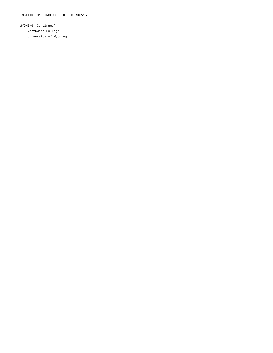WYOMING (Continued) Northwest College University of Wyoming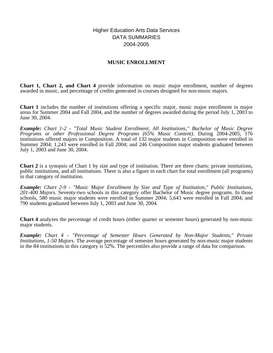### Higher Education Arts Data Services DATA SUMMARIES 2004-2005

### **MUSIC ENROLLMENT**

**Chart 1, Chart 2, and Chart 4** provide information on music major enrollment, number of degrees awarded in music, and percentage of credits generated in courses designed for non-music majors.

**Chart 1** includes the number of institutions offering a specific major, music major enrollment in major areas for Summer 2004 and Fall 2004, and the number of degrees awarded during the period July 1, 2003 to June 30, 2004.

*Example: Chart 1-2 - "Total Music Student Enrollment, All Institutions," Bachelor of Music Degree Programs or other Professional Degree Programs (65% Music Content).* During 2004-2005, 176 institutions offered majors in Composition. A total of 132 major students in Composition were enrolled in Summer 2004; 1,243 were enrolled in Fall 2004; and 246 Composition major students graduated between July 1, 2003 and June 30, 2004.

**Chart 2** is a synopsis of Chart 1 by size and type of institution. There are three charts: private institutions, public institutions, and all institutions. There is also a figure in each chart for total enrollment (all programs) in that category of institution.

*Example: Chart 2-9 - "Music Major Enrollment by Size and Type of Institution," Public Institutions, 201-400 Majors.* Seventy-two schools in this category offer Bachelor of Music degree programs. In those schools, 580 music major students were enrolled in Summer 2004; 5,643 were enrolled in Fall 2004; and 790 students graduated between July 1, 2003 and June 30, 2004.

**Chart 4** analyzes the percentage of credit hours (either quarter or semester hours) generated by non-music major students.

*Example: Chart 4 - "Percentage of Semester Hours Generated by Non-Major Students," Private Institutions, 1-50 Majors.* The average percentage of semester hours generated by non-music major students in the 84 institutions in this category is 52%. The percentiles also provide a range of data for comparison.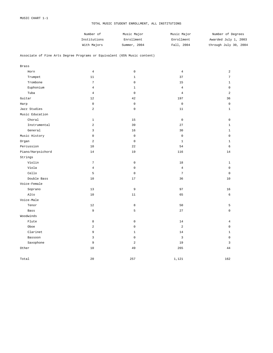#### TOTAL MUSIC STUDENT ENROLLMENT, ALL INSTITUTIONS

| Number of    | Music Major  | Music Major | Number of Degrees     |
|--------------|--------------|-------------|-----------------------|
| Institutions | Enrollment   | Enrollment  | Awarded July 1, 2003  |
| With Majors  | Summer, 2004 | Fall, 2004  | through July 30, 2004 |

#### Associate of Fine Arts Degree Programs or Equivalent (65% Music content)

| <b>Brass</b>      |                 |              |                     |                |
|-------------------|-----------------|--------------|---------------------|----------------|
| Horn              | $\overline{4}$  | $\mathsf 0$  | $\overline{4}$      | $\overline{a}$ |
| Trumpet           | 11              | $\mathbf{1}$ | 37                  | $\sqrt{ }$     |
| Trombone          | $\overline{7}$  | $\mathsf 0$  | 15                  | $\mathbf{1}$   |
| Euphonium         | $\overline{4}$  | $\mathbf{1}$ | $\overline{4}$      | $\mathbf 0$    |
| Tuba              | $\overline{4}$  | $\mathsf 0$  | $\overline{4}$      | $\overline{a}$ |
| Guitar            | 12              | 42           | 197                 | 36             |
| Harp              | $\mathbb O$     | $\mathsf 0$  | $\mathsf 0$         | $\mathsf 0$    |
| Jazz Studies      | $\overline{a}$  | $\mathsf 0$  | 11                  | $\mathbf{1}$   |
| Music Education   |                 |              |                     |                |
| Choral            | $\mathbf{1}$    | 15           | $\mathbb O$         | $\mathbf 0$    |
| Instrumental      | $\sqrt{2}$      | 39           | 27                  | $\mathbf{1}$   |
| General           | $\overline{3}$  | 16           | 30                  | $\mathbf{1}$   |
| Music History     | $\mathbf 0$     | $\mathsf 0$  | $\mathsf{O}\xspace$ | $\mathbf 0$    |
| Organ             | $\overline{a}$  | $\mathsf 0$  | $\mathbf{1}$        | $\mathbf{1}$   |
| Percussion        | 10              | 22           | 54                  | 6              |
| Piano/Harpsichord | 14              | 19           | 116                 | 14             |
| Strings           |                 |              |                     |                |
| Violin            | $7\phantom{.0}$ | $\mathbf 0$  | 18                  | $\mathbf{1}$   |
| Viola             | $\overline{4}$  | $\mathsf 0$  | $\overline{4}$      | $\mathsf 0$    |
| Cello             | 5               | $\mathsf 0$  | $\sqrt{ }$          | $\mathsf 0$    |
| Double Bass       | 10              | 17           | 36                  | 10             |
| Voice-Female      |                 |              |                     |                |
| Soprano           | 13              | $\mathsf 9$  | 97                  | 16             |
| Alto              | 10              | 11           | 65                  | 6              |
| Voice-Male        |                 |              |                     |                |
| Tenor             | 12              | 8            | 50                  | 5              |
| Bass              | 9               | 5            | 27                  | $\mathsf 0$    |
| Woodwinds         |                 |              |                     |                |
| Flute             | $^{\rm 8}$      | $\mathsf 0$  | 14                  | $\overline{4}$ |
| Oboe              | $\overline{a}$  | $\mathbf 0$  | $\overline{a}$      | $\mathsf 0$    |
| Clarinet          | 9               | $\mathbf{1}$ | 14                  | $\mathbf{1}$   |
| Bassoon           | $\mathsf 3$     | $\mathsf 0$  | $\overline{3}$      | $\mathsf 0$    |
| Saxophone         | 9               | 2            | 19                  | $\overline{3}$ |
| Other             | 10              | 49           | 265                 | 44             |
| Total             | 20              | 257          | 1,121               | 162            |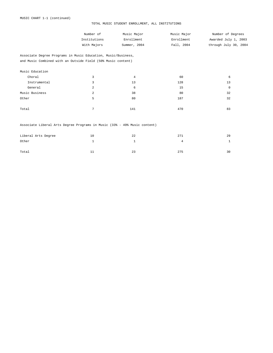#### TOTAL MUSIC STUDENT ENROLLMENT, ALL INSTITUTIONS

| Number of    | Music Major  | Music Major | Number of Degrees     |
|--------------|--------------|-------------|-----------------------|
| Institutions | Enrollment   | Enrollment  | Awarded July 1, 2003  |
| With Majors  | Summer, 2004 | Fall, 2004  | through July 30, 2004 |

Associate Degree Programs in Music Education, Music/Business, and Music Combined with an Outside Field (50% Music content)

| Music Education |                |                |     |    |
|-----------------|----------------|----------------|-----|----|
| Choral          | 3              | $\overline{4}$ | 60  | 6  |
| Instrumental    | 3              | 13             | 128 | 13 |
| General         | 2              | 6              | 15  | 0  |
| Music Business  | $\overline{2}$ | 38             | 80  | 32 |
| Other           | 5              | 80             | 187 | 32 |
|                 |                |                |     |    |
| Total           | $\mathbf{r}$   | 141            | 470 | 83 |

#### Associate Liberal Arts Degree Programs in Music (33% - 49% Music content)

| Liberal Arts Degree | 10 | 22 | 271 | 29 |
|---------------------|----|----|-----|----|
| Other               |    |    |     |    |
| Total               | ᆂᆂ | 23 | 275 | 30 |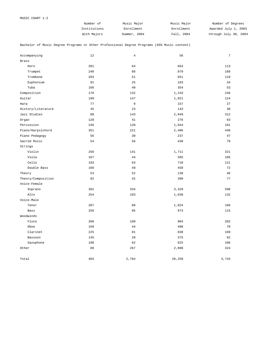| Number of    | Music Major  | Music Major | Number of Degrees     |
|--------------|--------------|-------------|-----------------------|
| Institutions | Enrollment   | Enrollment  | Awarded July 1, 2003  |
| With Majors  | Summer, 2004 | Fall, 2004  | through July 30, 2004 |

Bachelor of Music Degree Programs or Other Professional Degree Programs (65% Music content)

| Accompanying       | 12  | $\overline{4}$ | 56     | $\overline{7}$ |
|--------------------|-----|----------------|--------|----------------|
| <b>Brass</b>       |     |                |        |                |
| Horn               | 201 | 64             | 664    | 113            |
| Trumpet            | 240 | 86             | 879    | 168            |
| Trombone           | 203 | 51             | 651    | 119            |
| Euphonium          | 91  | 25             | 163    | 34             |
| Tuba               | 166 | 40             | 354    | 53             |
| Composition        | 176 | 132            | 1,243  | 246            |
| Guitar             | 199 | 147            | 1,021  | 124            |
| Harp               | 77  | 9              | 157    | 27             |
| History/Literature | 45  | 23             | 143    | 38             |
| Jazz Studies       | 88  | 143            | 2,049  | 312            |
| Organ              | 128 | 41             | 276    | 63             |
| Percussion         | 246 | 120            | 1,044  | 181            |
| Piano/Harpsichord  | 351 | 221            | 2,406  | 446            |
| Piano Pedagogy     | 56  | 30             | 237    | 47             |
| Sacred Music       | 54  | 56             | 438    | 79             |
| Strings            |     |                |        |                |
| Violin             | 250 | 141            | 1,711  | 321            |
| Viola              | 167 | 44             | 585    | 105            |
| Cello              | 193 | 63             | 710    | 121            |
| Double Bass        | 160 | 49             | 458    | 72             |
| Theory             | 53  | 52             | 138    | 46             |
| Theory/Composition | 82  | 42             | 399    | 77             |
| Voice-Female       |     |                |        |                |
| Soprano            | 362 | 334            | 3,329  | 598            |
| Alto               | 254 | 103            | 1,038  | 132            |
| Voice-Male         |     |                |        |                |
| Tenor              | 287 | 88             | 1,024  | 166            |
| Bass               | 256 | 85             | 973    | 115            |
| Woodwinds          |     |                |        |                |
| Flute              | 260 | 109            | 984    | 202            |
| Oboe               | 169 | $4\,4$         | 498    | 70             |
| Clarinet           | 225 | 81             | 830    | 169            |
| Bassoon            | 145 | 28             | 375    | 62             |
| Saxophone          | 198 | 62             | 625    | 106            |
| Other              | 88  | 267            | 2,800  | 324            |
| Total              | 403 | 2,784          | 28,258 | 4,743          |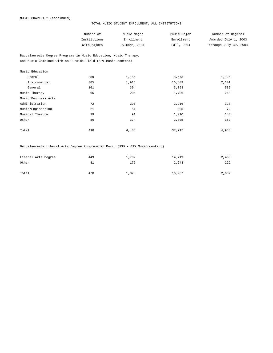#### TOTAL MUSIC STUDENT ENROLLMENT, ALL INSTITUTIONS

| Number of    | Music Major  | Music Major | Number of Degrees     |
|--------------|--------------|-------------|-----------------------|
| Institutions | Enrollment   | Enrollment  | Awarded July 1, 2003  |
| With Majors  | Summer, 2004 | Fall, 2004  | through July 30, 2004 |

Baccalaureate Degree Programs in Music Education, Music Therapy, and Music Combined with an Outside Field (50% Music content)

| Music Education     |     |       |        |       |
|---------------------|-----|-------|--------|-------|
| Choral              | 389 | 1,156 | 8,673  | 1,126 |
| Instrumental        | 385 | 1,916 | 16,609 | 2,101 |
| General             | 161 | 394   | 3,893  | 539   |
| Music Therapy       | 66  | 205   | 1,706  | 268   |
| Music/Business Arts |     |       |        |       |
| Administration      | 72  | 296   | 2,216  | 328   |
| Music/Engineering   | 21  | 51    | 805    | 79    |
| Musical Theatre     | 39  | 91    | 1,010  | 145   |
| Other               | 86  | 374   | 2,805  | 352   |
|                     |     |       |        |       |
| Total               | 490 | 4,483 | 37,717 | 4,938 |

Baccalaureate Liberal Arts Degree Programs in Music (33% - 49% Music content)

| Liberal Arts Degree | 449 | 1,702 | 14,719 | 2,408 |
|---------------------|-----|-------|--------|-------|
| Other               | 81  | 176   | 2,248  | 229   |
|                     |     |       |        |       |
| Total               | 470 | 1,878 | 16,967 | 2,637 |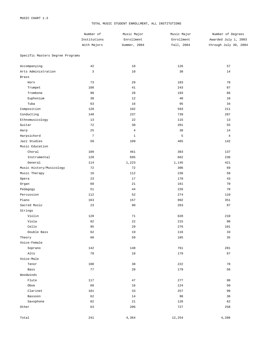Strings

Voice-Female

Voice-Male

Woodwinds

#### TOTAL MUSIC STUDENT ENROLLMENT, ALL INSTITUTIONS

|                                  | Number of       | Music Major    | Music Major | Number of Degrees     |
|----------------------------------|-----------------|----------------|-------------|-----------------------|
|                                  | Institutions    | Enrollment     | Enrollment  | Awarded July 1, 2003  |
|                                  | With Majors     | Summer, 2004   | Fall, 2004  | through July 30, 2004 |
| Specific Masters Degree Programs |                 |                |             |                       |
| Accompanying                     | 42              | 18             | 126         | 57                    |
| Arts Administration              | 3               | 10             | 30          | 14                    |
| <b>Brass</b>                     |                 |                |             |                       |
| Horn                             | 73              | 29             | 183         | 78                    |
| Trumpet                          | 108             | 41             | 243         | 87                    |
| Trombone                         | 90              | 28             | 193         | 66                    |
| Euphonium                        | 30              | 12             | 40          | 10                    |
| Tuba                             | 63              | 16             | 95          | 34                    |
| Composition                      | 128             | 102            | 593         | 211                   |
| Conducting                       | 140             | 237            | 739         | 287                   |
| Ethnomusicology                  | 13              | 22             | 115         | 13                    |
| Guitar                           | 72              | 30             | 201         | 55                    |
| Harp                             | 25              | $\overline{4}$ | 38          | 14                    |
| Harpsichord                      | $7\phantom{.0}$ | $\mathbf{1}$   | 5           | $\overline{4}$        |
| Jazz Studies                     | 50              | 109            | 465         | 142                   |
| Music Education                  |                 |                |             |                       |
| Choral                           | 109             | 461            | 383         | 137                   |
| Instrumental                     | 120             | 695            | 662         | 236                   |
| General                          | 114             | 1,223          | 1,145       | 421                   |
| Music History/Musicology         | 72              | 72             | 306         | 69                    |
| Music Therapy                    | 16              | 112            | 236         | 58                    |
| Opera                            | 23              | 17             | 170         | 43                    |
| Organ                            | 68              | 21             | 161         | 70                    |
| Pedagogy                         | 51              | 44             | 226         | 78                    |
| Percussion                       | 112             | 52             | 274         | 110                   |
| Piano                            | 163             | 157            | 992         | 351                   |
|                                  |                 |                |             |                       |

Sacred Music 23 90 263 87

 Violin 128 71 628 210 Viola 82 22 215 90 Cello 95 29 276 101 Double Bass  $62$   $19$   $116$   $33$ Theory 60 59 185 35

 Soprano 142 140 761 281 Alto 70 18 179 67

 Tenor 108 38 222 78 Bass 77 28 179 56

Flute 117 117 47 277 98 Oboe 68 16 124 50 Clarinet 101 33 257 99  $\texttt{Bassoon}$  62  $\texttt{14}$  98  $\texttt{36}$  $Saxophone$   $82$   $21$   $126$   $126$   $62$ Other 258 206 206 727 258

Total 241 4,364 12,254 4,286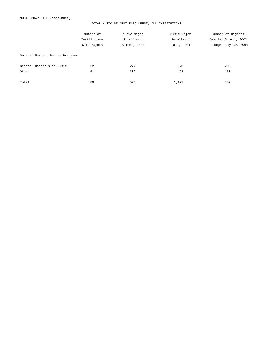#### TOTAL MUSIC STUDENT ENROLLMENT, ALL INSTITUTIONS

|                                 | Number of    | Music Major  | Music Major | Number of Degrees     |
|---------------------------------|--------------|--------------|-------------|-----------------------|
|                                 | Institutions | Enrollment   | Enrollment  | Awarded July 1, 2003  |
|                                 | With Majors  | Summer, 2004 | Fall, 2004  | through July 30, 2004 |
| General Masters Degree Programs |              |              |             |                       |
| General Master's in Music       | 52           | 272          | 673         | 206                   |
| Other                           | 51           | 302          | 498         | 153                   |
| Total                           | 89           | 574          | 1,171       | 359                   |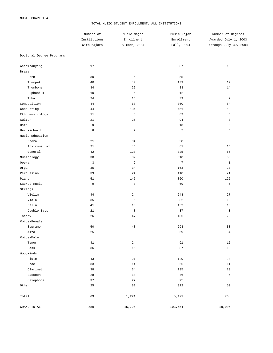#### TOTAL MUSIC STUDENT ENROLLMENT, ALL INSTITUTIONS

|                          | Number of<br>Institutions<br>With Majors | Music Major<br>Enrollment | Music Major<br>Enrollment | Number of Degrees<br>Awarded July 1, 2003<br>through July 30, 2004 |
|--------------------------|------------------------------------------|---------------------------|---------------------------|--------------------------------------------------------------------|
|                          |                                          |                           |                           |                                                                    |
|                          |                                          | Summer, 2004              | Fall, 2004                |                                                                    |
| Doctoral Degree Programs |                                          |                           |                           |                                                                    |
| Accompanying             | 17                                       | 5                         | 87                        | 18                                                                 |
| Brass                    |                                          |                           |                           |                                                                    |
| Horn                     | 30                                       | 6                         | 55                        | 9                                                                  |
| Trumpet                  | 40                                       | 40                        | 133                       | 17                                                                 |
| Trombone                 | 34                                       | 22                        | 83                        | 14                                                                 |
| Euphonium                | 10                                       | 6                         | 12                        | 3                                                                  |
| Tuba                     | 24                                       | 15                        | 39                        | $\sqrt{2}$                                                         |
| Composition              | 44                                       | 68                        | 360                       | 54                                                                 |
| Conducting               | 44                                       | 134                       | 451                       | 68                                                                 |
| Ethnomusicology          | $11\,$                                   | $\,8\,$                   | 82                        | 6                                                                  |
| Guitar                   | 21                                       | 25                        | 94                        | 8                                                                  |
| Harp                     | 9                                        | 3                         | $1\,8$                    | $\mathsf 0$                                                        |
| Harpsichord              | 8                                        | $\sqrt{2}$                | $7\phantom{.0}$           | 5                                                                  |
| Music Education          |                                          |                           |                           |                                                                    |
| Choral                   | 21                                       | 34                        | 58                        | 8                                                                  |
| Instrumental             | 21                                       | 46                        | 81                        | 15                                                                 |
| General                  | 42                                       | 128                       | 325                       | 66                                                                 |
| Musicology               | 30                                       | 82                        | 310                       | 35                                                                 |
| Opera                    | $\mathbf{3}$                             | $\sqrt{2}$                | $\overline{7}$            | $\mathbf 1$                                                        |
| Organ                    | 35                                       | 34                        | 163                       | 23                                                                 |
| Percussion               | 39                                       | 24                        | 110                       | 21                                                                 |
| Piano                    | 51                                       | 146                       | 860                       | 126                                                                |
| Sacred Music             | 9                                        | $\,8\,$                   | 69                        | 5                                                                  |
| Strings                  |                                          |                           |                           |                                                                    |
| Violin                   | 44                                       | 24                        | 248                       | 27                                                                 |
| Viola                    | 35                                       | 6                         | 82                        | 10                                                                 |
| Cello                    | 41                                       | 15                        | 152                       | 15                                                                 |
| Double Bass              | 21                                       | 8                         | 37                        | $\mathsf 3$                                                        |
| Theory                   | 26                                       | 47                        | 186                       | 28                                                                 |
| Voice-Female             |                                          |                           |                           |                                                                    |
| Soprano                  | 50                                       | 48                        | 293                       | 38                                                                 |
| Alto                     | 25                                       | 9                         | 59                        | $\overline{4}$                                                     |
| Voice-Male               |                                          |                           |                           |                                                                    |
| Tenor                    | $4\,1$                                   | $2\,4$                    | 91                        | 12                                                                 |
| Bass                     | 36                                       | 15                        | 87                        | $10$                                                               |
| Woodwinds                |                                          |                           |                           |                                                                    |
| Flute                    | 43                                       | 21                        | 129                       | 20                                                                 |
| Oboe                     | 33                                       | 14                        | 65                        | 11                                                                 |
| Clarinet                 | 38                                       | 34                        | 135                       | 23                                                                 |
| Bassoon                  | 28                                       | 10                        | 46                        | 5                                                                  |
| Saxophone                | 37                                       | 27                        | 95                        | $\,$ 8 $\,$                                                        |
| Other                    | 25                                       | 81                        | 312                       | 50                                                                 |
| Total                    | 69                                       | 1,221                     | 5,421                     | 768                                                                |
| GRAND TOTAL              | 589                                      | 15,725                    | 103,654                   | 18,006                                                             |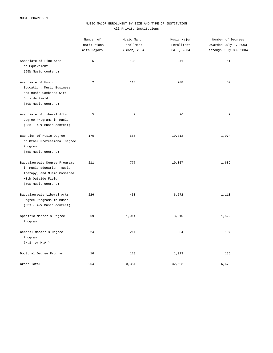#### MUSIC MAJOR ENROLLMENT BY SIZE AND TYPE OF INSTITUTION All Private Institutions

|                                                                                                                                        | Number of<br>Institutions<br>With Majors | Music Major<br>Enrollment<br>Summer, 2004 | Music Major<br>Enrollment<br>Fall, 2004 | Number of Degrees<br>Awarded July 1, 2003<br>through July 30, 2004 |
|----------------------------------------------------------------------------------------------------------------------------------------|------------------------------------------|-------------------------------------------|-----------------------------------------|--------------------------------------------------------------------|
| Associate of Fine Arts<br>or Equivalent<br>(65% Music content)                                                                         | 5                                        | 130                                       | 241                                     | 51                                                                 |
| Associate of Music<br>Education, Music Business,<br>and Music Combined with<br>Outside Field<br>(50% Music content)                    | $\overline{a}$                           | 114                                       | 208                                     | 57                                                                 |
| Associate of Liberal Arts<br>Degree Programs in Music<br>$(33% - 49%$ Music content)                                                   | 5                                        | 2                                         | 26                                      | 9                                                                  |
| Bachelor of Music Degree<br>or Other Professional Degree<br>Program<br>(65% Music content)                                             | 170                                      | 555                                       | 10,312                                  | 1,974                                                              |
| Baccalaureate Degree Programs<br>in Music Education, Music<br>Therapy, and Music Combined<br>with Outside Field<br>(50% Music content) | 211                                      | 777                                       | 10,007                                  | 1,689                                                              |
| Baccalaureate Liberal Arts<br>Degree Programs in Music<br>$(33% - 49%$ Music content)                                                  | 226                                      | 430                                       | 6,572                                   | 1,113                                                              |
| Specific Master's Degree<br>Program                                                                                                    | 69                                       | 1,014                                     | 3,810                                   | 1,522                                                              |
| General Master's Degree<br>Program<br>(M.S. or M.A.)                                                                                   | 24                                       | 211                                       | 334                                     | 107                                                                |
| Doctoral Degree Program                                                                                                                | 16                                       | 118                                       | 1,013                                   | 156                                                                |
| Grand Total                                                                                                                            | 264                                      | 3,351                                     | 32,523                                  | 6,678                                                              |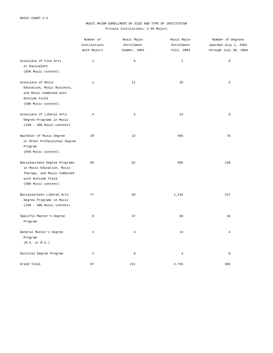#### MUSIC MAJOR ENROLLMENT BY SIZE AND TYPE OF INSTITUTION Private Institutions; 1-50 Majors

|                                                                                                                                        | Number of<br>Institutions<br>With Majors | Music Major<br>Enrollment<br>Summer, 2004 | Music Major<br>Enrollment<br>Fall, 2004 | Number of Degrees<br>Awarded July 1, 2003<br>through July 30, 2004 |
|----------------------------------------------------------------------------------------------------------------------------------------|------------------------------------------|-------------------------------------------|-----------------------------------------|--------------------------------------------------------------------|
| Associate of Fine Arts<br>or Equivalent<br>(65% Music content)                                                                         | $\mathbf{1}$                             | $\mathbb O$                               | $\mathbf{1}$                            | $\mathsf 0$                                                        |
| Associate of Music<br>Education, Music Business,<br>and Music Combined with<br>Outside Field<br>(50% Music content)                    | $\mathbf{1}$                             | 11                                        | 28                                      | 5                                                                  |
| Associate of Liberal Arts<br>Degree Programs in Music<br>$(33% - 49%$ Music content)                                                   | $\overline{4}$                           | $\overline{a}$                            | 24                                      | 9                                                                  |
| Bachelor of Music Degree<br>or Other Professional Degree<br>Program<br>(65% Music content)                                             | 39                                       | 12                                        | 455                                     | 76                                                                 |
| Baccalaureate Degree Programs<br>in Music Education, Music<br>Therapy, and Music Combined<br>with Outside Field<br>(50% Music content) | 65                                       | 81                                        | 955                                     | 128                                                                |
| Baccalaureate Liberal Arts<br>Degree Programs in Music<br>$(33% - 49%$ Music content)                                                  | 77                                       | 64                                        | 1,216                                   | 227                                                                |
| Specific Master's Degree<br>Program                                                                                                    | 6                                        | 37                                        | 50                                      | 16                                                                 |
| General Master's Degree<br>Program<br>(M.S. or M.A.)                                                                                   | $\overline{4}$                           | 4                                         | 13                                      | 4                                                                  |
| Doctoral Degree Program                                                                                                                | $\mathbf{1}$                             | $\mathbb O$                               | 3                                       | $\mathsf 0$                                                        |
| Grand Total                                                                                                                            | 87                                       | 211                                       | 2,745                                   | 465                                                                |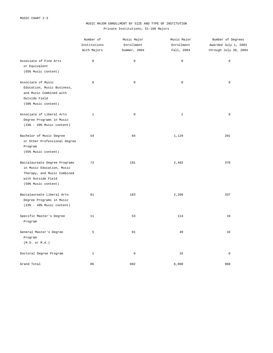#### MUSIC MAJOR ENROLLMENT BY SIZE AND TYPE OF INSTITUTION Private Institutions; 51-100 Majors

|                                                                                                                                        | Number of<br>Institutions<br>With Majors | Music Major<br>Enrollment | Music Major<br>Enrollment | Number of Degrees<br>Awarded July 1, 2003<br>through July 30, 2004 |
|----------------------------------------------------------------------------------------------------------------------------------------|------------------------------------------|---------------------------|---------------------------|--------------------------------------------------------------------|
|                                                                                                                                        |                                          | Summer, 2004              | Fall, 2004                |                                                                    |
| Associate of Fine Arts<br>or Equivalent<br>(65% Music content)                                                                         | $\mathsf 0$                              | $\mathbb O$               | $\mathsf{O}\xspace$       | $\mathsf 0$                                                        |
| Associate of Music<br>Education, Music Business,<br>and Music Combined with<br>Outside Field<br>(50% Music content)                    | $\mathbf 0$                              | $\mathbf 0$               | $\mathsf{O}\xspace$       | $\mathsf 0$                                                        |
| Associate of Liberal Arts<br>Degree Programs in Music<br>$(33% - 49%$ Music content)                                                   | $\mathbf{1}$                             | $\mathbb O$               | 2                         | $\mathbb O$                                                        |
| Bachelor of Music Degree<br>or Other Professional Degree<br>Program<br>(65% Music content)                                             | 54                                       | 84                        | 1,129                     | 201                                                                |
| Baccalaureate Degree Programs<br>in Music Education, Music<br>Therapy, and Music Combined<br>with Outside Field<br>(50% Music content) | 73                                       | 191                       | 2,482                     | 378                                                                |
| Baccalaureate Liberal Arts<br>Degree Programs in Music<br>$(33% - 49%$ Music content)                                                  | 81                                       | 183                       | 2,268                     | 337                                                                |
| Specific Master's Degree<br>Program                                                                                                    | 11                                       | 53                        | 114                       | 19                                                                 |
| General Master's Degree<br>Program<br>(M.S. or M.A.)                                                                                   | 5                                        | 91                        | 49                        | 33                                                                 |
| Doctoral Degree Program                                                                                                                | $\mathbf{1}$                             | $\mathbb O$               | 16                        | $\mathbb O$                                                        |
| Grand Total                                                                                                                            | 86                                       | 602                       | 6,060                     | 968                                                                |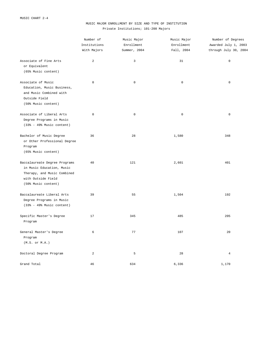#### MUSIC MAJOR ENROLLMENT BY SIZE AND TYPE OF INSTITUTION Private Institutions; 101-200 Majors

|                                                                                                                                        | Number of<br>Institutions<br>With Majors | Music Major<br>Enrollment<br>Summer, 2004 | Music Major<br>Enrollment<br>Fall, 2004 | Number of Degrees<br>Awarded July 1, 2003<br>through July 30, 2004 |
|----------------------------------------------------------------------------------------------------------------------------------------|------------------------------------------|-------------------------------------------|-----------------------------------------|--------------------------------------------------------------------|
| Associate of Fine Arts<br>or Equivalent<br>(65% Music content)                                                                         | 2                                        | 3                                         | 31                                      | $\mathbf 0$                                                        |
| Associate of Music<br>Education, Music Business,<br>and Music Combined with<br>Outside Field<br>(50% Music content)                    | $\mathbb O$                              | $\mathbb O$                               | $\mathsf 0$                             | $\mathsf 0$                                                        |
| Associate of Liberal Arts<br>Degree Programs in Music<br>$(33% - 49%$ Music content)                                                   | $\mathbb O$                              | $\mathbb O$                               | $\mathsf 0$                             | $\mathbb O$                                                        |
| Bachelor of Music Degree<br>or Other Professional Degree<br>Program<br>(65% Music content)                                             | 36                                       | 28                                        | 1,580                                   | 348                                                                |
| Baccalaureate Degree Programs<br>in Music Education, Music<br>Therapy, and Music Combined<br>with Outside Field<br>(50% Music content) | 40                                       | 121                                       | 2,601                                   | 401                                                                |
| Baccalaureate Liberal Arts<br>Degree Programs in Music<br>$(33% - 49%$ Music content)                                                  | 39                                       | 55                                        | 1,504                                   | 192                                                                |
| Specific Master's Degree<br>Program                                                                                                    | 17                                       | 345                                       | 485                                     | 205                                                                |
| General Master's Degree<br>Program<br>(M.S. or M.A.)                                                                                   | 6                                        | 77                                        | 107                                     | 20                                                                 |
| Doctoral Degree Program                                                                                                                | 2                                        | 5                                         | 28                                      | $\overline{4}$                                                     |
| Grand Total                                                                                                                            | 46                                       | 634                                       | 6,336                                   | 1,170                                                              |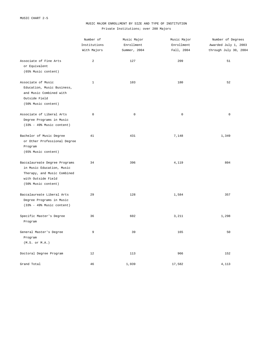#### MUSIC MAJOR ENROLLMENT BY SIZE AND TYPE OF INSTITUTION Private Institutions; over 200 Majors

|                                                                                                                                        | Number of<br>Institutions<br>With Majors | Music Major<br>Enrollment<br>Summer, 2004 | Music Major<br>Enrollment<br>Fall, 2004 | Number of Degrees<br>Awarded July 1, 2003<br>through July 30, 2004 |
|----------------------------------------------------------------------------------------------------------------------------------------|------------------------------------------|-------------------------------------------|-----------------------------------------|--------------------------------------------------------------------|
| Associate of Fine Arts<br>or Equivalent<br>(65% Music content)                                                                         | 2                                        | 127                                       | 209                                     | 51                                                                 |
| Associate of Music<br>Education, Music Business,<br>and Music Combined with<br>Outside Field<br>(50% Music content)                    | $\mathbf{1}$                             | 103                                       | 180                                     | 52                                                                 |
| Associate of Liberal Arts<br>Degree Programs in Music<br>$(33% - 49%$ Music content)                                                   | $\mathbb O$                              | $\mathbf 0$                               | $\mathsf 0$                             | $\mathbb O$                                                        |
| Bachelor of Music Degree<br>or Other Professional Degree<br>Program<br>(65% Music content)                                             | 41                                       | 431                                       | 7,148                                   | 1,349                                                              |
| Baccalaureate Degree Programs<br>in Music Education, Music<br>Therapy, and Music Combined<br>with Outside Field<br>(50% Music content) | 34                                       | 396                                       | 4,119                                   | 804                                                                |
| Baccalaureate Liberal Arts<br>Degree Programs in Music<br>$(33% - 49%$ Music content)                                                  | 29                                       | 128                                       | 1,584                                   | 357                                                                |
| Specific Master's Degree<br>Program                                                                                                    | 36                                       | 602                                       | 3,211                                   | 1,298                                                              |
| General Master's Degree<br>Program<br>(M.S. or M.A.)                                                                                   | 9                                        | 39                                        | 165                                     | 50                                                                 |
| Doctoral Degree Program                                                                                                                | 12                                       | 113                                       | 966                                     | 152                                                                |
| Grand Total                                                                                                                            | 46                                       | 1,939                                     | 17,582                                  | 4,113                                                              |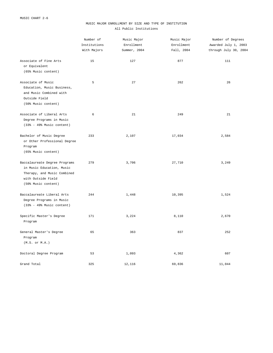#### MUSIC MAJOR ENROLLMENT BY SIZE AND TYPE OF INSTITUTION All Public Institutions

|                                                                                                                                        | Number of<br>Institutions<br>With Majors | Music Major<br>Enrollment<br>Summer, 2004 | Music Major<br>Enrollment<br>Fall, 2004 | Number of Degrees<br>Awarded July 1, 2003<br>through July 30, 2004 |
|----------------------------------------------------------------------------------------------------------------------------------------|------------------------------------------|-------------------------------------------|-----------------------------------------|--------------------------------------------------------------------|
| Associate of Fine Arts<br>or Equivalent<br>(65% Music content)                                                                         | 15                                       | 127                                       | 877                                     | 111                                                                |
| Associate of Music<br>Education, Music Business,<br>and Music Combined with<br>Outside Field<br>(50% Music content)                    | 5                                        | 27                                        | 262                                     | 26                                                                 |
| Associate of Liberal Arts<br>Degree Programs in Music<br>$(33% - 49%$ Music content)                                                   | 6                                        | 21                                        | 249                                     | 21                                                                 |
| Bachelor of Music Degree<br>or Other Professional Degree<br>Program<br>(65% Music content)                                             | 233                                      | 2,107                                     | 17,034                                  | 2,584                                                              |
| Baccalaureate Degree Programs<br>in Music Education, Music<br>Therapy, and Music Combined<br>with Outside Field<br>(50% Music content) | 279                                      | 3,706                                     | 27,710                                  | 3,249                                                              |
| Baccalaureate Liberal Arts<br>Degree Programs in Music<br>$(33% - 49%$ Music content)                                                  | 244                                      | 1,448                                     | 10,395                                  | 1,524                                                              |
| Specific Master's Degree<br>Program                                                                                                    | 171                                      | 3,224                                     | 8,110                                   | 2,670                                                              |
| General Master's Degree<br>Program<br>(M.S. or M.A.)                                                                                   | 65                                       | 363                                       | 837                                     | 252                                                                |
| Doctoral Degree Program                                                                                                                | 53                                       | 1,093                                     | 4,362                                   | 607                                                                |
| Grand Total                                                                                                                            | 325                                      | 12,116                                    | 69,836                                  | 11,044                                                             |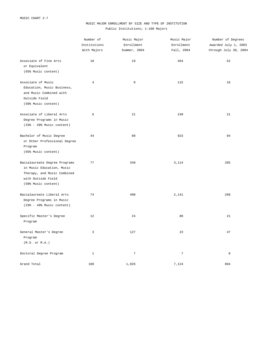#### MUSIC MAJOR ENROLLMENT BY SIZE AND TYPE OF INSTITUTION Public Institutions; 1-100 Majors

|                                                                                                                                        | Number of<br>Institutions<br>With Majors | Music Major<br>Enrollment<br>Summer, 2004 | Music Major<br>Enrollment<br>Fall, 2004 | Number of Degrees<br>Awarded July 1, 2003<br>through July 30, 2004 |
|----------------------------------------------------------------------------------------------------------------------------------------|------------------------------------------|-------------------------------------------|-----------------------------------------|--------------------------------------------------------------------|
| Associate of Fine Arts<br>or Equivalent<br>(65% Music content)                                                                         | 10                                       | 19                                        | 464                                     | 52                                                                 |
| Associate of Music<br>Education, Music Business,<br>and Music Combined with<br>Outside Field<br>(50% Music content)                    | $\overline{4}$                           | 8                                         | 115                                     | 16                                                                 |
| Associate of Liberal Arts<br>Degree Programs in Music<br>$(33% - 49%$ Music content)                                                   | 6                                        | 21                                        | 249                                     | 21                                                                 |
| Bachelor of Music Degree<br>or Other Professional Degree<br>Program<br>(65% Music content)                                             | 44                                       | 80                                        | 923                                     | 94                                                                 |
| Baccalaureate Degree Programs<br>in Music Education, Music<br>Therapy, and Music Combined<br>with Outside Field<br>(50% Music content) | 77                                       | 340                                       | 3,114                                   | 285                                                                |
| Baccalaureate Liberal Arts<br>Degree Programs in Music<br>$(33% - 49%$ Music content)                                                  | 74                                       | 400                                       | 2,141                                   | 268                                                                |
| Specific Master's Degree<br>Program                                                                                                    | 12                                       | 24                                        | 88                                      | 21                                                                 |
| General Master's Degree<br>Program<br>(M.S. or M.A.)                                                                                   | 3                                        | 127                                       | 23                                      | 47                                                                 |
| Doctoral Degree Program                                                                                                                | $\mathbf{1}$                             | $7\phantom{.0}$                           | $\overline{7}$                          | $\mathsf 0$                                                        |
| Grand Total                                                                                                                            | 108                                      | 1,026                                     | 7,124                                   | 804                                                                |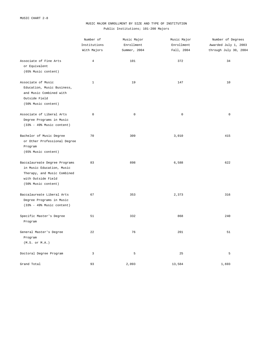#### MUSIC MAJOR ENROLLMENT BY SIZE AND TYPE OF INSTITUTION Public Institutions; 101-200 Majors

|                                                                                                                                        | Number of<br>Institutions<br>With Majors | Music Major<br>Enrollment<br>Summer, 2004 | Music Major<br>Enrollment<br>Fall, 2004 | Number of Degrees<br>Awarded July 1, 2003<br>through July 30, 2004 |
|----------------------------------------------------------------------------------------------------------------------------------------|------------------------------------------|-------------------------------------------|-----------------------------------------|--------------------------------------------------------------------|
| Associate of Fine Arts<br>or Equivalent<br>(65% Music content)                                                                         | $\overline{4}$                           | 101                                       | 372                                     | 34                                                                 |
| Associate of Music<br>Education, Music Business,<br>and Music Combined with<br>Outside Field<br>(50% Music content)                    | $1\,$                                    | 19                                        | 147                                     | 10                                                                 |
| Associate of Liberal Arts<br>Degree Programs in Music<br>$(33% - 49%$ Music content)                                                   | $\mathbb O$                              | $\mathbb O$                               | $\mathsf 0$                             | $\mathbb O$                                                        |
| Bachelor of Music Degree<br>or Other Professional Degree<br>Program<br>(65% Music content)                                             | 70                                       | 309                                       | 3,010                                   | 415                                                                |
| Baccalaureate Degree Programs<br>in Music Education, Music<br>Therapy, and Music Combined<br>with Outside Field<br>(50% Music content) | 83                                       | 898                                       | 6,588                                   | 622                                                                |
| Baccalaureate Liberal Arts<br>Degree Programs in Music<br>$(33% - 49%$ Music content)                                                  | 67                                       | 353                                       | 2,373                                   | 316                                                                |
| Specific Master's Degree<br>Program                                                                                                    | 51                                       | 332                                       | 868                                     | 240                                                                |
| General Master's Degree<br>Program<br>(M.S. or M.A.)                                                                                   | 22                                       | 76                                        | 201                                     | 51                                                                 |
| Doctoral Degree Program                                                                                                                | 3                                        | 5                                         | 25                                      | 5                                                                  |
| Grand Total                                                                                                                            | 93                                       | 2,093                                     | 13,584                                  | 1,693                                                              |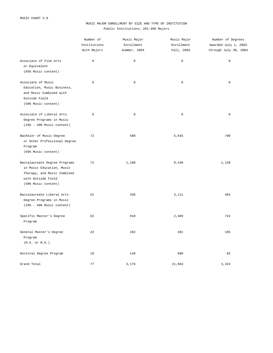#### MUSIC MAJOR ENROLLMENT BY SIZE AND TYPE OF INSTITUTION Public Institutions; 201-400 Majors

|                                                                                                                                        | Number of<br>Institutions<br>With Majors | Music Major<br>Enrollment<br>Summer, 2004 | Music Major<br>Enrollment | Number of Degrees<br>Awarded July 1, 2003<br>through July 30, 2004 |
|----------------------------------------------------------------------------------------------------------------------------------------|------------------------------------------|-------------------------------------------|---------------------------|--------------------------------------------------------------------|
|                                                                                                                                        |                                          |                                           | Fall, 2004                |                                                                    |
| Associate of Fine Arts<br>or Equivalent<br>(65% Music content)                                                                         | $\mathbb O$                              | $\mathbb O$                               | $\mathsf{O}\xspace$       | $\mathsf 0$                                                        |
| Associate of Music<br>Education, Music Business,<br>and Music Combined with<br>Outside Field<br>(50% Music content)                    | $\mathbf 0$                              | $\mathbf 0$                               | $\mathsf{O}\xspace$       | $\mathsf 0$                                                        |
| Associate of Liberal Arts<br>Degree Programs in Music<br>$(33% - 49%$ Music content)                                                   | $\mathbb O$                              | $\mathbb O$                               | $\mathsf 0$               | $\mathbb O$                                                        |
| Bachelor of Music Degree<br>or Other Professional Degree<br>Program<br>(65% Music content)                                             | 72                                       | 580                                       | 5,643                     | 790                                                                |
| Baccalaureate Degree Programs<br>in Music Education, Music<br>Therapy, and Music Combined<br>with Outside Field<br>(50% Music content) | 72                                       | 1,100                                     | 9,440                     | 1,139                                                              |
| Baccalaureate Liberal Arts<br>Degree Programs in Music<br>(33% - 49% Music content)                                                    | 61                                       | 336                                       | 3,111                     | 484                                                                |
| Specific Master's Degree<br>Program                                                                                                    | 62                                       | 910                                       | 2,409                     | 724                                                                |
| General Master's Degree<br>Program<br>(M.S. or M.A.)                                                                                   | 24                                       | 102                                       | 381                       | 105                                                                |
| Doctoral Degree Program                                                                                                                | 18                                       | 148                                       | 680                       | 82                                                                 |
| Grand Total                                                                                                                            | 77                                       | 3,176                                     | 21,664                    | 3,324                                                              |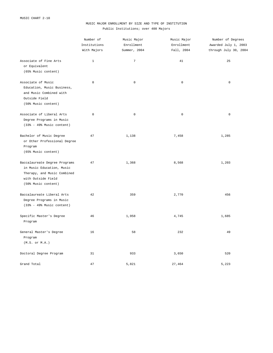#### MUSIC MAJOR ENROLLMENT BY SIZE AND TYPE OF INSTITUTION Public Institutions; over 400 Majors

|                                                                                                                                        | Number of<br>Institutions<br>With Majors | Music Major<br>Enrollment<br>Summer, 2004 | Music Major<br>Enrollment | Number of Degrees<br>Awarded July 1, 2003<br>through July 30, 2004 |
|----------------------------------------------------------------------------------------------------------------------------------------|------------------------------------------|-------------------------------------------|---------------------------|--------------------------------------------------------------------|
|                                                                                                                                        |                                          |                                           | Fall, 2004                |                                                                    |
| Associate of Fine Arts<br>or Equivalent<br>(65% Music content)                                                                         | $\mathbf{1}$                             | $\overline{7}$                            | 41                        | 25                                                                 |
| Associate of Music<br>Education, Music Business,<br>and Music Combined with<br>Outside Field<br>(50% Music content)                    | $\mathsf 0$                              | $\mathbb O$                               | $\mathbb O$               | $\mathbf 0$                                                        |
| Associate of Liberal Arts<br>Degree Programs in Music<br>$(33% - 49%$ Music content)                                                   | $\mathsf 0$                              | $\mathsf 0$                               | $\mathsf 0$               | $\mathsf 0$                                                        |
| Bachelor of Music Degree<br>or Other Professional Degree<br>Program<br>(65% Music content)                                             | 47                                       | 1,138                                     | 7,458                     | 1,285                                                              |
| Baccalaureate Degree Programs<br>in Music Education, Music<br>Therapy, and Music Combined<br>with Outside Field<br>(50% Music content) | 47                                       | 1,368                                     | 8,568                     | 1,203                                                              |
| Baccalaureate Liberal Arts<br>Degree Programs in Music<br>$(33% - 49%$ Music content)                                                  | 42                                       | 359                                       | 2,770                     | 456                                                                |
| Specific Master's Degree<br>Program                                                                                                    | 46                                       | 1,958                                     | 4,745                     | 1,685                                                              |
| General Master's Degree<br>Program<br>$(M.S.$ or $M.A.)$                                                                               | 16                                       | 58                                        | 232                       | 49                                                                 |
| Doctoral Degree Program                                                                                                                | 31                                       | 933                                       | 3,650                     | 520                                                                |
| Grand Total                                                                                                                            | 47                                       | 5,821                                     | 27,464                    | 5,223                                                              |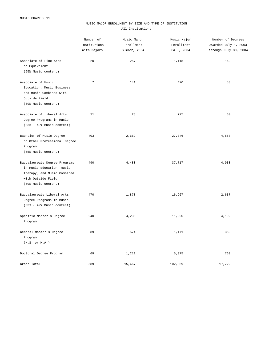#### MUSIC MAJOR ENROLLMENT BY SIZE AND TYPE OF INSTITUTION All Institutions

|                                                                                                                                        | Number of<br>Institutions<br>With Majors | Music Major<br>Enrollment<br>Summer, 2004 | Music Major<br>Enrollment<br>Fall, 2004 | Number of Degrees<br>Awarded July 1, 2003<br>through July 30, 2004 |
|----------------------------------------------------------------------------------------------------------------------------------------|------------------------------------------|-------------------------------------------|-----------------------------------------|--------------------------------------------------------------------|
| Associate of Fine Arts<br>or Equivalent<br>(65% Music content)                                                                         | 20                                       | 257                                       | 1,118                                   | 162                                                                |
| Associate of Music<br>Education, Music Business,<br>and Music Combined with<br>Outside Field<br>(50% Music content)                    | $\overline{7}$                           | 141                                       | 470                                     | 83                                                                 |
| Associate of Liberal Arts<br>Degree Programs in Music<br>$(33% - 49%$ Music content)                                                   | 11                                       | 23                                        | 275                                     | 30                                                                 |
| Bachelor of Music Degree<br>or Other Professional Degree<br>Program<br>(65% Music content)                                             | 403                                      | 2,662                                     | 27,346                                  | 4,558                                                              |
| Baccalaureate Degree Programs<br>in Music Education, Music<br>Therapy, and Music Combined<br>with Outside Field<br>(50% Music content) | 490                                      | 4,483                                     | 37,717                                  | 4,938                                                              |
| Baccalaureate Liberal Arts<br>Degree Programs in Music<br>$(33% - 49%$ Music content)                                                  | 470                                      | 1,878                                     | 16,967                                  | 2,637                                                              |
| Specific Master's Degree<br>Program                                                                                                    | 240                                      | 4,238                                     | 11,920                                  | 4,192                                                              |
| General Master's Degree<br>Program<br>(M.S. or M.A.)                                                                                   | 89                                       | 574                                       | 1,171                                   | 359                                                                |
| Doctoral Degree Program                                                                                                                | 69                                       | 1,211                                     | 5,375                                   | 763                                                                |
| Grand Total                                                                                                                            | 589                                      | 15,467                                    | 102,359                                 | 17,722                                                             |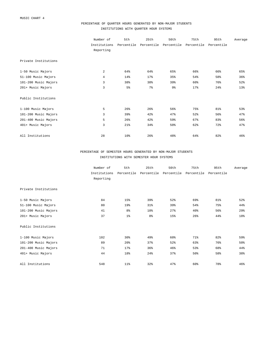### PERCENTAGE OF QUARTER HOURS GENERATED BY NON-MAJOR STUDENTS INSTITUTIONS WITH QUARTER HOUR SYSTEMS

|                      | Number of<br>Institutions<br>Reporting | 5th<br>Percentile | 25th           | 50th<br>Percentile Percentile | 75th<br>Percentile | 95th<br>Percentile | Average |
|----------------------|----------------------------------------|-------------------|----------------|-------------------------------|--------------------|--------------------|---------|
| Private Institutions |                                        |                   |                |                               |                    |                    |         |
| 1-50 Music Majors    | 2                                      | 64%               | 64%            | 65%                           | 66%                | 66%                | 65%     |
| 51-100 Music Majors  | $\overline{4}$                         | 14%               | 17%            | 35%                           | 54%                | 58%                | 36%     |
| 101-200 Music Majors | 3                                      | 38%               | 38%            | 39%                           | 60%                | 76%                | 52%     |
| 201+ Music Majors    | 3                                      | $5\frac{6}{9}$    | 7 <sup>°</sup> | 9%                            | 17%                | 24%                | 13%     |
| Public Institutions  |                                        |                   |                |                               |                    |                    |         |
| 1-100 Music Majors   | 5                                      | 26%               | 26%            | 56%                           | 75%                | 81%                | 53%     |
| 101-200 Music Majors | 3                                      | 39%               | 42%            | 47%                           | 52%                | 56%                | 47%     |
| 201-400 Music Majors | 5                                      | 26%               | 42%            | 59%                           | 67%                | 83%                | 56%     |
| 401+ Music Majors    | 3                                      | 21%               | 34%            | 50%                           | 62%                | 72%                | 47%     |
| All Institutions     | 28                                     | 10 <sup>8</sup>   | 26%            | 48%                           | 64%                | 82%                | 46%     |

## PERCENTAGE OF SEMESTER HOURS GENERATED BY NON-MAJOR STUDENTS INSTITUTIONS WITH SEMESTER HOUR SYSTEMS

|                      | Number of    | 5th            | 25th           | 50th       | 75th       | 95th       | Average |
|----------------------|--------------|----------------|----------------|------------|------------|------------|---------|
|                      | Institutions | Percentile     | Percentile     | Percentile | Percentile | Percentile |         |
|                      | Reporting    |                |                |            |            |            |         |
| Private Institutions |              |                |                |            |            |            |         |
| 1-50 Music Majors    | 84           | 15%            | 39%            | 52%        | 69%        | 81%        | 52%     |
| 51-100 Music Majors  | 80           | 19%            | 31%            | 39%        | 54%        | 75%        | 44%     |
| 101-200 Music Majors | 41           | 8 <sup>°</sup> | 18%            | 27%        | 40%        | 56%        | 29%     |
| 201+ Music Majors    | 37           | 1 <sup>°</sup> | 8 <sup>°</sup> | 15%        | 26%        | 44%        | 18%     |
| Public Institutions  |              |                |                |            |            |            |         |
| 1-100 Music Majors   | 102          | 30%            | 49%            | 60%        | 71%        | 82%        | 59%     |
| 101-200 Music Majors | 89           | 20%            | 37%            | 52%        | 63%        | 76%        | 50%     |
| 201-400 Music Majors | 71           | 17%            | 36%            | 46%        | 53%        | 68%        | 44%     |
| 401+ Music Majors    | 44           | 18%            | 24%            | 37%        | 50%        | 58%        | 38%     |
| All Institutions     | 548          | $11\%$         | 32%            | 47%        | 60%        | 78%        | 46%     |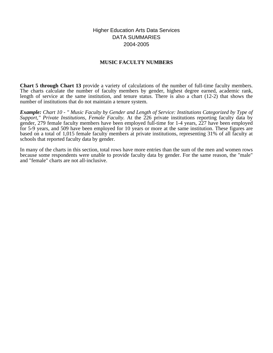Higher Education Arts Data Services DATA SUMMARIES 2004-2005

## **MUSIC FACULTY NUMBERS**

**Chart 5 through Chart 13** provide a variety of calculations of the number of full-time faculty members. The charts calculate the number of faculty members by gender, highest degree earned, academic rank, length of service at the same institution, and tenure status. There is also a chart (12-2) that shows the number of institutions that do not maintain a tenure system.

*Example: Chart 10 - " Music Faculty by Gender and Length of Service: Institutions Categorized by Type of Support," Private Institutions, Female Faculty.* At the 226 private institutions reporting faculty data by gender, 279 female faculty members have been employed full-time for 1-4 years, 227 have been employed for 5-9 years, and 509 have been employed for 10 years or more at the same institution. These figures are based on a total of 1,015 female faculty members at private institutions, representing 31% of all faculty at schools that reported faculty data by gender.

In many of the charts in this section, total rows have more entries than the sum of the men and women rows because some respondents were unable to provide faculty data by gender. For the same reason, the "male" and "female" charts are not all-inclusive.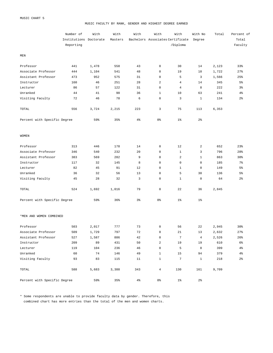#### MUSIC FACULTY BY RANK, GENDER AND HIGHEST DEGREE EARNED

|                              | Number of<br>Institutions Doctorate<br>Reporting | With  | With<br>Masters | With        | With<br>Bachelors Associates Certificate | With<br>/Diploma | With No<br>Degree | Total | Percent of<br>Total<br>Faculty |
|------------------------------|--------------------------------------------------|-------|-----------------|-------------|------------------------------------------|------------------|-------------------|-------|--------------------------------|
| MEN                          |                                                  |       |                 |             |                                          |                  |                   |       |                                |
| Professor                    | 441                                              | 1,478 | 558             | 43          | $\mathsf 0$                              | 30               | 14                | 2,123 | 33%                            |
| Associate Professor          | 444                                              | 1,104 | 541             | 48          | $\mathsf 0$                              | 19               | 10                | 1,722 | 27%                            |
| Assistant Professor          | 473                                              | 952   | 575             | 31          | $\mathsf 0$                              | 5                | 3                 | 1,566 | 25%                            |
| Instructor                   | 160                                              | 46    | 251             | 28          | $\overline{a}$                           | $\overline{4}$   | 14                | 345   | 5 <sup>°</sup>                 |
| Lecturer                     | 86                                               | 57    | 122             | 31          | $\mathbf 0$                              | $\overline{4}$   | 8                 | 222   | 3%                             |
| Unranked                     | 44                                               | 41    | 90              | 36          | $\mathbf{1}$                             | 10               | 63                | 241   | $4\%$                          |
| Visiting Faculty             | 72                                               | 46    | 78              | 6           | $\mathbf 0$                              | 3                | $\mathbf{1}$      | 134   | $2\frac{6}{9}$                 |
| TOTAL                        | 556                                              | 3,724 | 2,215           | 223         | 3                                        | 75               | 113               | 6,353 |                                |
| Percent with Specific Degree |                                                  | 59%   | 35%             | 4%          | 0 <sup>°</sup>                           | $1\%$            | 2 <sup>°</sup>    |       |                                |
| <b>WOMEN</b>                 |                                                  |       |                 |             |                                          |                  |                   |       |                                |
| Professor                    | 313                                              | 446   | 178             | 14          | $\mathsf 0$                              | 12               | $\overline{a}$    | 652   | 23%                            |
| Associate Professor          | 346                                              | 540   | 232             | 20          | $\mathsf 0$                              | $\mathbf{1}$     | 3                 | 796   | 28%                            |
| Assistant Professor          | 383                                              | 569   | 282             | 9           | $\mathbf 0$                              | $\overline{a}$   | $\mathbf{1}$      | 863   | 30%                            |
| Instructor                   | 117                                              | 32    | 145             | 8           | $\mathbf 0$                              | $\mathsf 0$      | 0                 | 185   | $7\%$                          |
| Lecturer                     | 82                                               | 45    | 91              | 12          | $\mathsf 0$                              | $\mathbf{1}$     | 0                 | 149   | 5 <sup>°</sup>                 |
| Unranked                     | 36                                               | 32    | 56              | 13          | $\mathbf 0$                              | 5                | 30                | 136   | 5 <sup>°</sup>                 |
| Visiting Faculty             | 45                                               | 28    | 32              | 3           | $\mathsf 0$                              | $\mathbf{1}$     | 0                 | 64    | $2\frac{6}{9}$                 |
| TOTAL                        | 524                                              | 1,692 | 1,016           | 79          | $\mathsf 0$                              | 22               | 36                | 2,845 |                                |
| Percent with Specific Degree |                                                  | 59%   | 36%             | $3\,$       | 0 <sup>°</sup>                           | $1\%$            | $1\%$             |       |                                |
| *MEN AND WOMEN COMBINED      |                                                  |       |                 |             |                                          |                  |                   |       |                                |
| Professor                    | 503                                              | 2,017 | 777             | 73          | $\mathsf 0$                              | 56               | 22                | 2,945 | 30%                            |
| Associate Professor          | 509                                              | 1,729 | 797             | $7\sqrt{2}$ | $\mathsf{O}\xspace$                      | $2\sqrt{1}$      | $13$              | 2,632 | 27%                            |
| Assistant Professor          | 527                                              | 1,587 | 886             | 42          | $\mathsf 0$                              | $\sqrt{ }$       | $\overline{4}$    | 2,526 | 26%                            |
| Instructor                   | 209                                              | 89    | 431             | 50          | $\sqrt{2}$                               | 19               | 19                | 610   | 6%                             |
| Lecturer                     | 119                                              | 104   | 236             | 46          | $\mathsf 0$                              | 5                | 8                 | 399   | $4\,$                          |
| Unranked                     | 60                                               | 74    | 146             | 49          | $\mathbf{1}$                             | 15               | 94                | 379   | $4\,$                          |
| Visiting Faculty             | 93                                               | 83    | 115             | 11          | $\mathbf{1}$                             | $\overline{7}$   | $\mathbf{1}$      | 218   | $2\frac{6}{9}$                 |
| TOTAL                        | 588                                              | 5,683 | 3,388           | 343         | $\overline{4}$                           | 130              | 161               | 9,709 |                                |
| Percent with Specific Degree |                                                  | 59%   | 35%             | $4\%$       | 0 %                                      | $1\%$            | $2\frac{6}{6}$    |       |                                |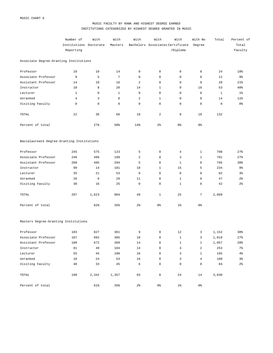## MUSIC FACULTY BY RANK AND HIGHEST DEGREE EARNED INSTITUTIONS CATEGORIZED BY HIGHEST DEGREE GRANTED IN MUSIC

|                                            | Number of              | With        | With         | With            | With                             | With                | With No        | Total        | Percent of      |
|--------------------------------------------|------------------------|-------------|--------------|-----------------|----------------------------------|---------------------|----------------|--------------|-----------------|
|                                            | Institutions Doctorate |             | Masters      |                 | Bachelors Associates Certificate |                     | Degree         |              | Total           |
|                                            | Reporting              |             |              |                 |                                  | /Diploma            |                |              | Faculty         |
| Associate Degree-Granting Institutions     |                        |             |              |                 |                                  |                     |                |              |                 |
| Professor                                  | 10                     | 10          | 14           | $\mathbf 0$     | $\mathsf 0$                      | 0                   | 0              | 24           | 18%             |
| Associate Professor                        | 9                      | 5           | 7            | $\mathbf 0$     | $\mathsf 0$                      | $\mathbf 0$         | 0              | 12           | 9%              |
| Assistant Professor                        | 14                     | 10          | 16           | $\overline{a}$  | $\mathsf 0$                      | $\mathbf 0$         | 0              | 28           | 21%             |
| Instructor                                 | 10                     | 8           | 20           | 14              | 1                                | $\mathbf 0$         | 10             | 53           | 40 <sup>8</sup> |
| Lecturer                                   | $\mathbf{1}$           | $\mathbf 0$ | $\mathbf{1}$ | $\mathbf 0$     | $\mathsf 0$                      | $\mathbf 0$         | 0              | $\mathbf{1}$ | $1\%$           |
| Unranked                                   | $\overline{4}$         | 3           | 8            | 2               | $\mathbf{1}$                     | $\mathbf 0$         | 0              | 14           | $11$ %          |
| Visiting Faculty                           | 0                      | $\mathbf 0$ | 0            | $\mathbf 0$     | $\mathsf 0$                      | $\mathbf 0$         | $\mathbf 0$    | $\mathsf 0$  | 0%              |
| TOTAL                                      | 22                     | 36          | 66           | 18              | 2                                | $\circ$             | 10             | 132          |                 |
| Percent of total                           |                        | 27%         | 50%          | 14%             | 2 <sup>°</sup>                   | 0 %                 | 8 <sup>°</sup> |              |                 |
| Baccalaureate Degree-Granting Institutions |                        |             |              |                 |                                  |                     |                |              |                 |
| Professor                                  | 245                    | 575         | 123          | 5               | $\mathsf 0$                      | 4                   | $\mathbf{1}$   | 708          | 27%             |
| Associate Professor                        | 246                    | 496         | 199          | 2               | $\mathsf 0$                      | 3                   | $\mathbf{1}$   | 701          | 27%             |
| Assistant Professor                        | 260                    | 495         | 294          | 5               | $\mathsf 0$                      | 1                   | 0              | 795          | 30%             |
| Instructor                                 | 99                     | 14          | 181          | 18              | 1                                | 15                  | 5              | 234          | 9%              |
| Lecturer                                   | 35                     | 21          | 53           | 8               | $\mathsf 0$                      | $\circ$             | 0              | 82           | $3\frac{6}{9}$  |
| Unranked                                   | 26                     | 6           | 29           | 11              | $\mathsf 0$                      | 1                   | 0              | 47           | $2\frac{6}{9}$  |
| Visiting Faculty                           | 30                     | 16          | 25           | $\mathbf 0$     | $\mathsf 0$                      | $\mathbf{1}$        | $\mathbf 0$    | 42           | $2\frac{6}{9}$  |
| TOTAL                                      | 297                    | 1,623       | 904          | 49              | 1                                | 25                  | 7              | 2,609        |                 |
| Percent of total                           |                        | 62%         | 35%          | $2\frac{6}{9}$  | 0 %                              | $1\%$               | 0 %            |              |                 |
| Masters Degree-Granting Institutions       |                        |             |              |                 |                                  |                     |                |              |                 |
| Professor                                  | 183                    | 827         | 301          | 9               | $\mathsf 0$                      | 12                  | 3              | 1,152        | 30%             |
| Associate Professor                        | 187                    | 692         | 305          | 18              | $\overline{0}$                   | $\mathbf{1}$        | 3 <sup>7</sup> | 1,019        | 27%             |
| Assistant Professor                        | 188                    | 672         | 369          | 14              | $\overline{\mathbf{0}}$          | $\mathbf{1}$        | $1 \quad$      | 1,057        | 28%             |
| Instructor                                 | 81                     | 49          | 184          | 14              | $\overline{0}$                   | 4                   | $\overline{a}$ | 253          | 7%              |
| Lecturer                                   | 55                     | 45          | 100          | 16              | $\overline{0}$                   | 3 <sup>7</sup>      | $\mathbf{1}$   | 165          | 4%              |
| Unranked                                   | 18                     | 24          | 53           | 16              | $\mathbf 0$                      | $\overline{3}$      | 4              | 100          | $3\frac{6}{9}$  |
| Visiting Faculty                           | 40                     | 33          | 45           | $6\overline{6}$ | 0                                | $\mathsf{O}\xspace$ | $\mathbf 0$    | 84           | $2\,$           |
| TOTAL                                      | 199                    | 2,342       | 1,357        | 93              | 0                                | 24                  | 14             | 3,830        |                 |
| Percent of total                           |                        | 61%         | 35%          | 2 <sup>°</sup>  | 0 %                              | $1\,$               | 0 %            |              |                 |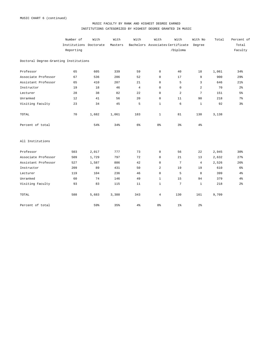## MUSIC FACULTY BY RANK AND HIGHEST DEGREE EARNED INSTITUTIONS CATEGORIZED BY HIGHEST DEGREE GRANTED IN MUSIC

|                                       | Number of              | With  | With    | With           | With           | With                             | With No        | Total | Percent of     |
|---------------------------------------|------------------------|-------|---------|----------------|----------------|----------------------------------|----------------|-------|----------------|
|                                       | Institutions Doctorate |       | Masters |                |                | Bachelors Associates Certificate | Degree         |       | Total          |
|                                       | Reporting              |       |         |                |                | /Diploma                         |                |       | Faculty        |
| Doctoral Degree-Granting Institutions |                        |       |         |                |                |                                  |                |       |                |
| Professor                             | 65                     | 605   | 339     | 59             | $^{\circ}$     | 40                               | 18             | 1,061 | 34%            |
| Associate Professor                   | 67                     | 536   | 286     | 52             | $\mathbf 0$    | 17                               | 9              | 900   | 29%            |
| Assistant Professor                   | 65                     | 410   | 207     | 21             | $\mathbf 0$    | 5                                | 3              | 646   | 21%            |
| Instructor                            | 19                     | 18    | 46      | $\overline{4}$ | $\mathbf 0$    | $\mathsf 0$                      | 2              | 70    | 2 <sup>°</sup> |
| Lecturer                              | 28                     | 38    | 82      | 22             | $\mathbf 0$    | 2                                | 7              | 151   | 5 <sup>°</sup> |
| Unranked                              | 12                     | 41    | 56      | 20             | $\mathbf 0$    | 11                               | 90             | 218   | 7%             |
| Visiting Faculty                      | 23                     | 34    | 45      | 5              | $\mathbf{1}$   | 6                                | $\mathbf{1}$   | 92    | $3\frac{6}{9}$ |
| TOTAL                                 | 70                     | 1,682 | 1,061   | 183            | $\mathbf{1}$   | 81                               | 130            | 3,138 |                |
| Percent of total                      |                        | 54%   | 34%     | 6 <sup>°</sup> | 0 %            | 3 <sup>°</sup>                   | $4\%$          |       |                |
| All Institutions                      |                        |       |         |                |                |                                  |                |       |                |
| Professor                             | 503                    | 2,017 | 777     | 73             | $\mathbf 0$    | 56                               | 22             | 2,945 | 30%            |
| Associate Professor                   | 509                    | 1,729 | 797     | 72             | $\mathbf 0$    | 21                               | 13             | 2,632 | 27%            |
| Assistant Professor                   | 527                    | 1,587 | 886     | 42             | $\mathbf 0$    | $7\phantom{.0}$                  | $\overline{4}$ | 2,526 | 26%            |
| Instructor                            | 209                    | 89    | 431     | 50             | 2              | 19                               | 19             | 610   | 6%             |
| Lecturer                              | 119                    | 104   | 236     | 46             | $\mathbf 0$    | 5                                | 8              | 399   | 4%             |
| Unranked                              | 60                     | 74    | 146     | 49             | $\mathbf{1}$   | 15                               | 94             | 379   | $4\%$          |
| Visiting Faculty                      | 93                     | 83    | 115     | 11             | $\mathbf{1}$   | $\overline{7}$                   | $\mathbf{1}$   | 218   | 2 <sup>°</sup> |
| TOTAL                                 | 588                    | 5,683 | 3,388   | 343            | $\overline{4}$ | 130                              | 161            | 9,709 |                |
| Percent of total                      |                        | 59%   | 35%     | $4\%$          | 0 %            | $1\%$                            | $2\frac{6}{9}$ |       |                |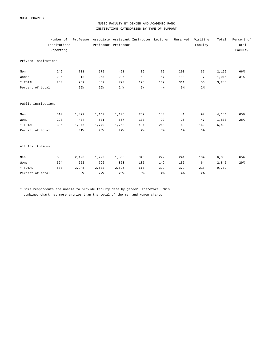MUSIC CHART 7

### MUSIC FACULTY BY GENDER AND ACADEMIC RANK INSTITUTIONS CATEGORIZED BY TYPE OF SUPPORT

|                      | Number of    |       |       |                     | Professor Associate Assistant Instructor Lecturer |                | Unranked       | Visiting       | Total | Percent of |
|----------------------|--------------|-------|-------|---------------------|---------------------------------------------------|----------------|----------------|----------------|-------|------------|
|                      | Institutions |       |       | Professor Professor |                                                   |                |                | Faculty        |       | Total      |
|                      | Reporting    |       |       |                     |                                                   |                |                |                |       | Faculty    |
| Private Institutions |              |       |       |                     |                                                   |                |                |                |       |            |
| Men                  | 246          | 731   | 575   | 461                 | 86                                                | 79             | 200            | 37             | 2,169 | 66%        |
| Women                | 226          | 218   | 265   | 296                 | 52                                                | 57             | 110            | 17             | 1,015 | 31%        |
| * TOTAL              | 263          | 969   | 862   | 773                 | 176                                               | 139            | 311            | 56             | 3,286 |            |
| Percent of total     |              | 29%   | 26%   | 24%                 | 5 <sup>°</sup>                                    | 4%             | 9%             | 2 <sup>°</sup> |       |            |
| Public Institutions  |              |       |       |                     |                                                   |                |                |                |       |            |
| Men                  | 310          | 1,392 | 1,147 | 1,105               | 259                                               | 143            | 41             | 97             | 4,184 | 65%        |
| Women                | 298          | 434   | 531   | 567                 | 133                                               | 92             | 26             | 47             | 1,830 | 28%        |
| * TOTAL              | 325          | 1,976 | 1,770 | 1,753               | 434                                               | 260            | 68             | 162            | 6,423 |            |
| Percent of total     |              | 31%   | 28%   | 27%                 | 7%                                                | 4 <sup>°</sup> | 1 <sup>°</sup> | 3 <sup>°</sup> |       |            |
| All Institutions     |              |       |       |                     |                                                   |                |                |                |       |            |
| Men                  | 556          | 2,123 | 1,722 | 1,566               | 345                                               | 222            | 241            | 134            | 6,353 | 65%        |
| Women                | 524          | 652   | 796   | 863                 | 185                                               | 149            | 136            | 64             | 2,845 | 29%        |
| * TOTAL              | 588          | 2,945 | 2,632 | 2,526               | 610                                               | 399            | 379            | 218            | 9,709 |            |
| Percent of total     |              | 30%   | 27%   | 26%                 | 6 <sup>°</sup>                                    | 4 <sup>°</sup> | 4 <sup>°</sup> | 2 <sup>°</sup> |       |            |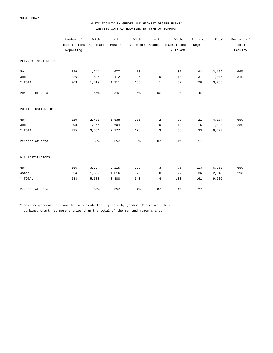## MUSIC FACULTY BY GENDER AND HIGHEST DEGREE EARNED INSTITUTIONS CATEGORIZED BY TYPE OF SUPPORT

|                      | Number of              | With  | With    | With           | With           | With                             | With No        | Total | Percent of |
|----------------------|------------------------|-------|---------|----------------|----------------|----------------------------------|----------------|-------|------------|
|                      | Institutions Doctorate |       | Masters |                |                | Bachelors Associates Certificate | Degree         |       | Total      |
|                      | Reporting              |       |         |                |                | /Diploma                         |                |       | Faculty    |
| Private Institutions |                        |       |         |                |                |                                  |                |       |            |
| Men                  | 246                    | 1,244 | 677     | 118            | $\mathbf{1}$   | 37                               | 92             | 2,169 | 66%        |
| Women                | 226                    | 526   | 412     | 36             | $\mathbf 0$    | 10                               | 31             | 1,015 | 31%        |
| $^{\star}$ TOTAL     | 263                    | 1,819 | 1,111   | 165            | $\mathbf{1}$   | 62                               | 128            | 3,286 |            |
| Percent of total     |                        | 55%   | 34%     | $5\%$          | 0 %            | 2 <sup>°</sup>                   | $4\frac{6}{6}$ |       |            |
| Public Institutions  |                        |       |         |                |                |                                  |                |       |            |
| Men                  | 310                    | 2,480 | 1,538   | 105            | $\overline{a}$ | 38                               | 21             | 4,184 | 65%        |
| Women                | 298                    | 1,166 | 604     | 43             | $\mathbf 0$    | 12                               | 5              | 1,830 | 28%        |
| $^\star$ TOTAL       | 325                    | 3,864 | 2,277   | 178            | 3              | 68                               | 33             | 6,423 |            |
| Percent of total     |                        | 60%   | 35%     | $3\frac{6}{9}$ | 0 <sup>°</sup> | $1\%$                            | $1\%$          |       |            |
| All Institutions     |                        |       |         |                |                |                                  |                |       |            |
| Men                  | 556                    | 3,724 | 2,215   | 223            | 3              | 75                               | 113            | 6,353 | 65%        |
| Women                | 524                    | 1,692 | 1,016   | 79             | $\mathbf 0$    | 22                               | 36             | 2,845 | 29%        |
| * TOTAL              | 588                    | 5,683 | 3,388   | 343            | $\overline{4}$ | 130                              | 161            | 9,709 |            |
| Percent of total     |                        | 59%   | 35%     | $4\frac{6}{6}$ | 0%             | $1\%$                            | $2\frac{6}{9}$ |       |            |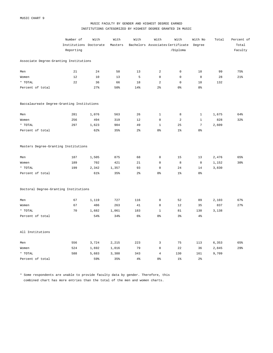## MUSIC FACULTY BY GENDER AND HIGHEST DEGREE EARNED INSTITUTIONS CATEGORIZED BY HIGHEST DEGREE GRANTED IN MUSIC

|                                            | Number of              | With  | With    | With           | With           | With                             | With No        | Total | Percent of |
|--------------------------------------------|------------------------|-------|---------|----------------|----------------|----------------------------------|----------------|-------|------------|
|                                            | Institutions Doctorate |       | Masters |                |                | Bachelors Associates Certificate | Degree         |       | Total      |
|                                            | Reporting              |       |         |                |                | /Diploma                         |                |       | Faculty    |
| Associate Degree-Granting Institutions     |                        |       |         |                |                |                                  |                |       |            |
| Men                                        | 21                     | 24    | 50      | 13             | 2              | $\mathsf{O}\xspace$              | 10             | 99    | 75%        |
| Women                                      | 12                     | 10    | 13      | 5              | $\mathbb O$    | 0                                | $\mathsf 0$    | 28    | 21%        |
| * TOTAL                                    | 22                     | 36    | 66      | 18             | 2              | 0                                | 10             | 132   |            |
| Percent of total                           |                        | 27%   | 50%     | 14%            | 2 <sup>°</sup> | 0 %                              | 8%             |       |            |
| Baccalaureate Degree-Granting Institutions |                        |       |         |                |                |                                  |                |       |            |
| Men                                        | 281                    | 1,076 | 563     | 26             | $\mathbf 1$    | 8                                | $\mathbf{1}$   | 1,675 | 64%        |
| Women                                      | 256                    | 494   | 319     | 12             | $\mathbf 0$    | 2                                | $\mathbf{1}$   | 828   | 32%        |
| * TOTAL                                    | 297                    | 1,623 | 904     | 49             | $\mathbf 1$    | 25                               | $\overline{7}$ | 2,609 |            |
| Percent of total                           |                        | 62%   | 35%     | $2\frac{6}{9}$ | 0 <sup>8</sup> | $1\%$                            | 0 %            |       |            |
| Masters Degree-Granting Institutions       |                        |       |         |                |                |                                  |                |       |            |
| Men                                        | 187                    | 1,505 | 875     | 68             | $\mathbb O$    | 15                               | 13             | 2,476 | 65%        |
| Women                                      | 189                    | 702   | 421     | 21             | $\mathbf 0$    | 8                                | $\mathbb O$    | 1,152 | 30%        |
| * TOTAL                                    | 199                    | 2,342 | 1,357   | 93             | $\mathbf 0$    | 24                               | 14             | 3,830 |            |
| Percent of total                           |                        | 61%   | 35%     | $2\frac{6}{9}$ | 0 <sup>°</sup> | $1\%$                            | $0\,$          |       |            |
| Doctoral Degree-Granting Institutions      |                        |       |         |                |                |                                  |                |       |            |
| Men                                        | 67                     | 1,119 | 727     | 116            | $\mathbf 0$    | 52                               | 89             | 2,103 | 67%        |
| Women                                      | 67                     | 486   | 263     | 41             | $\mathbb O$    | 12                               | 35             | 837   | 27%        |
| * TOTAL                                    | 70                     | 1,682 | 1,061   | 183            | $\mathbf{1}$   | 81                               | 130            | 3,138 |            |
| Percent of total                           |                        | 54%   | 34%     | 6%             | 0 <sup>°</sup> | 3%                               | 4%             |       |            |
| All Institutions                           |                        |       |         |                |                |                                  |                |       |            |
| Men                                        | 556                    | 3,724 | 2,215   | 223            | 3              | 75                               | 113            | 6,353 | 65%        |
| Women                                      | 524                    | 1,692 | 1,016   | 79             | $\mathbf 0$    | 22                               | 36             | 2,845 | 29%        |
| * TOTAL                                    | 588                    | 5,683 | 3,388   | 343            | $\overline{4}$ | 130                              | 161            | 9,709 |            |
| Percent of total                           |                        | 59%   | 35%     | 4 <sup>°</sup> | 0 <sup>°</sup> | 1 <sup>°</sup>                   | $2\frac{6}{9}$ |       |            |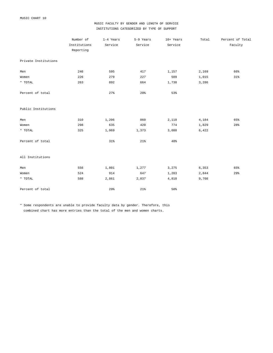## MUSIC FACULTY BY GENDER AND LENGTH OF SERVICE INSTITUTIONS CATEGORIZED BY TYPE OF SUPPORT

|                      | Number of    | 1-4 Years | 5-9 Years | 10+ Years | Total | Percent of Total |
|----------------------|--------------|-----------|-----------|-----------|-------|------------------|
|                      | Institutions | Service   | Service   | Service   |       | Faculty          |
|                      | Reporting    |           |           |           |       |                  |
| Private Institutions |              |           |           |           |       |                  |
| Men                  | 246          | 595       | 417       | 1,157     | 2,169 | 66%              |
| Women                | 226          | 279       | 227       | 509       | 1,015 | 31%              |
| * TOTAL              | 263          | 892       | 664       | 1,730     | 3,286 |                  |
| Percent of total     |              | 27%       | 20%       | 53%       |       |                  |
| Public Institutions  |              |           |           |           |       |                  |
| Men                  | 310          | 1,206     | 860       | 2,118     | 4,184 | 65%              |
| Women                | 298          | 635       | 420       | 774       | 1,829 | 28%              |
| $^\star$ TOTAL       | 325          | 1,969     | 1,373     | 3,080     | 6,422 |                  |
| Percent of total     |              | 31%       | 21%       | 48%       |       |                  |
| All Institutions     |              |           |           |           |       |                  |
| Men                  | 556          | 1,801     | 1,277     | 3,275     | 6,353 | 65%              |
| Women                | 524          | 914       | 647       | 1,283     | 2,844 | 29%              |
| * TOTAL              | 588          | 2,861     | 2,037     | 4,810     | 9,708 |                  |
| Percent of total     |              | 29%       | 21%       | 50%       |       |                  |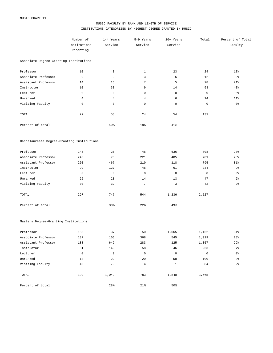## MUSIC FACULTY BY RANK AND LENGTH OF SERVICE INSTITUTIONS CATEGORIZED BY HIGHEST DEGREE GRANTED IN MUSIC

|                                            | Number of      | 1-4 Years           | 5-9 Years           | 10+ Years      | Total          | Percent of Total |
|--------------------------------------------|----------------|---------------------|---------------------|----------------|----------------|------------------|
|                                            | Institutions   | Service             | Service             | Service        |                | Faculty          |
|                                            | Reporting      |                     |                     |                |                |                  |
| Associate Degree-Granting Institutions     |                |                     |                     |                |                |                  |
| Professor                                  | 10             | $\mathsf{O}\xspace$ | $\mathbf{1}$        | 23             | 24             | 18%              |
| Associate Professor                        | 9              | 3                   | 3                   | 6              | 12             | 9%               |
| Assistant Professor                        | 14             | 16                  | $\overline{7}$      | 5              | 28             | 21%              |
| Instructor                                 | 10             | 30                  | 9                   | 14             | 53             | 40%              |
| Lecturer                                   | $\mathsf 0$    | $\mathsf{O}\xspace$ | 0                   | $\mathsf 0$    | $\mathbf 0$    | 0%               |
| Unranked                                   | $\overline{4}$ | $\overline{4}$      | $\overline{4}$      | 6              | 14             | $11$ %           |
| Visiting Faculty                           | 0              | $\mathsf{O}\xspace$ | $\mathsf{O}\xspace$ | 0              | $\mathbf 0$    | $0\,$            |
| TOTAL                                      | 22             | 53                  | 24                  | 54             | 131            |                  |
| Percent of total                           |                | 40%                 | 18%                 | 41%            |                |                  |
| Baccalaureate Degree-Granting Institutions |                |                     |                     |                |                |                  |
| Professor                                  | 245            | 26                  | 46                  | 636            | 708            | 28%              |
| Associate Professor                        | 246            | 75                  | 221                 | 405            | 701            | 28%              |
| Assistant Professor                        | 260            | 467                 | 210                 | 118            | 795            | 31%              |
| Instructor                                 | 99             | 127                 | 46                  | 61             | 234            | 9%               |
| Lecturer                                   | $\mathbf 0$    | $\mathsf{O}\xspace$ | $\mathbb O$         | $\mathsf 0$    | $\mathbf 0$    | 0%               |
| Unranked                                   | 26             | 20                  | 14                  | 13             | 47             | $2\frac{6}{6}$   |
| Visiting Faculty                           | 30             | 32                  | $\overline{7}$      | $\overline{3}$ | 42             | $2\frac{6}{6}$   |
| TOTAL                                      | 297            | 747                 | 544                 | 1,236          | 2,527          |                  |
| Percent of total                           |                | 30%                 | 22%                 | 49%            |                |                  |
| Masters Degree-Granting Institutions       |                |                     |                     |                |                |                  |
| Professor                                  | 183            | 37                  | 50                  | 1,065          | 1,152          | $31\%$           |
| Associate Professor                        | 187            | 106                 | 368                 | 545            | $1\, , \, 019$ | 28%              |
| Assistant Professor                        | 188            | 649                 | 283                 | 125            | 1,057          | 29%              |
| Instructor                                 | 81             | 149                 | 58                  | 46             | 253            | $7\%$            |
| Lecturer                                   | $\mathbb O$    | $\overline{0}$      | $\overline{0}$      | $\overline{0}$ | $\overline{0}$ | 0 <sup>°</sup>   |
| Unranked                                   | 18             | 22                  | 20                  | 58             | 100            | $3\frac{6}{9}$   |
| Visiting Faculty                           | 40             | 79                  | $\overline{4}$      | $\mathbf{1}$   | 84             | $2\frac{6}{9}$   |
| TOTAL                                      | 199            | 1,042               | 783                 | 1,840          | 3,665          |                  |
| Percent of total                           |                | 28%                 | $21\%$              | 50%            |                |                  |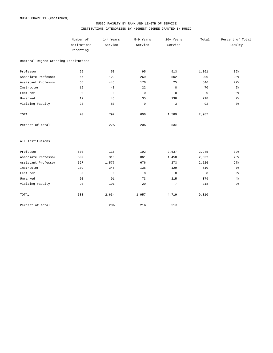### MUSIC FACULTY BY RANK AND LENGTH OF SERVICE INSTITUTIONS CATEGORIZED BY HIGHEST DEGREE GRANTED IN MUSIC

|                                       | Number of    | 1-4 Years   | 5-9 Years       | 10+ Years       | Total       | Percent of Total |
|---------------------------------------|--------------|-------------|-----------------|-----------------|-------------|------------------|
|                                       | Institutions | Service     | Service         | Service         |             | Faculty          |
|                                       | Reporting    |             |                 |                 |             |                  |
| Doctoral Degree-Granting Institutions |              |             |                 |                 |             |                  |
| Professor                             | 65           | 53          | 95              | 913             | 1,061       | 36%              |
| Associate Professor                   | 67           | 129         | 269             | 502             | 900         | 30%              |
| Assistant Professor                   | 65           | 445         | 176             | 25              | 646         | 22%              |
| Instructor                            | 19           | 40          | 22              | 8               | 70          | 2 <sup>°</sup>   |
| Lecturer                              | $\mathsf 0$  | $\mathsf 0$ | $\mathbb O$     | $\mathbb O$     | $\mathsf 0$ | 0 <sup>8</sup>   |
| Unranked                              | 12           | 45          | 35              | 138             | 218         | $7\frac{6}{6}$   |
| Visiting Faculty                      | 23           | 80          | 9               | 3               | 92          | 3%               |
| TOTAL                                 | 70           | 792         | 606             | 1,589           | 2,987       |                  |
| Percent of total                      |              | 27%         | 20 <sup>8</sup> | 53%             |             |                  |
| All Institutions                      |              |             |                 |                 |             |                  |
| Professor                             | 503          | 116         | 192             | 2,637           | 2,945       | 32%              |
| Associate Professor                   | 509          | 313         | 861             | 1,458           | 2,632       | 28%              |
| Assistant Professor                   | 527          | 1,577       | 676             | 273             | 2,526       | 27%              |
| Instructor                            | 209          | 346         | 135             | 129             | 610         | 7 <sup>°</sup>   |
| Lecturer                              | $\mathbf 0$  | $\mathsf 0$ | $\mathbb O$     | $\mathbf 0$     | $\mathbf 0$ | 0 %              |
| Unranked                              | 60           | 91          | 73              | 215             | 379         | 4%               |
| Visiting Faculty                      | 93           | 191         | 20              | $7\phantom{.0}$ | 218         | $2\frac{6}{9}$   |
| TOTAL                                 | 588          | 2,634       | 1,957           | 4,719           | 9,310       |                  |
| Percent of total                      |              | 28%         | 21%             | 51%             |             |                  |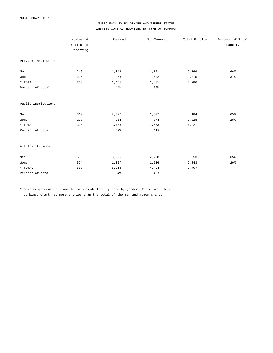## MUSIC FACULTY BY GENDER AND TENURE STATUS INSTITUTIONS CATEGORIZED BY TYPE OF SUPPORT

|                      | Number of    | Tenured | Non-Tenured | Total Faculty | Percent of Total |
|----------------------|--------------|---------|-------------|---------------|------------------|
|                      | Institutions |         |             |               | Faculty          |
|                      | Reporting    |         |             |               |                  |
| Private Institutions |              |         |             |               |                  |
| Men                  | 246          | 1,048   | 1,121       | 2,169         | 66%              |
| Women                | 226          | 373     | 642         | 1,015         | 31%              |
| * TOTAL              | 263          | 1,455   | 1,831       | 3,286         |                  |
| Percent of total     |              | 44%     | 56%         |               |                  |
| Public Institutions  |              |         |             |               |                  |
| Men                  | 310          | 2,577   | 1,607       | 4,184         | 65%              |
| Women                | 298          | 954     | 874         | 1,828         | 28%              |
| $*$ TOTAL            | 325          | 3,758   | 2,663       | 6,421         |                  |
| Percent of total     |              | 59%     | 41%         |               |                  |
| All Institutions     |              |         |             |               |                  |
| Men                  | 556          | 3,625   | 2,728       | 6,353         | 65%              |
| Women                | 524          | 1,327   | 1,516       | 2,843         | 29%              |
| * TOTAL              | 588          | 5,213   | 4,494       | 9,707         |                  |
| Percent of total     |              | 54%     | 46%         |               |                  |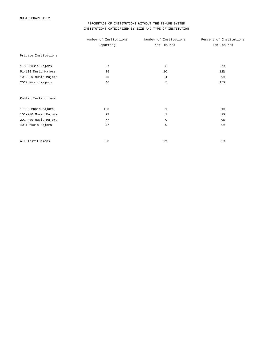## PERCENTAGE OF INSTITUTIONS WITHOUT THE TENURE SYSTEM INSTITUTIONS CATEGORIZED BY SIZE AND TYPE OF INSTITUTION

|                      | Number of Institutions | Number of Institutions | Percent of Institutions |
|----------------------|------------------------|------------------------|-------------------------|
|                      | Reporting              | Non-Tenured            | Non-Tenured             |
| Private Institutions |                        |                        |                         |
| 1-50 Music Majors    | 87                     | 6                      | 7 <sup>°</sup>          |
| 51-100 Music Majors  | 86                     | 10                     | 12%                     |
| 101-200 Music Majors | 45                     | $\overline{4}$         | 9 <sub>8</sub>          |
| 201+ Music Majors    | 46                     | $\overline{7}$         | 15%                     |
| Public Institutions  |                        |                        |                         |
| 1-100 Music Majors   | 108                    | $\mathbf{1}$           | 1%                      |
| 101-200 Music Majors | 93                     | $\mathbf{1}$           | $1\%$                   |
| 201-400 Music Majors | 77                     | $\mathbf 0$            | 0 <sup>°</sup>          |
| 401+ Music Majors    | 47                     | $\mathbf 0$            | 0 <sup>°</sup>          |
| All Institutions     | 588                    | 29                     | 5 <sup>°</sup>          |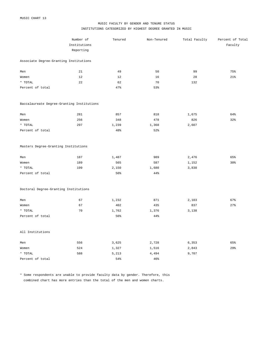#### MUSIC FACULTY BY GENDER AND TENURE STATUS INSTITUTIONS CATEGORIZED BY HIGHEST DEGREE GRANTED IN MUSIC

|                                            | Number of    | Tenured | Non-Tenured | Total Faculty | Percent of Total |
|--------------------------------------------|--------------|---------|-------------|---------------|------------------|
|                                            | Institutions |         |             |               | Faculty          |
|                                            | Reporting    |         |             |               |                  |
| Associate Degree-Granting Institutions     |              |         |             |               |                  |
| Men                                        | 21           | 49      | 50          | 99            | 75%              |
| Women                                      | 12           | 12      | 16          | 28            | 21%              |
| * TOTAL                                    | 22           | 62      | 70          | 132           |                  |
| Percent of total                           |              | 47%     | 53%         |               |                  |
| Baccalaureate Degree-Granting Institutions |              |         |             |               |                  |
| Men                                        | 281          | 857     | 818         | 1,675         | 64%              |
| Women                                      | 256          | 348     | 478         | 826           | 32%              |
| * TOTAL                                    | 297          | 1,239   | 1,368       | 2,607         |                  |
| Percent of total                           |              | 48%     | 52%         |               |                  |
| Masters Degree-Granting Institutions       |              |         |             |               |                  |
| Men                                        | 187          | 1,487   | 989         | 2,476         | 65%              |
| Women                                      | 189          | 565     | 587         | 1,152         | 30%              |
| * TOTAL                                    | 199          | 2,150   | 1,680       | 3,830         |                  |
| Percent of total                           |              | 56%     | 44%         |               |                  |
| Doctoral Degree-Granting Institutions      |              |         |             |               |                  |
| Men                                        | 67           | 1,232   | 871         | 2,103         | 67%              |
| Women                                      | 67           | 402     | 435         | 837           | 27%              |
| * TOTAL                                    | 70           | 1,762   | 1,376       | 3,138         |                  |
| Percent of total                           |              | 56%     | 44%         |               |                  |
| All Institutions                           |              |         |             |               |                  |
| Men                                        | 556          | 3,625   | 2,728       | 6,353         | 65%              |
| Women                                      | 524          | 1,327   | 1,516       | 2,843         | 29%              |
| * TOTAL                                    | 588          | 5,213   | 4,494       | 9,707         |                  |
| Percent of total                           |              | 54%     | 46%         |               |                  |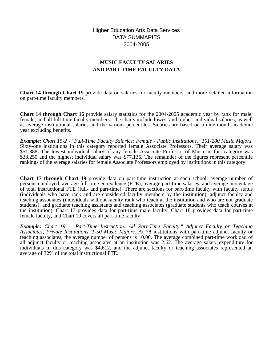Higher Education Arts Data Services DATA SUMMARIES 2004-2005

# **MUSIC FACULTY SALARIES AND PART-TIME FACULTY DATA**

**Chart 14 through Chart 19** provide data on salaries for faculty members, and more detailed information on part-time faculty members.

**Chart 14 through Chart 16** provide salary statistics for the 2004-2005 academic year by rank for male, female, and all full-time faculty members. The charts include lowest and highest individual salaries, as well as average institutional salaries and the various percentiles. Salaries are based on a nine-month academic year excluding benefits.

*Example: Chart 15-2 - "Full-Time Faculty Salaries: Female - Public Institutions," 101-200 Music Majors.* Sixty-one institutions in this category reported female Associate Professors. Their average salary was \$51,388. The lowest individual salary of any female Associate Professor of Music in this category was \$38,250 and the highest individual salary was \$77,136. The remainder of the figures represent percentile rankings of the average salaries for female Associate Professors employed by institutions in this category.

**Chart 17 through Chart 19** provide data on part-time instruction at each school: average number of persons employed, average full-time equivalence (FTE), average part-time salaries, and average percentage of total instructional FTE (full- and part-time). There are sections for part-time faculty with faculty status (individuals who have rank and are considered faculty members by the institution), adjunct faculty and teaching associates (individuals without faculty rank who teach at the institution and who are not graduate students), and graduate teaching assistants and teaching associates (graduate students who teach courses at the institution). Chart 17 provides data for part-time male faculty, Chart 18 provides data for part-time female faculty, and Chart 19 covers all part-time faculty.

*Example: Chart 19 - "Part-Time Instruction: All Part-Time Faculty," Adjunct Faculty or Teaching Associates, Private Institutions, 1-50 Music Majors.* At 78 institutions with part-time adjunct faculty or teaching associates, the average number of persons is 10.00. The average combined part-time workload of all adjunct faculty or teaching associates at an institution was 2.62. The average salary expenditure for individuals in this category was \$4,612, and the adjunct faculty or teaching associates represented an average of 32% of the total instructional FTE.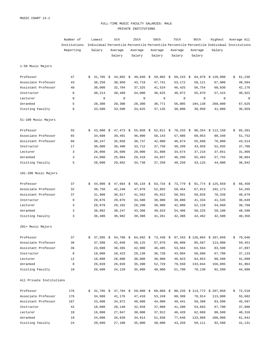#### FULL-TIME MUSIC FACULTY SALARIES: MALE PRIVATE INSTITUTIONS

|                          | Number of    |    | Lowest      | 5th |             | 25th |                      | 50th |           | 75th |             | 95th    | Highest                                                                                   | Average All  |
|--------------------------|--------------|----|-------------|-----|-------------|------|----------------------|------|-----------|------|-------------|---------|-------------------------------------------------------------------------------------------|--------------|
|                          | Institutions |    |             |     |             |      |                      |      |           |      |             |         | Individual Percentile Percentile Percentile Percentile Percentile Individual Institutions |              |
|                          | Reporting    |    | Salary      |     | Average     |      | Average              |      | Average   |      | Average     | Average | Salary                                                                                    |              |
|                          |              |    |             |     | Salary      |      | Salary               |      | Salary    |      | Salary      | Salary  |                                                                                           |              |
| 1-50 Music Majors        |              |    |             |     |             |      |                      |      |           |      |             |         |                                                                                           |              |
| Professor                | 47           | \$ | $31,705$ \$ |     | $44,802 \&$ |      | $49,840$ \$          |      | 59,902 \$ |      | $69,243$ \$ | 84,979  | \$120,000                                                                                 | \$<br>61,236 |
| Associate Professor      | 43           |    | 36,250      |     | 38,950      |      | 43,719               |      | 47,741    |      | 53,172      | 59,121  | 67,900                                                                                    | 48,504       |
| Assistant Professor      | 48           |    | 30,000      |     | 32,704      |      | 37,325               |      | 41,524    |      | 46,425      | 56,754  | 60,030                                                                                    | 42,176       |
| Instructor               | 8            |    | 30,214      |     | 30,489      |      | 34,000               |      | 36,625    |      | 48,872      | 55,870  | 57,415                                                                                    | 40,922       |
| Lecturer                 | 0            |    | 0           |     | 0           |      | 0                    |      | 0         |      | $\mathbf 0$ | 0       | $\mathbf 0$                                                                               | $\circ$      |
| Unranked                 | 5            |    | 28,300      |     | 28,300      |      | 28,300               |      | 36,771    |      | 56,005      | 194,138 | 260,000                                                                                   | 67,625       |
| Visiting Faculty         | 6            |    | 33,500      |     | 33,500      |      | 34,625               |      | 37,135    |      | 38,000      | 39,950  | 41,000                                                                                    | 36,659       |
| 51-100 Music Majors      |              |    |             |     |             |      |                      |      |           |      |             |         |                                                                                           |              |
| Professor                | 55           | \$ | 43,000      | \$  | $47,473$ \$ |      | 55,850 \$            |      | 62,811 \$ |      | $70,233$ \$ |         | 96,354 \$ 112,150                                                                         | \$<br>65,201 |
| Associate Professor      | 65           |    | 34,608      |     | 39,491      |      | 46,000               |      | 50,143    |      | 57,686      | 68,053  | 80,340                                                                                    | 51,752       |
| Assistant Professor      | 66           |    | 30,247      |     | 35,058      |      | 38,737               |      | 42,000    |      | 46,674      | 55,688  | 76,000                                                                                    | 43,514       |
| Instructor               | 17           |    | 30,000      |     | 30,400      |      | 33,712               |      | 37,750    |      | 40,299      | 43,959  | 52,935                                                                                    | 37,780       |
| Lecturer                 | 3            |    | 26,000      |     | 26,600      |      | 29,000               |      | 31,808    |      | 34,674      | 37,216  | 37,851                                                                                    | 31,866       |
| Unranked                 | 3            |    | 24,000      |     | 25,084      |      | 29,418               |      | 34,837    |      | 46,296      | 55,463  | 57,755                                                                                    | 38,864       |
| Visiting Faculty         | 5            |    | 28,000      |     | 29,662      |      | 34,738               |      | 37,250    |      | 40,250      | 43,125  | 44,000                                                                                    | 36,942       |
| 101-200 Music Majors     |              |    |             |     |             |      |                      |      |           |      |             |         |                                                                                           |              |
| Professor                | 37           | \$ | $44,900$ \$ |     | $47,664$ \$ |      | 56,134 $\frac{1}{5}$ |      | 63,734 \$ |      | $73,779$ \$ |         | 91,774 \$125,659                                                                          | \$<br>66,450 |
| Associate Professor      | 32           |    | 38,750      |     | 42,240      |      | 47,070               |      | 52,855    |      | 58,454      | 67,913  | 102,173                                                                                   | 54,265       |
| Assistant Professor      | 37           |    | 31,900      |     | 36,017      |      | 41,562               |      | 45,622    |      | 50,501      | 58,026  | 70,339                                                                                    | 46,679       |
| Instructor               | 9            |    | 29,876      |     | 29,876      |      | 34,500               |      | 38,000    |      | 39,800      | 41,334  | 41,535                                                                                    | 36,649       |
| Lecturer                 | 3            |    | 28,078      |     | 28,102      |      | 28,200               |      | 30,900    |      | 42,000      | 52,128  | 54,660                                                                                    | 36,768       |
| Unranked                 | 3            |    | 36,982      |     | 38,247      |      | 43,308               |      | 49,633    |      | 54,406      | 58,225  | 59,180                                                                                    | 48,598       |
| Visiting Faculty         | 3            |    | 36,400      |     | 36,982      |      | 39,308               |      | 41,261    |      | 42,308      | 42,462  | 42,500                                                                                    | 40,356       |
| 201+ Music Majors        |              |    |             |     |             |      |                      |      |           |      |             |         |                                                                                           |              |
| Professor                | 37           |    |             |     |             |      |                      |      |           |      |             |         | 37,505 \$ 54,780 \$ 64,692 \$ 73,430 \$ 87,343 \$ 126,864 \$ 207,050                      | \$79,646     |
| Associate Professor      | 36           |    | 37,500      |     | 42,840      |      | 50,125               |      | 57,078    |      | 66,608      | 85,587  | 113,000                                                                                   | 59,451       |
| Assistant Professor      | 36           |    | 23,600      |     | 36,365      |      | 42,000               |      | 46,485    |      | 53,584      | 63,564  | 83,500                                                                                    | 47,897       |
| Instructor               | 8            |    | 18,000      |     | 18,423      |      | 29,138               |      | 36,720    |      | 43,094      | 58,680  | 67,700                                                                                    | 37,133       |
| Lecturer                 | 12           |    | 16,000      |     | 28,000      |      | 30,000               |      | 38,900    |      | 46,823      | 64,853  | 80,500                                                                                    | 41,090       |
| Unranked                 | 8            |    | 26,820      |     | 26,820      |      | 35,390               |      | 52,729    |      | 79,550      | 133,044 | 156,095                                                                                   | 61,963       |
| Visiting Faculty         | 10           |    | 20,600      |     | 24,120      |      | 35,000               |      | 40,000    |      | 51,700      | 78,130  | 92,500                                                                                    | 44,896       |
| All Private Institutions |              |    |             |     |             |      |                      |      |           |      |             |         |                                                                                           |              |
| Professor                | 176          |    |             |     |             |      |                      |      |           |      |             |         | $$31,705$ $$47,704$ $$59,088$ $$68,068$ $$80,220$ $$113,772$ $$207,050$                   | \$72,510     |
| Associate Professor      | 176          |    | 34,608      |     | 41,176      |      | 47,410               |      | 53,249    |      | 60,399      | 78,914  | 113,000                                                                                   | 55,602       |
| Assistant Professor      | 187          |    | 23,600      |     | 34,972      |      | 40,000               |      | 44,000    |      | 49,441      | 59,360  | 83,500                                                                                    | 45,597       |
| Instructor               | 42           |    | 18,000      |     | 20,140      |      | 32,928               |      | 37,000    |      | 41,200      | 53,683  | 67,700                                                                                    | 37,606       |
| Lecturer                 | 18           |    | 16,000      |     | 27,847      |      | 30,000               |      | 37,912    |      | 46,428      | 62,069  | 80,500                                                                                    | 40,310       |
| Unranked                 | 19           |    | 24,000      |     | 26,820      |      | 34,914               |      | 51,938    |      | 77,648      | 133,868 | 260,000                                                                                   | 61,641       |
| Visiting Faculty         | 24           |    | 20,600      |     | 27,100      |      | 35,000               |      | 38,000    |      | 43,250      | 59,111  | 92,500                                                                                    | 41,131       |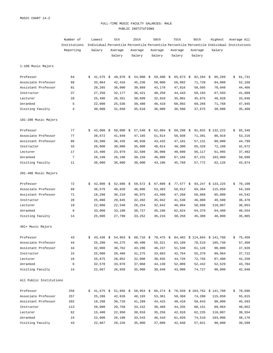#### FULL-TIME MUSIC FACULTY SALARIES: MALE PUBLIC INSTITUTIONS

|                         | Number of<br>Lowest |    |                      | 5th |             | 25th |             | 50th |             | 75th | 95th                                                                    |  | Highest     | Average All                                                                               |              |
|-------------------------|---------------------|----|----------------------|-----|-------------|------|-------------|------|-------------|------|-------------------------------------------------------------------------|--|-------------|-------------------------------------------------------------------------------------------|--------------|
|                         | Institutions        |    |                      |     |             |      |             |      |             |      |                                                                         |  |             | Individual Percentile Percentile Percentile Percentile Percentile Individual Institutions |              |
|                         | Reporting           |    | Salary               |     | Average     |      | Average     |      | Average     |      | Average                                                                 |  | Average     | Salary                                                                                    |              |
|                         |                     |    |                      |     | Salary      |      | Salary      |      | Salary      |      | Salary                                                                  |  | Salary      |                                                                                           |              |
| 1-100 Music Majors      |                     |    |                      |     |             |      |             |      |             |      |                                                                         |  |             |                                                                                           |              |
| Professor               | 64                  | Ŝ. | $41,575$ \$          |     | 48,978 \$   |      | $54,000$ \$ |      | 59,500      | \$   | $65,673$ \$                                                             |  | $82,284$ \$ | 95,269                                                                                    | \$<br>61,731 |
| Associate Professor     | 68                  |    | 33,864               |     | 42,416      |      | 45,236      |      | 50,000      |      | 56,092                                                                  |  | 71,728      | 84,000                                                                                    | 52,168       |
| Assistant Professor     | 81                  |    | 28,265               |     | 36,000      |      | 39,889      |      | 43,178      |      | 47,816                                                                  |  | 58,505      | 70,048                                                                                    | 44,466       |
| Instructor              | 37                  |    | 27,250               |     | 32,177      |      | 36,421      |      | 40,250      |      | 44,443                                                                  |  | 59,103      | 67,593                                                                                    | 41,609       |
| Lecturer                | 10                  |    | 25,496               |     | 26,351      |      | 30,699      |      | 32,810      |      | 35,001                                                                  |  | 45,675      | 46,928                                                                                    | 33,846       |
| Unranked                | 5                   |    | 22,000               |     | 25,536      |      | 39,480      |      | 46,410      |      | 60,092                                                                  |  | 69,266      | 71,768                                                                                    | 47,945       |
| Visiting Faculty        | $\overline{4}$      |    | 30,000               |     | 31,650      |      | 35,610      |      | 36,000      |      | 36,500                                                                  |  | 37,675      | 38,000                                                                                    | 35,460       |
| 101-200 Music Majors    |                     |    |                      |     |             |      |             |      |             |      |                                                                         |  |             |                                                                                           |              |
| Professor               | 77                  | Ŝ. | $43,000$ \$          |     | $50,000$ \$ |      | $57,540$ \$ |      | $62,604$ \$ |      | $69,298$ \$                                                             |  |             | 91,832 \$ 132,222                                                                         | \$<br>65,346 |
| Associate Professor     | 77                  |    | 38,672               |     | 41,849      |      | 47,165      |      | 51,614      |      | 56,938                                                                  |  | 71,391      | 86,919                                                                                    | 53,216       |
| Assistant Professor     | 86                  |    | 26,500               |     | 36,435      |      | 40,938      |      | 43,432      |      | 47,101                                                                  |  | 57,131      | 80,000                                                                                    | 44,799       |
| Instructor              | 33                  |    | 20,000               |     | 30,000      |      | 35,000      |      | 40,014      |      | 48,300                                                                  |  | 65,328      | 72,108                                                                                    | 42,672       |
| Lecturer                | 17                  |    | 15,400               |     | 23,979      |      | 32,509      |      | 36,000      |      | 40,600                                                                  |  | 56,117      | 61,995                                                                                    | 37,482       |
| Unranked                | 7                   |    | 26,198               |     | 26,198      |      | 30,158      |      | 46,888      |      | 67,166                                                                  |  | 87,231      | 103,000                                                                                   | 50,698       |
| Visiting Faculty        | 11                  |    | 36,000               |     | 36,000      |      | 38,000      |      | 43,196      |      | 45,760                                                                  |  | 57,772      | 62,126                                                                                    | 43,874       |
| 201-400 Music Majors    |                     |    |                      |     |             |      |             |      |             |      |                                                                         |  |             |                                                                                           |              |
| Professor               | 72                  | Ŝ. | $42,000 \text{ }$ \$ |     | 52,686 \$   |      | $59,572$ \$ |      | $67,898$ \$ |      | $77,577$ \$                                                             |  |             | 93,247 \$ 133,225                                                                         | \$<br>70,198 |
| Associate Professor     | 68                  |    | 36,576               |     | 40,820      |      | 48,806      |      | 53,383      |      | 58,012                                                                  |  | 69,384      | 115,850                                                                                   | 54,169       |
| Assistant Professor     | 71                  |    | 18,298               |     | 36,210      |      | 40,975      |      | 43,500      |      | 47,268                                                                  |  | 56,068      | 85,000                                                                                    | 44,542       |
| Instructor              | 28                  |    | 25,000               |     | 29,845      |      | 32,202      |      | 35,042      |      | 41,530                                                                  |  | 46,800      | 49,500                                                                                    | 36,470       |
| Lecturer                | 19                  |    | 22,000               |     | 22,540      |      | 28,254      |      | 32,642      |      | 40,894                                                                  |  | 50,688      | 110,007                                                                                   | 36,053       |
| Unranked                | 6                   |    | 33,000               |     | 33,190      |      | 38,727      |      | 45,196      |      | 62,824                                                                  |  | 64,379      | 64,480                                                                                    | 48,554       |
| Visiting Faculty        | 14                  |    | 25,000               |     | 27,799      |      | 33,252      |      | 36,216      |      | 38,250                                                                  |  | 45,300      | 46,000                                                                                    | 35,865       |
| 401+ Music Majors       |                     |    |                      |     |             |      |             |      |             |      |                                                                         |  |             |                                                                                           |              |
| Professor               | 43                  |    |                      |     |             |      |             |      |             |      | \$ 43,436 \$ 54,953 \$ 60,716 \$ 70,475 \$ 84,482 \$ 114,664 \$ 141,760 |  |             |                                                                                           | \$75,450     |
| Associate Professor     | 44                  |    | 25,280               |     | 44,275      |      | 49,490      |      | 55,521      |      | 63,109                                                                  |  | 78,510      | 105,748                                                                                   | 57,468       |
| Assistant Professor     | 44                  |    | 32,000               |     | 38,762      |      | 43,296      |      | 46,237      |      | 51,530                                                                  |  | 61,126      | 90,000                                                                                    | 47,926       |
| Instructor              | 15                  |    | 25,000               |     | 26,466      |      | 31,275      |      | 33,663      |      | 42,764                                                                  |  | 55,370      | 89,964                                                                                    | 37,722       |
| Lecturer                | 16                  |    | 25,675               |     | 28,052      |      | 32,000      |      | 38,935      |      | 44,726                                                                  |  | 72,756      | 87,480                                                                                    | 42,258       |
| Unranked                | 6                   |    | 32,570               |     | 33,070      |      | 37,068      |      | 44,130      |      | 52,009                                                                  |  | 52,432      | 52,529                                                                                    | 43,704       |
| Visiting Faculty        | 14                  |    | 22,667               |     | 26,650      |      | 35,000      |      | 38,648      |      | 43,000                                                                  |  | 74,727      | 90,000                                                                                    | 42,048       |
| All Public Institutions |                     |    |                      |     |             |      |             |      |             |      |                                                                         |  |             |                                                                                           |              |
| Professor               | 256                 |    |                      |     |             |      |             |      |             |      | $$41,575$ $$51,956$ $$58,954$ $$66,274$ $$78,559$ $$104,762$ $$141,760$ |  |             |                                                                                           | 70,696       |
| Associate Professor     | 257                 |    | 25,280               |     | 42,628      |      | 48,193      |      | 53,361      |      | 59,368                                                                  |  | 74,200      | 115,850                                                                                   | 55,015       |
| Assistant Professor     | 282                 |    | 18,298               |     | 36,710      |      | 41,289      |      | 44,415      |      | 48,410                                                                  |  | 58,643      | 90,000                                                                                    | 45,593       |
| Instructor              | 113                 |    | 20,000               |     | 29,758      |      | 33,152      |      | 38,460      |      | 44,335                                                                  |  | 60,151      | 89,964                                                                                    | 40,052       |
| Lecturer                | 62                  |    | 15,400               |     | 22,950      |      | 30,910      |      | 35,256      |      | 42,910                                                                  |  | 62,235      | 110,007                                                                                   | 38,554       |
| Unranked                | 24                  |    | 22,000               |     | 26,198      |      | 33,543      |      | 46,410      |      | 61,920                                                                  |  | 74,510      | 103,000                                                                                   | 48,176       |
| Visiting Faculty        | 43                  |    | 22,667               |     | 28,226      |      | 35,000      |      | 37,000      |      | 42,840                                                                  |  | 57,821      | 90,000                                                                                    | 39,598       |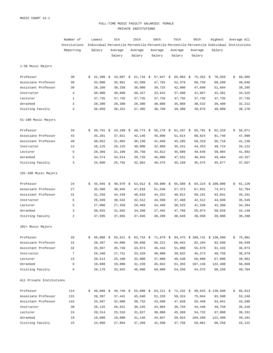#### FULL-TIME MUSIC FACULTY SALARIES: FEMALE PRIVATE INSTITUTIONS

|                          | Number of       |    | Lowest               |  | 5th         |  | 25th        |  | 50th                 |  | 75th        | 95th        | Highest                                                                                   | Average All  |
|--------------------------|-----------------|----|----------------------|--|-------------|--|-------------|--|----------------------|--|-------------|-------------|-------------------------------------------------------------------------------------------|--------------|
|                          | Institutions    |    |                      |  |             |  |             |  |                      |  |             |             | Individual Percentile Percentile Percentile Percentile Percentile Individual Institutions |              |
|                          | Reporting       |    | Salary               |  | Average     |  | Average     |  | Average              |  | Average     | Average     | Salary                                                                                    |              |
|                          |                 |    |                      |  | Salary      |  | Salary      |  | Salary               |  | Salary      | Salary      |                                                                                           |              |
| 1-50 Music Majors        |                 |    |                      |  |             |  |             |  |                      |  |             |             |                                                                                           |              |
| Professor                | 30              | S. | $42,300$ \$          |  | 43,007 \$   |  | $51,716$ \$ |  | 57,647 \$            |  | $65,984$ \$ | $75,262$ \$ | 78,920                                                                                    | \$<br>58,895 |
| Associate Professor      | 30              |    | 33,000               |  | 35,961      |  | 43,589      |  | 47,702               |  | 52,379      | 60,759      | 69,200                                                                                    | 48,046       |
| Assistant Professor      | 30              |    | 28,100               |  | 30,250      |  | 36,000      |  | 39,725               |  | 42,000      | 47,040      | 51,604                                                                                    | 39,295       |
| Instructor               | 4               |    | 30,000               |  | 30,098      |  | 30,327      |  | 33,642               |  | 37,500      | 41,067      | 42,381                                                                                    | 34,525       |
| Lecturer                 | $\mathbf{1}$    |    | 37,735               |  | 37,735      |  | 37,735      |  | 37,735               |  | 37,735      | 37,735      | 37,735                                                                                    | 37,735       |
| Unranked                 | 3               |    | 28,300               |  | 28,300      |  | 28,300      |  | 30,000               |  | 35,060      | 38,532      | 39,400                                                                                    | 32,212       |
| Visiting Faculty         | 3               |    | 36,050               |  | 36,321      |  | 37,405      |  | 38,760               |  | 39,380      | 39,876      | 40,000                                                                                    | 38,270       |
| 51-100 Music Majors      |                 |    |                      |  |             |  |             |  |                      |  |             |             |                                                                                           |              |
| Professor                | 34              | S. | $40,791 \text{ }$ \$ |  | $43,109$ \$ |  | $49,773$ \$ |  | 56,178 $\frac{1}{5}$ |  | $61,297$ \$ | $65,791$ \$ | 82,310                                                                                    | \$<br>56,071 |
| Associate Professor      | 43              |    | 35,281               |  | 37,021      |  | 42,146      |  | 45,890               |  | 51,614      | 60,824      | 91,740                                                                                    | 47,900       |
| Assistant Professor      | 49              |    | 30,052               |  | 31,992      |  | 36,230      |  | 41,048               |  | 45,285      | 50,310      | 56,718                                                                                    | 41,138       |
| Instructor               | 13              |    | 26,125               |  | 26,125      |  | 30,000      |  | 32,960               |  | 35,241      | 44,353      | 48,724                                                                                    | 34,122       |
| Lecturer                 | 5               |    | 28,366               |  | 31,106      |  | 39,750      |  | 43,812               |  | 45,680      | 49,646      | 50,904                                                                                    | 41,992       |
| Unranked                 | 5               |    | 34,374               |  | 34,614      |  | 39,726      |  | 45,000               |  | 47,531      | 48,842      | 49,404                                                                                    | 43,327       |
| Visiting Faculty         | 4               |    | 24,000               |  | 25,792      |  | 32,962      |  | 40,475               |  | 45,169      | 45,575      | 45,677                                                                                    | 37,657       |
| 101-200 Music Majors     |                 |    |                      |  |             |  |             |  |                      |  |             |             |                                                                                           |              |
| Professor                | 24              | \$ | $45,945$ \$          |  | 48,970 \$   |  | $53,012$ \$ |  | $59,000$ \$          |  | $65,580$ \$ |             | 84,224 \$100,000                                                                          | \$<br>61,120 |
| Associate Professor      | 27              |    | 35,500               |  | 39,945      |  | 47,818      |  | 51,546               |  | 57,373      | 67,831      | 74,971                                                                                    | 52,704       |
| Assistant Professor      | 31              |    | 31,250               |  | 34,428      |  | 40,010      |  | 44,252               |  | 48,812      | 58,191      | 63,041                                                                                    | 45,161       |
| Instructor               | 6               |    | 29,939               |  | 30,542      |  | 32,512      |  | 34,500               |  | 37,468      | 42,512      | 44,030                                                                                    | 35,546       |
| Lecturer                 | 5               |    | 27,000               |  | 27,359      |  | 29,469      |  | 34,450               |  | 38,525      | 41,530      | 42,300                                                                                    | 34,284       |
| Unranked                 | 3               |    | 30,925               |  | 31,582      |  | 34,208      |  | 37,492               |  | 47,760      | 55,974      | 58,028                                                                                    | 42,148       |
| Visiting Faculty         | 2               |    | 37,595               |  | 37,665      |  | 37,946      |  | 38,298               |  | 38,649      | 38,930      | 39,000                                                                                    | 38,298       |
| 201+ Music Majors        |                 |    |                      |  |             |  |             |  |                      |  |             |             |                                                                                           |              |
| Professor                | 26              |    |                      |  |             |  |             |  |                      |  |             |             | 40,000 \$ 55,911 \$ 63,734 \$ 71,879 \$ 84,475 \$ 109,741 \$ 138,500                      | \$75,981     |
| Associate Professor      | 31              |    | 28,397               |  | 44,060      |  | 50,668      |  | 56,221               |  | 66,042      | 82,184      | 92,500                                                                                    | 58,640       |
| Assistant Professor      | 32              |    | 25,507               |  | 35,746      |  | 43,074      |  | 46,416               |  | 51,080      | 55,670      | 61,433                                                                                    | 46,073       |
| Instructor               | $7\phantom{.0}$ |    | 26,340               |  | 27,751      |  | 33,429      |  | 38,000               |  | 39,832      | 45,273      | 48,750                                                                                    | 36,679       |
| Lecturer                 | 13              |    | 20,514               |  | 25,100      |  | 32,000      |  | 37,000               |  | 48,538      | 56,800      | 67,000                                                                                    | 39,962       |
| Unranked                 | 8               |    | 19,800               |  | 19,800      |  | 31,220      |  | 45,652               |  | 61,355      | 107,136     | 122,400                                                                                   | 50,668       |
| Visiting Faculty         | 6               |    | 29,178               |  | 33,925      |  | 46,000      |  | 50,000               |  | 54,250      | 64,575      | 68,250                                                                                    | 49,704       |
| All Private Institutions |                 |    |                      |  |             |  |             |  |                      |  |             |             |                                                                                           |              |
| Professor                | 114             |    |                      |  |             |  |             |  |                      |  |             |             | $$40,000$$ \$ 46,746 \$ 55,000 \$ 63,211 \$ 72,232 \$ 99,625 \$ 138,500                   | \$66,013     |
| Associate Professor      | 131             |    | 28,397               |  | 37,441      |  | 45,640      |  | 51,220               |  | 58,324      | 75,044      | 92,500                                                                                    | 53,246       |
| Assistant Professor      | 142             |    | 25,507               |  | 32,000      |  | 38,732      |  | 43,500               |  | 47,928      | 55,450      | 63,041                                                                                    | 43,588       |
| Instructor               | 30              |    | 26,125               |  | 26,921      |  | 30,245      |  | 34,904               |  | 38,759      | 44,440      | 48,750                                                                                    | 35,318       |
| Lecturer                 | 24              |    | 20,514               |  | 25,518      |  | 31,827      |  | 38,000               |  | 45,369      | 54,732      | 67,000                                                                                    | 39,331       |
| Unranked                 | 19              |    | 19,800               |  | 19,800      |  | 31,146      |  | 44,047               |  | 59,924      | 104,209     | 122,400                                                                                   | 49,101       |
| Visiting Faculty         | 15              |    | 24,000               |  | 27,884      |  | 37,209      |  | 42,500               |  | 47,750      | 59,062      | 68,250                                                                                    | 43,122       |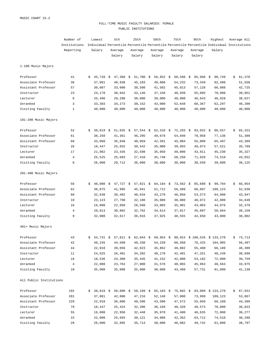#### FULL-TIME MUSIC FACULTY SALARIES: FEMALE PUBLIC INSTITUTIONS

|                         | Number of      |    | Lowest      |  | 5th         |      | 25th        |  | 50th        | 75th | 95th        | Highest     | Average All                                                                               |              |
|-------------------------|----------------|----|-------------|--|-------------|------|-------------|--|-------------|------|-------------|-------------|-------------------------------------------------------------------------------------------|--------------|
|                         | Institutions   |    |             |  |             |      |             |  |             |      |             |             | Individual Percentile Percentile Percentile Percentile Percentile Individual Institutions |              |
|                         | Reporting      |    | Salary      |  | Average     |      | Average     |  | Average     |      | Average     | Average     | Salary                                                                                    |              |
|                         |                |    |             |  | Salary      |      | Salary      |  | Salary      |      | Salary      | Salary      |                                                                                           |              |
| 1-100 Music Majors      |                |    |             |  |             |      |             |  |             |      |             |             |                                                                                           |              |
| Professor               | 41             | \$ | $45,728$ \$ |  | 47,368      | - \$ | $51,700$ \$ |  | 56,952 \$   |      | $68,580$ \$ | $85,960$ \$ | 98,749                                                                                    | \$<br>61,370 |
| Associate Professor     | 36             |    | 37,081      |  | 40,938      |      | 45,103      |  | 49,000      |      | 54,232      | 73,349      | 82,488                                                                                    | 51,558       |
| Assistant Professor     | 57             |    | 30,007      |  | 33,000      |      | 38,500      |  | 41,502      |      | 45,013      | 57,128      | 66,088                                                                                    | 42,725       |
| Instructor              | 23             |    | 24,178      |  | 30,942      |      | 33,146      |  | 37,150      |      | 40,939      | 55,095      | 70,000                                                                                    | 39,052       |
| Lecturer                | 6              |    | 25,496      |  | 29,298      |      | 38,000      |  | 39,000      |      | 40,000      | 46,643      | 46,928                                                                                    | 38,627       |
| Unranked                | 3              |    | 33,303      |  | 34,273      |      | 38,152      |  | 43,000      |      | 52,648      | 60,367      | 62,297                                                                                    | 46,200       |
| Visiting Faculty        | $\mathbf{1}$   |    | 40,000      |  | 40,000      |      | 40,000      |  | 40,000      |      | 40,000      | 40,000      | 40,000                                                                                    | 40,000       |
| 101-200 Music Majors    |                |    |             |  |             |      |             |  |             |      |             |             |                                                                                           |              |
| Professor               | 52             | Ŝ. | $38,819$ \$ |  | $51,035$ \$ |      | $57,544$ \$ |  | $62,316$ \$ |      | $72,293$ \$ | $93,032$ \$ | 96,557                                                                                    | \$<br>65,322 |
| Associate Professor     | 61             |    | 38,250      |  | 41,361      |      | 46,295      |  | 49,678      |      | 54,840      | 70,958      | 77,136                                                                                    | 51,388       |
| Assistant Professor     | 68             |    | 33,060      |  | 35,848      |      | 40,059      |  | 42,591      |      | 45,004      | 55,008      | 65,497                                                                                    | 43,389       |
| Instructor              | 26             |    | 18,447      |  | 25,032      |      | 30,542      |  | 35,000      |      | 39,955      | 49,073      | 57,521                                                                                    | 35,789       |
| Lecturer                | 17             |    | 21,082      |  | 23,435      |      | 32,598      |  | 35,050      |      | 40,000      | 43,911      | 45,230                                                                                    | 35,327       |
| Unranked                | $\overline{4}$ |    | 25,525      |  | 25,693      |      | 27,410      |  | 35,748      |      | 58,250      | 71,928      | 74,510                                                                                    | 43,652       |
| Visiting Faculty        | 8              |    | 26,000      |  | 29,712      |      | 36,000      |  | 38,000      |      | 38,000      | 38,550      | 39,000                                                                                    | 36,125       |
| 201-400 Music Majors    |                |    |             |  |             |      |             |  |             |      |             |             |                                                                                           |              |
| Professor               | 56             | Ŝ. | $40,000$ \$ |  | $47,727$ \$ |      | $57,821$ \$ |  | $64,184$ \$ |      | $73,562$ \$ | 85,680      | \$<br>99,784                                                                              | \$<br>66,054 |
| Associate Professor     | 62             |    | 38,875      |  | 41,995      |      | 45,941      |  | 51,712      |      | 56,589      | 66,607      | 109,123                                                                                   | 52,630       |
| Assistant Professor     | 60             |    | 32,630      |  | 36,482      |      | 40,634      |  | 43,270      |      | 46,850      | 53,573      | 64,800                                                                                    | 43,947       |
| Instructor              | 19             |    | 23,123      |  | 27,790      |      | 32,100      |  | 35,000      |      | 38,000      | 40,072      | 42,000                                                                                    | 34,648       |
| Lecturer                | 16             |    | 16,000      |  | 22,950      |      | 28,560      |  | 33,003      |      | 35,901      | 43,003      | 44,976                                                                                    | 32,379       |
| Unranked                | $\overline{4}$ |    | 29,813      |  | 30,802      |      | 32,762      |  | 34,614      |      | 37,017      | 45,897      | 50,664                                                                                    | 36,150       |
| Visiting Faculty        | 9              |    | 32,000      |  | 32,617      |      | 36,016      |  | 37,925      |      | 40,555      | 42,650      | 43,000                                                                                    | 38,002       |
| 401+ Music Majors       |                |    |             |  |             |      |             |  |             |      |             |             |                                                                                           |              |
| Professor               | 43             |    |             |  |             |      |             |  |             |      |             |             | 54,731 \$ 57,011 \$ 62,844 \$ 69,954 \$ 80,924 \$ 100,526 \$ 133,270                      | \$73,713     |
| Associate Professor     | 42             |    | 40,245      |  | 44,509      |      | 49,330      |  | 54,239      |      | 60,568      | 76,425      | 104,905                                                                                   | 56,497       |
| Assistant Professor     | 44             |    | 22,910      |  | 39,056      |      | 42,823      |  | 45,862      |      | 49,802      | 55,400      | 66,189                                                                                    | 46,389       |
| Instructor              | 11             |    | 24,625      |  | 26,401      |      | 34,392      |  | 40,170      |      | 42,401      | 47,251      | 48,249                                                                                    | 38,690       |
| Lecturer                | 16             |    | 18,536      |  | 24,300      |      | 35,445      |  | 41,152      |      | 42,800      | 53,182      | 72,000                                                                                    | 39,759       |
| Unranked                | 4              |    | 22,000      |  | 23,763      |      | 27,000      |  | 31,570      |      | 40,065      | 45,963      | 46,563                                                                                    | 33,975       |
| Visiting Faculty        | 10             |    | 35,000      |  | 35,000      |      | 35,000      |  | 38,000      |      | 43,460      | 57,731      | 61,800                                                                                    | 41,138       |
| All Public Institutions |                |    |             |  |             |      |             |  |             |      |             |             |                                                                                           |              |
| Professor               | 192            |    |             |  |             |      |             |  |             |      |             |             | $$38,819$ $$50,000$ $$58,189$ $$65,183$ $$75,602$ $$93,089$ $$133,270$                    | \$67,931     |
| Associate Professor     | 201            |    | 37,081      |  | 42,000      |      | 47,216      |  | 52,148      |      | 57,800      | 73,999      | 109,123                                                                                   | 53,867       |
| Assistant Professor     | 229            |    | 22,910      |  | 36,000      |      | 40,590      |  | 43,500      |      | 47,572      | 55,050      | 66,189                                                                                    | 44,309       |
| Instructor              | 79             |    | 18,447      |  | 25,424      |      | 32,396      |  | 36,169      |      | 40,320      | 48,573      | 70,000                                                                                    | 36,823       |
| Lecturer                | 55             |    | 16,000      |  | 22,950      |      | 32,448      |  | 35,970      |      | 41,400      | 46,635      | 72,000                                                                                    | 36,277       |
| Unranked                | 15             |    | 22,000      |  | 25,693      |      | 30,121      |  | 34,808      |      | 42,362      | 63,712      | 74,510                                                                                    | 38,288       |
| Visiting Faculty        | 28             |    | 26,000      |  | 32,895      |      | 35,714      |  | 38,000      |      | 40,082      | 49,742      | 61,800                                                                                    | 38,797       |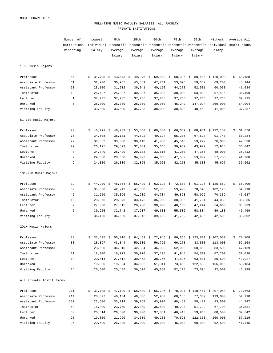#### FULL-TIME MUSIC FACULTY SALARIES: ALL FACULTY PRIVATE INSTITUTIONS

|                          | Number of    |    | Lowest               | 5th         | 25th |             | 50th        | 75th                 | 95th          | Highest                                                                                   | Average All  |
|--------------------------|--------------|----|----------------------|-------------|------|-------------|-------------|----------------------|---------------|-------------------------------------------------------------------------------------------|--------------|
|                          | Institutions |    |                      |             |      |             |             |                      |               | Individual Percentile Percentile Percentile Percentile Percentile Individual Institutions |              |
|                          | Reporting    |    | Salary               | Average     |      | Average     | Average     | Average              | Average       | Salary                                                                                    |              |
|                          |              |    |                      | Salary      |      | Salary      | Salary      | Salary               | Salary        |                                                                                           |              |
| 1-50 Music Majors        |              |    |                      |             |      |             |             |                      |               |                                                                                           |              |
| Professor                | 64           | Ŝ. | $31,705$ \$          | $43,673$ \$ |      | $49,976$ \$ | $59,009$ \$ | $68,396$ \$          |               | 80,415 \$120,000                                                                          | \$<br>60,488 |
| Associate Professor      | 61           |    | 32,200               | 36,955      |      | 43,581      | 47,741      | 53,096               | 59,387        | 69,200                                                                                    | 48,144       |
| Assistant Professor      | 60           |    | 28,100               | 31,912      |      | 36,041      | 40,150      | 44,278               | 52,501        | 60,030                                                                                    | 41,034       |
| Instructor               | 13           |    | 25,437               | 25,887      |      | 30,327      | 35,000      | 38,000               | 53,883        | 57,415                                                                                    | 36,499       |
| Lecturer                 | $\mathbf{1}$ |    | 37,735               | 37,735      |      | 37,735      | 37,735      | 37,735               | 37,735        | 37,735                                                                                    | 37,735       |
| Unranked                 | 6            |    | 28,300               | 28,300      |      | 28,300      | 30,000      | 45,242               | 147,094       | 260,000                                                                                   | 54,004       |
| Visiting Faculty         | 8            |    | 33,500               | 33,500      |      | 35,788      | 38,000      | 38,820               | 40,450        | 41,000                                                                                    | 37,257       |
| 51-100 Music Majors      |              |    |                      |             |      |             |             |                      |               |                                                                                           |              |
| Professor                | 70           | S. | $40,791$ \$          | $46,732 \&$ |      | 53,550 $$$  | $60,550$ \$ | $66,652 \text{ }$ \$ |               | 88,931 \$ 112,150                                                                         | \$<br>61,876 |
| Associate Professor      | 76           |    | 34,608               | 38,101      |      | 44,522      | 49,124      | 55,236               | 67,528        | 91,740                                                                                    | 50,284       |
| Assistant Professor      | 77           |    | 30,052               | 33,000      |      | 38,110      | 41,900      | 45,510               | 53,222        | 76,000                                                                                    | 42,530       |
| Instructor               | 27           |    | 26,125               | 29,573      |      | 32,039      | 35,646      | 39,937               | 43,977        | 52,935                                                                                    | 36,042       |
| Lecturer                 | 8            |    | 24,840               | 25,420      |      | 29,183      | 33,615      | 41,250               | 47,356        | 48,000                                                                                    | 35,412       |
| Unranked                 | 7            |    | 24,000               | 28,668      |      | 34,922      | 44,638      | 47,532               | 53,997        | 57,755                                                                                    | 41,988       |
| Visiting Faculty         | 9            |    | 24,000               | 26,000      |      | 32,825      | 35,950      | 42,250               | 45,338        | 45,677                                                                                    | 36,662       |
| 101-200 Music Majors     |              |    |                      |             |      |             |             |                      |               |                                                                                           |              |
| Professor                | 39           | Ŝ. | $44,900 \text{ }$ \$ | $48,054$ \$ |      | $55,420$ \$ | $62,198$ \$ | $72,603$ \$          |               | 91,195 \$ 125,659                                                                         | \$<br>65,409 |
| Associate Professor      | 39           |    | 35,500               | 42,247      |      | 47,860      | 52,855      | 59,490               | 70,548        | 102,173                                                                                   | 54,710       |
| Assistant Professor      | 42           |    | 31,250               | 35,096      |      | 41,239      | 44,734      | 49,893               | 58,072        | 70,339                                                                                    | 46,087       |
| Instructor               | 13           |    | 29,876               | 29,876      |      | 33,472      | 36,000      | 38,996               | 41,784        | 44,030                                                                                    | 36,236       |
| Lecturer                 | 7            |    | 27,000               | 27,615      |      | 28,200      | 30,900      | 40,100               | 47,244        | 54,660                                                                                    | 35,239       |
| Unranked                 | 6            |    | 30,925               | 32,742      |      | 37,237      | 49,633      | 55,536               | 58,834        | 59,180                                                                                    | 46,469       |
| Visiting Faculty         | 5            |    | 36,400               | 36,699      |      | 37,946      | 39,639      | 41,752               | 42,436        | 42,500                                                                                    | 39,502       |
| 201+ Music Majors        |              |    |                      |             |      |             |             |                      |               |                                                                                           |              |
| Professor                | 38           |    |                      |             |      |             |             |                      |               | \$ 37,505 \$ 55,016 \$ 64,482 \$ 72,945 \$ 86,855 \$ 123,631 \$ 207,050                   | \$78,706     |
| Associate Professor      | 38           |    | 28,397               | 43,044      |      | 50,500      | 56,722      | 66,270               | 83,500        | 113,000                                                                                   | 59,168       |
| Assistant Professor      | 38           |    | 23,600               | 36,310      |      | 42,384      | 46,392      |                      | 52,000 60,000 | 83,500                                                                                    | 47,139       |
| Instructor               | 11           |    | 18,000               | 18,973      |      | 30,970      | 37,108      | 41,945               |               | 54,509 67,700                                                                             | 37,030       |
| Lecturer                 | 14           |    | 20,514               | 27,512      |      | 30,458      | 38,766      | 47,826               | 63,811        | 80,500                                                                                    | 40,927       |
| Unranked                 | 9            |    | 19,800               | 19,884      |      | 34,632      | 51,311      | 73,453               | 122,599       | 156,095                                                                                   | 58,184       |
| Visiting Faculty         | 14           |    | 20,600               | 25,487      |      | 36,500      | 45,850      | 52,125               | 73,594        | 92,500                                                                                    | 46,299       |
| All Private Institutions |              |    |                      |             |      |             |             |                      |               |                                                                                           |              |
| Professor                | 211          |    |                      |             |      |             |             |                      |               | $$31,705$ \$ 47,180 \$ 58,500 \$ 66,796 \$ 78,027 \$ 110,467 \$ 207,050                   | \$70,663     |
| Associate Professor      | 214          |    | 28,397               | 40,154      |      | 46,836      | 52,950      | 60,185               | 77,339        | 113,000                                                                                   | 54,910       |
| Assistant Professor      | 217          |    | 23,600               | 33,714      |      | 39,758      | 43,900      | 48,453               |               | 58,477 83,500                                                                             | 44,747       |
| Instructor               | 64           |    | 18,000               | 23,750      |      | 32,000      | 36,500      | 40,224               |               | 51,733 67,700                                                                             | 36,531       |
| Lecturer                 | 30           |    | 20,514               | 26,300      |      | 30,000      | 37,851      | 46,413               | 59,963        | 80,500                                                                                    | 39,842       |
| Unranked                 | 28           |    | 19,800               | 21,920      |      | 34,600      | 49,233      | 70,520               | 122,353       | 260,000                                                                                   | 57,216       |
| Visiting Faculty         | 36           |    | 20,600               | 26,800      |      | 35,000      | 39,000      | 45,000               | 60,900        | 92,500                                                                                    | 41,445       |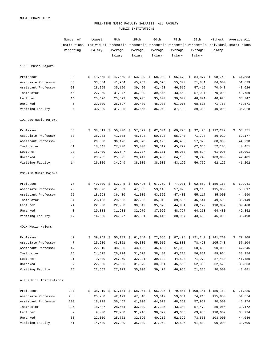#### FULL-TIME MUSIC FACULTY SALARIES: ALL FACULTY PUBLIC INSTITUTIONS

|                         | Number of    |    | Lowest      | 5th |                      | 25th |             | 50th |             | 75th | 95th        |  | Highest     | Average All                                                                               |              |
|-------------------------|--------------|----|-------------|-----|----------------------|------|-------------|------|-------------|------|-------------|--|-------------|-------------------------------------------------------------------------------------------|--------------|
|                         | Institutions |    |             |     |                      |      |             |      |             |      |             |  |             | Individual Percentile Percentile Percentile Percentile Percentile Individual Institutions |              |
|                         | Reporting    |    | Salary      |     | Average              |      | Average     |      | Average     |      | Average     |  | Average     | Salary                                                                                    |              |
|                         |              |    |             |     | Salary               |      | Salary      |      | Salary      |      | Salary      |  | Salary      |                                                                                           |              |
| 1-100 Music Majors      |              |    |             |     |                      |      |             |      |             |      |             |  |             |                                                                                           |              |
| Professor               | 80           | S. | $41,575$ \$ |     | $47,550$ \$          |      | 53,329 \$   |      | 58,000 \$   |      | $65,673$ \$ |  | $84,877$ \$ | 98,749                                                                                    | \$<br>61,583 |
| Associate Professor     | 83           |    | 33,864      |     | 41,954               |      | 45,253      |      | 49,678      |      | 55,300      |  | 71,841      | 84,000                                                                                    | 51,829       |
| Assistant Professor     | 93           |    | 28,265      |     | 35,190               |      | 39,420      |      | 42,453      |      | 46,516      |  | 57,415      | 70,048                                                                                    | 43,626       |
| Instructor              | 45           |    | 27,250      |     | 31,877               |      | 36,000      |      | 39,545      |      | 43,553      |  | 57,931      | 70,000                                                                                    | 40,759       |
| Lecturer                | 14           |    | 25,496      |     | 25,693               |      | 30,905      |      | 35,000      |      | 39,000      |  | 46,821      | 46,928                                                                                    | 35,347       |
| Unranked                | 6            |    | 22,000      |     | 26,597               |      | 39,480      |      | 45,938      |      | 61,016      |  | 68,515      | 71,768                                                                                    | 47,571       |
| Visiting Faculty        | 4            |    | 30,000      |     | 31,925               |      | 35,665      |      | 36,042      |      | 37,188      |  | 39,300      | 40,000                                                                                    | 36,028       |
| 101-200 Music Majors    |              |    |             |     |                      |      |             |      |             |      |             |  |             |                                                                                           |              |
| Professor               | 83           | Ŝ. | $38,819$ \$ |     | $50,000 \text{ }$ \$ |      | $57,422$ \$ |      | $62,604$ \$ |      | $69,726$ \$ |  |             | 92,476 \$132,222                                                                          | \$<br>65,351 |
| Associate Professor     | 83           |    | 35,233      |     | 41,088               |      | 46,694      |      | 50,698      |      | 55,740      |  | 71,798      | 86,919                                                                                    | 52,177       |
| Assistant Professor     | 88           |    | 26,500      |     | 36,176               |      | 40,578      |      | 43,125      |      | 46,466      |  | 57,023      | 80,000                                                                                    | 44,290       |
| Instructor              | 41           |    | 18,447      |     | 27,000               |      | 33,000      |      | 38,319      |      | 45,777      |  | 62,634      | 72,108                                                                                    | 40,471       |
| Lecturer                | 23           |    | 15,400      |     | 22,647               |      | 31,737      |      | 35,101      |      | 40,000      |  | 50,894      | 61,995                                                                                    | 36,091       |
| Unranked                | 9            |    | 23,735      |     | 25,525               |      | 29,417      |      | 40,450      |      | 64,183      |  | 78,740      | 103,000                                                                                   | 47,401       |
| Visiting Faculty        | 14           |    | 26,000      |     | 34,949               |      | 38,000      |      | 38,000      |      | 43,196      |  | 56,769      | 62,126                                                                                    | 41,202       |
| 201-400 Music Majors    |              |    |             |     |                      |      |             |      |             |      |             |  |             |                                                                                           |              |
| Professor               | 77           | Ŝ. | $40,000$ \$ |     | 52,245 \$            |      | $59,496$ \$ |      | $67,759$ \$ |      | 77,931 \$   |  |             | 92,862 \$150,168                                                                          | \$<br>69,941 |
| Associate Professor     | 75           |    | 36,576      |     | 41,839               |      | 47,865      |      | 53,116      |      | 57,926      |  | 69,118      | 115,850                                                                                   | 53,817       |
| Assistant Professor     | 75           |    | 18,298      |     | 36,430               |      | 41,000      |      | 43,566      |      | 47,430      |  | 55,117      | 85,000                                                                                    | 44,590       |
| Instructor              | 34           |    | 23,123      |     | 29,623               |      | 32,205      |      | 35,042      |      | 39,536      |  | 46,541      | 49,500                                                                                    | 36,149       |
| Lecturer                | 24           |    | 22,000      |     | 22,950               |      | 30,312      |      | 35,676      |      | 44,984      |  | 68,129      | 110,007                                                                                   | 39,468       |
| Unranked                | 8            |    | 29,813      |     | 31,933               |      | 32,979      |      | 37,026      |      | 48,797      |  | 64,263      | 64,480                                                                                    | 42,352       |
| Visiting Faculty        | 17           |    | 14,500      |     | 24,877               |      | 32,881      |      | 36,415      |      | 38,987      |  | 43,600      | 46,000                                                                                    | 35,498       |
| 401+ Music Majors       |              |    |             |     |                      |      |             |      |             |      |             |  |             |                                                                                           |              |
| Professor               | 47           |    |             |     |                      |      |             |      |             |      |             |  |             | $$39,942$$ \$ 55,183 \$ 61,844 \$ 72,066 \$ 87,494 \$ 121,240 \$ 141,760                  | \$77,308     |
| Associate Professor     | 47           |    | 25,280      |     | 43,851               |      | 49,300      |      | 55,016      |      | 62,830      |  | 78,428      | 105,748                                                                                   | 57,104       |
| Assistant Professor     | 47           |    | 22,910      |     | 38,896               |      | 43,182      |      | 46,492      |      | 51,000      |  | 60,493      | 90,000                                                                                    | 47,646       |
| Instructor              | 16           |    | 24,625      |     | 26,294               |      | 31,628      |      | 38,480      |      | 43,218      |  | 56,851      | 89,964                                                                                    | 38,954       |
| Lecturer                | 21           |    | 9,000       |     | 25,869               |      | 32,321      |      | 39,192      |      | 44,534      |  | 71,978      | 87,480                                                                                    | 41,459       |
| Unranked                | 7            |    | 22,000      |     | 25,526               |      | 31,570      |      | 38,091      |      | 46,563      |  | 52,308      | 52,529                                                                                    | 38,553       |
| Visiting Faculty        | 16           |    | 22,667      |     | 27,123               |      | 35,000      |      | 39,474      |      | 46,955      |  | 71,365      | 90,000                                                                                    | 43,081       |
| All Public Institutions |              |    |             |     |                      |      |             |      |             |      |             |  |             |                                                                                           |              |
| Professor               | 287          |    |             |     |                      |      |             |      |             |      |             |  |             | $$38,819$ \$ 51,171 \$ 58,954 \$ 66,925 \$ 79,857 \$ 108,141 \$ 150,168                   | \$71,385     |
| Associate Professor     | 288          |    | 25,280      |     | 42,179               |      | 47,818      |      | 53,012      |      | 59,034      |  | 74,215      | 115,850                                                                                   | 54,574       |
| Assistant Professor     | 303          |    | 18,298      |     | 36,467               |      | 41,000      |      | 44,093      |      | 48,350      |  | 57,952      | 90,000                                                                                    | 45,274       |
| Instructor              | 136          |    | 18,447      |     | 28,571               |      | 33,000      |      | 37,385      |      | 43,340      |  | 57,478      | 89,964                                                                                    | 39,172       |
| Lecturer                | 82           |    | 9,000       |     | 22,950               |      | 31,216      |      | 36,372      |      | 43,065      |  | 63,985      | 110,007                                                                                   | 38,924       |
| Unranked                | 30           |    | 22,000      |     | 25,761               |      | 32,320      |      | 40,212      |      | 52,322      |  | 73,550      | 103,000                                                                                   | 44,036       |
| Visiting Faculty        | 51           |    | 14,500      |     | 26,340               |      | 35,000      |      | 37,962      |      | 42,585      |  | 61,882      | 90,000                                                                                    | 39,696       |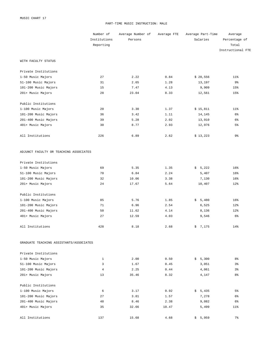#### PART-TIME MUSIC INSTRUCTION: MALE

|                                         | Number of    | Average Number of | Average FTE | Average Part-Time | Average           |
|-----------------------------------------|--------------|-------------------|-------------|-------------------|-------------------|
|                                         | Institutions | Persons           |             | Salaries          | Percentage of     |
|                                         | Reporting    |                   |             |                   | Total             |
|                                         |              |                   |             |                   | Instructional FTE |
| WITH FACULTY STATUS                     |              |                   |             |                   |                   |
| Private Institutions                    |              |                   |             |                   |                   |
| 1-50 Music Majors                       | 27           | 2.22              | 0.84        | \$20,556          | 11%               |
| 51-100 Music Majors                     | 31           | 2.65              | 1.28        | 13,197            | 9%                |
| 101-200 Music Majors                    | 15           | 7.47              | 4.13        | 9,909             | 15%               |
| 201+ Music Majors                       | 28           | 23.04             | 8.33        | 12,561            | 15%               |
| Public Institutions                     |              |                   |             |                   |                   |
| 1-100 Music Majors                      | 20           | 3.30              | 1.37        | \$15,811          | $11$ %            |
| 101-200 Music Majors                    | 36           | 3.42              | 1.11        | 14,145            | $6\%$             |
| 201-400 Music Majors                    | 39           | 5.28              | 2.02        | 13,910            | $6\%$             |
| 401+ Music Majors                       | 30           | 8.77              | 2.93        | 12,976            | 5 <sup>°</sup>    |
| All Institutions                        | 226          | 6.89              | 2.62        | \$13,223          | 9%                |
| ADJUNCT FACULTY OR TEACHING ASSOCIATES  |              |                   |             |                   |                   |
| Private Institutions                    |              |                   |             |                   |                   |
| 1-50 Music Majors                       | 69           | 5.35              | 1.35        | \$5,222           | 16%               |
| 51-100 Music Majors                     | 70           | 6.84              | 2.24        | 5,407             | 16%               |
| 101-200 Music Majors                    | 32           | 10.06             | 3.38        | 7,130             | 16%               |
| 201+ Music Majors                       | 24           | 17.67             | 5.64        | 10,407            | 12%               |
| Public Institutions                     |              |                   |             |                   |                   |
| 1-100 Music Majors                      | 85           | 5.76              | 1.85        | \$5,480           | 16%               |
| 101-200 Music Majors                    | 71           | 6.96              | 2.54        | 6,525             | 12%               |
| 201-400 Music Majors                    | 50           | 11.62             | 4.14        | 8,136             | 12%               |
| 401+ Music Majors                       | 27           | 12.59             | 4.03        | 9,546             | $6\%$             |
| All Institutions                        | 428          | 8.18              | 2.68        | \$<br>7,175       | 14%               |
| GRADUATE TEACHING ASSISTANTS/ASSOCIATES |              |                   |             |                   |                   |
| Private Institutions                    |              |                   |             |                   |                   |
| 1-50 Music Majors                       | 1            | 2.00              | 0.50        | \$5,300           | 8%                |
| 51-100 Music Majors                     | 3            | 1.67              | 0.45        | 3,051             | 3%                |
| 101-200 Music Majors                    | 4            | 2.25              | 0.44        | 4,061             | 3%                |
| 201+ Music Majors                       | 13           | 35.46             | 8.32        | 4,147             | 8%                |
| Public Institutions                     |              |                   |             |                   |                   |
| 1-100 Music Majors                      | 6            | 3.17              | 0.92        | \$5,435           | 5%                |
| 101-200 Music Majors                    | 27           | 3.81              | 1.57        | 7,278             | 6%                |
| 201-400 Music Majors                    | 48           | 8.46              | 2.38        | 9,082             | 6%                |
| 401+ Music Majors                       | 35           | 32.66             | 10.47       | 5,499             | $11$ %            |
| All Institutions                        | 137          | 15.68             | 4.68        | \$5,959           | $7\%$             |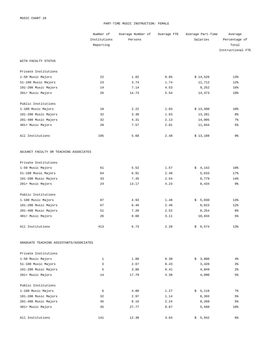#### PART-TIME MUSIC INSTRUCTION: FEMALE

|                                         | Number of    | Average Number of | Average FTE | Average Part-Time | Average           |
|-----------------------------------------|--------------|-------------------|-------------|-------------------|-------------------|
|                                         | Institutions | Persons           |             | Salaries          | Percentage of     |
|                                         | Reporting    |                   |             |                   | Total             |
|                                         |              |                   |             |                   | Instructional FTE |
| WITH FACULTY STATUS                     |              |                   |             |                   |                   |
| Private Institutions                    |              |                   |             |                   |                   |
| 1-50 Music Majors                       | 22           | 1.82              | 0.85        | \$14,526          | 13%               |
| 51-100 Music Majors                     | 23           | 3.74              | 1.74        | 11,712            | 12%               |
| 101-200 Music Majors                    | 14           | 7.14              | 4.53        | 9,252             | 16%               |
| 201+ Music Majors                       | 26           | 14.73             | 5.54        | 14,473            | 10 <sup>8</sup>   |
| Public Institutions                     |              |                   |             |                   |                   |
| 1-100 Music Majors                      | 18           | 2.22              | 1.03        | \$13,500          | 10 <sup>8</sup>   |
| 101-200 Music Majors                    | 32           | 3.38              | 1.63        | 13,281            | 8 <sup>°</sup>    |
| 201-400 Music Majors                    | 32           | 4.31              | 2.13        | 14,905            | $7\frac{6}{9}$    |
| 401+ Music Majors                       | 28           | 7.57              | 2.81        | 11,844            | 5 <sup>°</sup>    |
| All Institutions                        | 195          | 5.68              | 2.48        | \$13,188          | 9%                |
| ADJUNCT FACULTY OR TEACHING ASSOCIATES  |              |                   |             |                   |                   |
| Private Institutions                    |              |                   |             |                   |                   |
| 1-50 Music Majors                       | 61           | 5.52              | 1.57        | \$4,142           | 18%               |
| 51-100 Music Majors                     | 64           | 6.91              | 2.48        | 5,633             | 17%               |
| 101-200 Music Majors                    | 33           | 7.45              | 2.54        | 6,779             | 14%               |
| 201+ Music Majors                       | 24           | 13.17             | 4.23        | 8,434             | 9%                |
| Public Institutions                     |              |                   |             |                   |                   |
| 1-100 Music Majors                      | 87           | 4.93              | 1.48        | \$5,030           | 13%               |
| 101-200 Music Majors                    | 67           | 6.46              | 2.46        | 6,015             | 12%               |
| 201-400 Music Majors                    | 51           | 7.20              | 2.52        | 8,254             | 8 <sup>°</sup>    |
| 401+ Music Majors                       | 26           | 8.00              | 3.11        | 10,834            | 5 <sup>°</sup>    |
| All Institutions                        | 413          | 6.73              | 2.28        | \$6,574           | 13%               |
| GRADUATE TEACHING ASSISTANTS/ASSOCIATES |              |                   |             |                   |                   |
| Private Institutions                    |              |                   |             |                   |                   |
| 1-50 Music Majors                       | 1            | 1.00              | 0.30        | \$3,000           | $4\,$             |
| 51-100 Music Majors                     | 3            | 2.67              | 0.43        | 3,428             | 3%                |
| 101-200 Music Majors                    | 5            | 3.80              | 0.41        | 4,849             | $2\,$             |
| 201+ Music Majors                       | 14           | 17.79             | 4.38        | 4,090             | 5%                |
| Public Institutions                     |              |                   |             |                   |                   |
| 1-100 Music Majors                      | 6            | 4.00              | 1.27        | \$5,116           | 7%                |
| 101-200 Music Majors                    | 32           | 2.97              | 1.14        | 6,393             | 5%                |
| 201-400 Music Majors                    | 45           | 8.16              | 2.24        | 8,268             | 5%                |
| 401+ Music Majors                       | 35           | 27.77             | 8.67        | 5,560             | 10 <sub>8</sub>   |
| All Institutions                        | 141          | 12.30             | 3.64        | \$5,942           | 6%                |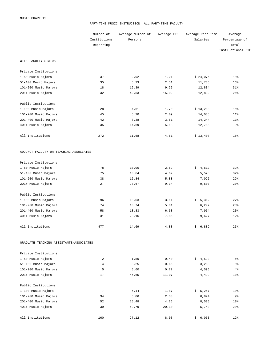#### PART-TIME MUSIC INSTRUCTION: ALL PART-TIME FACULTY

|                                         | Number of      | Average Number of | Average FTE | Average Part-Time | Average           |
|-----------------------------------------|----------------|-------------------|-------------|-------------------|-------------------|
|                                         | Institutions   | Persons           |             | Salaries          | Percentage of     |
|                                         | Reporting      |                   |             |                   | Total             |
|                                         |                |                   |             |                   | Instructional FTE |
| WITH FACULTY STATUS                     |                |                   |             |                   |                   |
| Private Institutions                    |                |                   |             |                   |                   |
| 1-50 Music Majors                       | 37             | 2.92              | 1.21        | \$24,076          | 18%               |
| 51-100 Music Majors                     | 35             | 5.23              | 2.51        | 11,735            | 16%               |
| 101-200 Music Majors                    | 18             | 16.39             | 9.29        | 12,834            | $31\%$            |
| 201+ Music Majors                       | 32             | 42.53             | 15.02       | 12,832            | 26%               |
| Public Institutions                     |                |                   |             |                   |                   |
| 1-100 Music Majors                      | 28             | 4.61              | 1.70        | \$13,283          | 15%               |
| 101-200 Music Majors                    | 45             | 5.20              | 2.09        | 14,038            | $11$ %            |
| 201-400 Music Majors                    | 42             | 8.38              | 3.61        | 14,244            | $11$ %            |
| 401+ Music Majors                       | 35             | 14.69             | 5.13        | 12,788            | 9%                |
| All Institutions                        | 272            | 11.68             | 4.61        | \$13,408          | 16%               |
| ADJUNCT FACULTY OR TEACHING ASSOCIATES  |                |                   |             |                   |                   |
| Private Institutions                    |                |                   |             |                   |                   |
| 1-50 Music Majors                       | 78             | 10.00             | 2.62        | \$4,612           | 32%               |
| 51-100 Music Majors                     | 75             | 13.64             | 4.62        | 5,578             | 32%               |
| 101-200 Music Majors                    | 38             | 16.84             | 5.83        | 7,026             | 29%               |
| 201+ Music Majors                       | 27             | 28.67             | 9.34        | 9,503             | 20%               |
| Public Institutions                     |                |                   |             |                   |                   |
| 1-100 Music Majors                      | 96             | 10.03             | 3.11        | \$5,312           | 27%               |
| 101-200 Music Majors                    | 74             | 13.74             | 5.01        | 6,297             | 23%               |
| 201-400 Music Majors                    | 58             | 18.83             | 6.68        | 7,954             | 20%               |
| 401+ Music Majors                       | 31             | 23.16             | 7.86        | 9,627             | 12%               |
| All Institutions                        | 477            | 14.69             | 4.88        | \$6,889           | 26%               |
| GRADUATE TEACHING ASSISTANTS/ASSOCIATES |                |                   |             |                   |                   |
| Private Institutions                    |                |                   |             |                   |                   |
| 1-50 Music Majors                       | 2              | 1.50              | 0.40        | \$4,533           | 6%                |
| 51-100 Music Majors                     | $\overline{4}$ | 3.25              | 0.66        | 3,283             | 5 <sup>°</sup>    |
| 101-200 Music Majors                    | 5              | 5.60              | 0.77        | 4,596             | $4\,$             |
| 201+ Music Majors                       | 17             | 46.65             | 11.07       | 4,439             | $11\%$            |
| Public Institutions                     |                |                   |             |                   |                   |
| 1-100 Music Majors                      | 7              | 6.14              | 1.87        | \$5,257           | 10 <sup>8</sup>   |
| 101-200 Music Majors                    | 34             | 6.06              | 2.33        | 6,824             | 9%                |
| 201-400 Music Majors                    | 52             | 15.48             | 4.26        | 8,535             | $10\%$            |
| 401+ Music Majors                       | 39             | 62.79             | 20.10       | 5,743             | 20%               |
| All Institutions                        | 160            | 27.12             | 8.08        | \$6,053           | 12%               |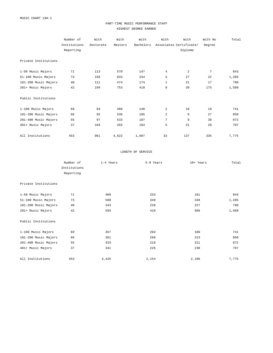#### PART-TIME MUSIC PERFORMANCE STAFF HIGHEST DEGREE EARNED

|                      | Number of    | With      | With    | With      | With           | With                    | With No | Total |
|----------------------|--------------|-----------|---------|-----------|----------------|-------------------------|---------|-------|
|                      | Institutions | Doctorate | Masters | Bachelors |                | Associates Certificate/ | Degree  |       |
|                      | Reporting    |           |         |           |                | Diploma                 |         |       |
|                      |              |           |         |           |                |                         |         |       |
| Private Institutions |              |           |         |           |                |                         |         |       |
|                      |              |           |         |           |                |                         |         |       |
| 1-50 Music Majors    | 71           | 113       | 570     | 147       | $\overline{4}$ | 2                       | 7       | 843   |
| 51-100 Music Majors  | 73           | 156       | 833     | 244       | 3              | 27                      | 22      | 1,285 |
| 101-200 Music Majors | 40           | 111       | 474     | 174       | $\mathbf{1}$   | 21                      | 17      | 798   |
| 201+ Music Majors    | 42           | 194       | 753     | 419       | 9              | 39                      | 175     | 1,589 |
|                      |              |           |         |           |                |                         |         |       |
| Public Institutions  |              |           |         |           |                |                         |         |       |
|                      |              |           |         |           |                |                         |         |       |
| 1-100 Music Majors   | 69           | 94        | 468     | 148       | 2              | 10                      | 19      | 741   |
| 101-200 Music Majors | 66           | 92        | 536     | 185       | 2              | 8                       | 27      | 850   |
| 201-400 Music Majors | 55           | 97        | 533     | 187       | 7              | 9                       | 39      | 872   |
| 401+ Music Majors    | 37           | 104       | 455     | 183       | 5              | 21                      | 29      | 797   |
|                      |              |           |         |           |                |                         |         |       |
| All Institutions     | 453          | 961       | 4,622   | 1,687     | 33             | 137                     | 335     | 7,775 |

#### LENGTH OF SERVICE

|                      | Number of    | 1-4 Years | 5-9 Years | 10+ Years | Total |
|----------------------|--------------|-----------|-----------|-----------|-------|
|                      | Institutions |           |           |           |       |
|                      | Reporting    |           |           |           |       |
| Private Institutions |              |           |           |           |       |
| 1-50 Music Majors    | 71           | 409       | 253       | 181       | 843   |
| 51-100 Music Majors  | 73           | 588       | 349       | 348       | 1,285 |
| 101-200 Music Majors | 40           | 343       | 228       | 227       | 798   |
| 201+ Music Majors    | 42           | 593       | 410       | 586       | 1,589 |
| Public Institutions  |              |           |           |           |       |
| 1-100 Music Majors   | 69           | 357       | 204       | 180       | 741   |
| 101-200 Music Majors | 66           | 361       | 266       | 223       | 850   |
| 201-400 Music Majors | 55           | 433       | 218       | 221       | 872   |
| 401+ Music Majors    | 37           | 341       | 226       | 230       | 797   |
| All Institutions     | 453          | 3,425     | 2,154     | 2,196     | 7,775 |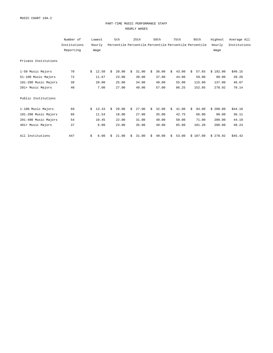#### PART-TIME MUSIC PERFORMANCE STAFF HOURLY WAGES

|                      | Number of    |    | Lowest |    | 5th   |    | 25th                                                   |    | 50th  |    | 75th  |    | 95th     | Highest  | Average All  |
|----------------------|--------------|----|--------|----|-------|----|--------------------------------------------------------|----|-------|----|-------|----|----------|----------|--------------|
|                      | Institutions |    | Hourly |    |       |    | Percentile Percentile Percentile Percentile Percentile |    |       |    |       |    |          | Hourly   | Institutions |
|                      | Reporting    |    | Wage   |    |       |    |                                                        |    |       |    |       |    |          | Wage     |              |
| Private Institutions |              |    |        |    |       |    |                                                        |    |       |    |       |    |          |          |              |
| 1-50 Music Majors    | 70           | Ŝ. | 12.50  | Ŝ. | 20.00 | Ŝ. | 31.00                                                  | Ŝ. | 36.00 | Ŝ. | 43.00 | Ŝ. | 57.65    | \$192.00 | \$40.15      |
| 51-100 Music Majors  | 72           |    | 11.67  |    | 23.00 |    | 30.00                                                  |    | 37.00 |    | 44.00 |    | 59.00    | 90.00    | 39.26        |
| 101-200 Music Majors | 39           |    | 20.00  |    | 25.00 |    | 34.00                                                  |    | 40.00 |    | 55.00 |    | 115.00   | 137.00   | 46.67        |
| 201+ Music Majors    | 40           |    | 7.00   |    | 27.00 |    | 40.00                                                  |    | 57.00 |    | 86.25 |    | 152.85   | 278.92   | 70.14        |
| Public Institutions  |              |    |        |    |       |    |                                                        |    |       |    |       |    |          |          |              |
| 1-100 Music Majors   | 69           | Ŝ. | 13.33  | Ŝ. | 20.00 | Ŝ. | 27.00                                                  | Ŝ. | 32.00 | Ŝ. | 41.00 | Ŝ. | 94.00    | \$200.00 | \$44.18      |
| 101-200 Music Majors | 66           |    | 11.54  |    | 18.00 |    | 27.00                                                  |    | 35.00 |    | 42.75 |    | 66.00    | 90.00    | 36.11        |
| 201-400 Music Majors | 54           |    | 10.45  |    | 22.00 |    | 31.00                                                  |    | 40.00 |    | 50.00 |    | 71.00    | 200.00   | 44.19        |
| 401+ Music Majors    | 37           |    | 6.00   |    | 23.00 |    | 35.00                                                  |    | 49.00 |    | 65.00 |    | 101.20   | 200.00   | 48.24        |
| All Institutions     | 447          | \$ | 6.00   | Ŝ  | 21.00 | \$ | 31.00                                                  | \$ | 40.00 | \$ | 53.00 |    | \$107.00 | \$278.92 | \$45.42      |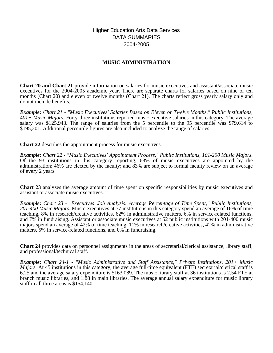Higher Education Arts Data Services DATA SUMMARIES 2004-2005

## **MUSIC ADMINISTRATION**

**Chart 20 and Chart 21** provide information on salaries for music executives and assistant/associate music executives for the 2004-2005 academic year. There are separate charts for salaries based on nine or ten months (Chart 20) and eleven or twelve months (Chart 21). The charts reflect gross yearly salary only and do not include benefits.

*Example: Chart 21 - "Music Executives' Salaries Based on Eleven or Twelve Months," Public Institutions, 401+ Music Majors.* Forty-three institutions reported music executive salaries in this category. The average salary was \$125,943. The range of salaries from the 5 percentile to the 95 percentile was \$79,614 to \$195,201. Additional percentile figures are also included to analyze the range of salaries.

**Chart 22** describes the appointment process for music executives.

*Example: Chart 22 - "Music Executives' Appointment Process," Public Institutions, 101-200 Music Majors.* Of the 93 institutions in this category reporting, 68% of music executives are appointed by the administration; 46% are elected by the faculty; and 83% are subject to formal faculty review on an average of every 2 years.

**Chart 23** analyzes the average amount of time spent on specific responsibilities by music executives and assistant or associate music executives.

*Example: Chart 23 - "Executives' Job Analysis: Average Percentage of Time Spent," Public Institutions, 201-400 Music Majors.* Music executives at 77 institutions in this category spend an average of 16% of time teaching, 8% in research/creative activities, 62% in administrative matters, 6% in service-related functions, and 7% in fundraising. Assistant or associate music executives at 52 public institutions with 201-400 music majors spend an average of 42% of time teaching, 11% in research/creative activities, 42% in administrative matters, 5% in service-related functions, and 0% in fundraising.

**Chart 24** provides data on personnel assignments in the areas of secretarial/clerical assistance, library staff, and professional/technical staff.

*Example: Chart 24-1 - "Music Administrative and Staff Assistance," Private Institutions, 201+ Music Majors.* At 45 institutions in this category, the average full-time equivalent (FTE) secretarial/clerical staff is 6.25 and the average salary expenditure is \$163,089. The music library staff at 36 institutions is 2.54 FTE at branch music libraries, and 1.88 in main libraries. The average annual salary expenditure for music library staff in all three areas is \$154,140.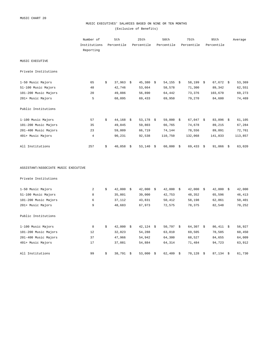#### MUSIC EXECUTIVES' SALARIES BASED ON NINE OR TEN MONTHS (Exclusive of Benefits)

|                                     | Number of<br>Institutions<br>Reporting |    | 5th<br>25th<br>Percentile<br>Percentile |  | 50th<br>Percentile | 75th<br>Percentile |             | 95th<br>Percentile |             | Average |         |
|-------------------------------------|----------------------------------------|----|-----------------------------------------|--|--------------------|--------------------|-------------|--------------------|-------------|---------|---------|
|                                     |                                        |    |                                         |  |                    |                    |             |                    |             |         |         |
| MUSIC EXECUTIVE                     |                                        |    |                                         |  |                    |                    |             |                    |             |         |         |
| Private Institutions                |                                        |    |                                         |  |                    |                    |             |                    |             |         |         |
| 1-50 Music Majors                   | 65                                     | \$ | $37,963$ \$                             |  | $45,380$ \$        | $54, 155$ \$       | 58,199 \$   |                    | $67,672$ \$ |         | 53,369  |
| 51-100 Music Majors                 | 48                                     |    | 42,746                                  |  | 53,664             | 58,578             | 71,300      |                    | 89,342      |         | 62,551  |
| 101-200 Music Majors                | 20                                     |    | 49,886                                  |  | 56,890             | 64,442             | 73,376      |                    | 103,670     |         | 69,273  |
| 201+ Music Majors                   | 5                                      |    | 68,095                                  |  | 69,433             | 69,950             | 79,270      |                    | 84,600      |         | 74,469  |
| Public Institutions                 |                                        |    |                                         |  |                    |                    |             |                    |             |         |         |
| 1-100 Music Majors                  | 57                                     | \$ | $44,168$ \$                             |  | $53,178$ \$        | $59,000$ \$        | $67,047$ \$ |                    | $83,896$ \$ |         | 61,105  |
| 101-200 Music Majors                | 35                                     |    | 49,845                                  |  | 59,803             | 66,765             | 74,678      |                    | 89,215      |         | 67,284  |
| 201-400 Music Majors                | 23                                     |    | 59,009                                  |  | 66,719             | 74,144             | 78,556      |                    | 89,091      |         | 72,761  |
| 401+ Music Majors                   | $\overline{4}$                         |    | 90,231                                  |  | 92,538             | 110,750            | 132,068     |                    | 141,833     |         | 113,857 |
| All Institutions                    | 257                                    | \$ | $40,058$ \$                             |  | $53,140$ \$        | $60,000$ \$        | $69,433$ \$ |                    | $91,066$ \$ |         | 63,020  |
| ASSISTANT/ASSOCIATE MUSIC EXECUTIVE |                                        |    |                                         |  |                    |                    |             |                    |             |         |         |
| Private Institutions                |                                        |    |                                         |  |                    |                    |             |                    |             |         |         |
| 1-50 Music Majors                   | 2                                      | \$ | $42,000$ \$                             |  | $42,000$ \$        | $42,000$ \$        | $42,000$ \$ |                    | $42,000$ \$ |         | 42,000  |
| 51-100 Music Majors                 | 8                                      |    | 35,801                                  |  | 39,000             | 42,753             | 48,352      |                    | 65,596      |         | 46,413  |
| 101-200 Music Majors                | 6                                      |    | 37,112                                  |  | 43,831             | 50,412             | 58,198      |                    | 62,861      |         | 50,401  |
| 201+ Music Majors                   | 9                                      |    | 48,683                                  |  | 67,973             | 72,575             | 78,375      |                    | 82,548      |         | 70,252  |
| Public Institutions                 |                                        |    |                                         |  |                    |                    |             |                    |             |         |         |
| 1-100 Music Majors                  | 8                                      | \$ | $42,000$ \$                             |  | $42,124$ \$        | $50,797$ \$        | $64,307$ \$ |                    | $86,411$ \$ |         | 56,927  |
| 101-200 Music Majors                | 12                                     |    | 32,823                                  |  | 54,288             | 63,010             | 69,505      |                    | 78,585      |         | 60,450  |
| 201-400 Music Majors                | 37                                     |    | 47,966                                  |  | 54,942             | 64,300             | 68,527      |                    | 84,655      |         | 64,009  |
| 401+ Music Majors                   | 17                                     |    | 37,081                                  |  | 54,884             | 64,314             | 71,484      |                    | 94,723      |         | 63,912  |

All Institutions 61,730 (1999) \$ 38,791 \$ 53,000 \$ 62,409 \$ 70,128 \$ 87,134 \$ 61,730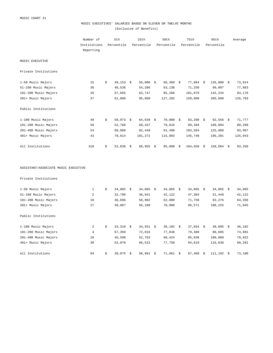#### MUSIC EXECUTIVES' SALARIES BASED ON ELEVEN OR TWELVE MONTHS (Exclusive of Benefits)

|                                     | Number of<br>5th<br>Institutions<br>Percentile<br>Reporting |    |             | 25th<br>Percentile | 50th<br>Percentile |      | 75th<br>Percentile |  | 95th<br>Percentile |      | Average |
|-------------------------------------|-------------------------------------------------------------|----|-------------|--------------------|--------------------|------|--------------------|--|--------------------|------|---------|
| MUSIC EXECUTIVE                     |                                                             |    |             |                    |                    |      |                    |  |                    |      |         |
| Private Institutions                |                                                             |    |             |                    |                    |      |                    |  |                    |      |         |
| 1-50 Music Majors                   | 15                                                          | \$ | 49,153 \$   | $56,000$ \$        | 68,360             | - \$ | $77,984$ \$        |  | 126,000            | - \$ | 73,914  |
| 51-100 Music Majors                 | 36                                                          |    | 48,536      | 54,286             | 63,130             |      | 71,250             |  | 99,007             |      | 77,863  |
| 101-200 Music Majors                | 26                                                          |    | 57,665      | 63,747             | 85,268             |      | 101,079            |  | 142,234            |      | 93,176  |
| 201+ Music Majors                   | 37                                                          |    | 61,000      | 95,060             | 127,202            |      | 150,000            |  | 205,600            |      | 126,783 |
| Public Institutions                 |                                                             |    |             |                    |                    |      |                    |  |                    |      |         |
| 1-100 Music Majors                  | 49                                                          | \$ | $50,073$ \$ | $64,639$ \$        | $70,000$ \$        |      | $83,200$ \$        |  | $92,556$ \$        |      | 71,777  |
| 101-200 Music Majors                | 58                                                          |    | 52,768      | 69,437             | 78,816             |      | 89,394             |  | 109,004            |      | 80,268  |
| 201-400 Music Majors                | 54                                                          |    | 68,960      | 82,449             | 91,498             |      | 103,584            |  | 125,908            |      | 93,967  |
| 401+ Music Majors                   | 43                                                          |    | 79,614      | 101,272            | 115,803            |      | 145,740            |  | 195,201            |      | 125,943 |
| All Institutions                    | 318                                                         | \$ | 52,836 \$   | $68,955$ \$        | 85,000             | - \$ | $104,650$ \$       |  | $158,684$ \$       |      | 93,358  |
| ASSISTANT/ASSOCIATE MUSIC EXECUTIVE |                                                             |    |             |                    |                    |      |                    |  |                    |      |         |
| Private Institutions                |                                                             |    |             |                    |                    |      |                    |  |                    |      |         |
| 1-50 Music Majors                   | $\mathbf{1}$                                                | \$ | $34,065$ \$ | $34,065$ \$        | $34,065$ \$        |      | $34,065$ \$        |  | $34,065$ \$        |      | 34,065  |
| 51-100 Music Majors                 | 2                                                           |    | 32,796      | 36,941             | 42,122             |      | 47,304             |  | 51,449             |      | 42,122  |
| 101-200 Music Majors                | 10                                                          |    | 36,696      | 56,982             | 62,000             |      | 71,758             |  | 92,276             |      | 64,358  |
| 201+ Music Majors                   | 27                                                          |    | 39,067      | 56,188             | 70,000             |      | 86,571             |  | 108,225            |      | 71,845  |
| Public Institutions                 |                                                             |    |             |                    |                    |      |                    |  |                    |      |         |
| 1-100 Music Majors                  | 2                                                           | \$ | $33,310$ \$ | $34,551$ \$        | $36,102$ \$        |      | $37,654$ \$        |  | $38,895$ \$        |      | 36,102  |
| 101-200 Music Majors                | $\overline{4}$                                              |    | 67,350      | 72,016             | 77,848             |      | 79,380             |  | 80,605             |      | 74,981  |
| 201-400 Music Majors                | 18                                                          |    | 45,598      | 52,763             | 68,424             |      | 85,838             |  | 109,089            |      | 70,922  |
| 401+ Music Majors                   | 30                                                          |    | 52,070      | 66,522             | 77,750             |      | 94,619             |  | 116,638            |      | 80,291  |

All Institutions 6 111, 192 \$ 39,075 \$ 58,991 \$ 71,861 \$ 87,460 \$ 111,192 \$ 73,100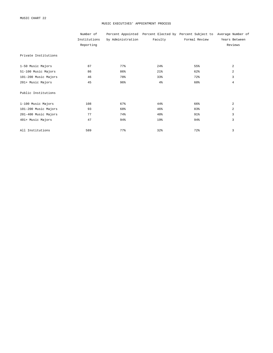#### MUSIC EXECUTIVES' APPOINTMENT PROCESS

|                      | Number of    |                   |         | Percent Appointed Percent Elected by Percent Subject to Average Number of |                |
|----------------------|--------------|-------------------|---------|---------------------------------------------------------------------------|----------------|
|                      | Institutions | by Administration | Faculty | Formal Review                                                             | Years Between  |
|                      | Reporting    |                   |         |                                                                           | Reviews        |
| Private Institutions |              |                   |         |                                                                           |                |
| 1-50 Music Majors    | 87           | 77%               | 24%     | 55%                                                                       | 2              |
| 51-100 Music Majors  | 86           | 86%               | 21%     | 62%                                                                       | 2              |
| 101-200 Music Majors | 46           | 78%               | 33%     | 72%                                                                       | 3              |
| 201+ Music Majors    | 45           | 96%               | 4%      | 60%                                                                       | $\overline{4}$ |
| Public Institutions  |              |                   |         |                                                                           |                |
| 1-100 Music Majors   | 108          | 67%               | 44%     | 66%                                                                       | $\overline{a}$ |
| 101-200 Music Majors | 93           | 68%               | 46%     | 83%                                                                       | $\overline{a}$ |
| 201-400 Music Majors | 77           | 74%               | 40%     | 91%                                                                       | 3              |
| 401+ Music Majors    | 47           | 94%               | 19%     | 94%                                                                       | 3              |
| All Institutions     | 589          | 77%               | 32%     | 72%                                                                       | 3              |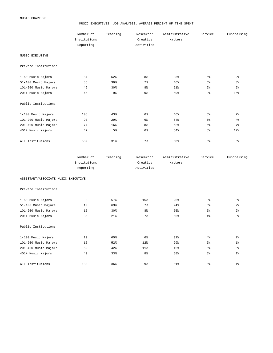#### MUSIC EXECUTIVES' JOB ANALYSIS: AVERAGE PERCENT OF TIME SPENT

|                      | Number of<br>Institutions<br>Reporting | Teaching       | Research/<br>Creative<br>Activities | Administrative<br>Matters | Service        | Fundraising    |
|----------------------|----------------------------------------|----------------|-------------------------------------|---------------------------|----------------|----------------|
| MUSIC EXECUTIVE      |                                        |                |                                     |                           |                |                |
| Private Institutions |                                        |                |                                     |                           |                |                |
| 1-50 Music Majors    | 87                                     | 52%            | 8 <sup>°</sup>                      | 33%                       | 5 <sup>°</sup> | 2 <sup>°</sup> |
| 51-100 Music Majors  | 86                                     | 39%            | 7 <sup>8</sup>                      | 46%                       | 6 <sup>°</sup> | 3%             |
| 101-200 Music Majors | 46                                     | 30%            | 8 <sup>°</sup>                      | 51%                       | $6\%$          | 5%             |
| 201+ Music Majors    | 45                                     | 9 <sub>8</sub> | 9%                                  | 59%                       | 9%             | 16%            |
| Public Institutions  |                                        |                |                                     |                           |                |                |
| 1-100 Music Majors   | 108                                    | 43%            | 6%                                  | 46%                       | 5 <sup>°</sup> | 2 <sup>°</sup> |
| 101-200 Music Majors | 93                                     | 29%            | 6 <sup>°</sup>                      | 54%                       | 6%             | 4%             |
| 201-400 Music Majors | 77                                     | 16%            | 8 <sup>°</sup>                      | 62%                       | 6%             | $7\%$          |
| 401+ Music Majors    | 47                                     | $5\%$          | 6 <sup>°</sup>                      | 64%                       | 8 <sup>°</sup> | 17%            |
| All Institutions     | 589                                    | $31\%$         | 7%                                  | 50%                       | 6%             | 6%             |

| Number of    | Teaching | Research/  | Administrative | Service | Fundraising |
|--------------|----------|------------|----------------|---------|-------------|
| Institutions |          | Creative   | Matters        |         |             |
| Reporting    |          | Activities |                |         |             |

ASSISTANT/ASSOCIATE MUSIC EXECUTIVE

Private Institutions

| 1-50 Music Majors    | 3   | 57%    | 15%            | 25%             | 3 <sup>°</sup> | 0 <sub>8</sub> |
|----------------------|-----|--------|----------------|-----------------|----------------|----------------|
| 51-100 Music Majors  | 10  | 63%    | 7 <sup>8</sup> | 24%             | 5 <sup>8</sup> | 2 <sup>°</sup> |
| 101-200 Music Majors | 15  | 30%    | 8 <sup>°</sup> | 55%             | 5 <sup>°</sup> | 2 <sup>°</sup> |
| 201+ Music Majors    | 35  | $21\%$ | 7 <sup>8</sup> | 65%             | 4 <sup>°</sup> | 3 <sup>°</sup> |
| Public Institutions  |     |        |                |                 |                |                |
| 1-100 Music Majors   | 10  | 65%    | 6 <sup>°</sup> | 32 <sup>8</sup> | 4 <sup>°</sup> | 2 <sup>°</sup> |
| 101-200 Music Majors | 15  | 52%    | 12%            | 29%             | 6 <sup>°</sup> | 1 <sup>°</sup> |
| 201-400 Music Majors | 52  | 42%    | $11\%$         | 42%             | 5 <sup>°</sup> | 0 <sub>8</sub> |
| 401+ Music Majors    | 40  | 33%    | 8 <sup>°</sup> | 58%             | 5 <sup>°</sup> | 1 <sup>°</sup> |
|                      |     |        |                |                 |                |                |
| All Institutions     | 180 | 36%    | 9%             | 51%             | $5\%$          | $1\%$          |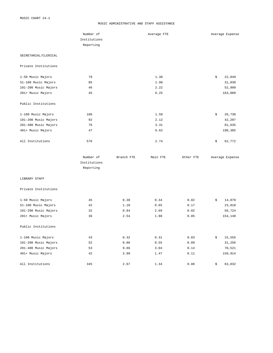#### MUSIC ADMINISTRATIVE AND STAFF ASSISTANCE

|                      | Number of                 |            | Average FTE |           | Average Expense |
|----------------------|---------------------------|------------|-------------|-----------|-----------------|
|                      | Institutions              |            |             |           |                 |
|                      | Reporting                 |            |             |           |                 |
| SECRETARIAL/CLERICAL |                           |            |             |           |                 |
| Private Institutions |                           |            |             |           |                 |
| 1-50 Music Majors    | 79                        |            | 1.38        |           | \$<br>22,849    |
| 51-100 Music Majors  | 85                        |            | 1.98        |           | 31,830          |
| 101-200 Music Majors | 46                        |            | 2.22        |           | 52,999          |
| 201+ Music Majors    | 45                        |            | 6.25        |           | 163,089         |
| Public Institutions  |                           |            |             |           |                 |
| 1-100 Music Majors   | 106                       |            | 1.50        |           | \$<br>26,730    |
| 101-200 Music Majors | 92                        |            | 2.12        |           | 42,207          |
| 201-400 Music Majors | 76                        |            | 3.31        |           | 81,635          |
| 401+ Music Majors    | 47                        |            | 6.62        |           | 190,385         |
| All Institutions     | 576                       |            | 2.74        |           | \$<br>62,772    |
|                      | Number of                 | Branch FTE | Main FTE    | Other FTE | Average Expense |
|                      | Institutions<br>Reporting |            |             |           |                 |
| LIBRARY STAFF        |                           |            |             |           |                 |
| Private Institutions |                           |            |             |           |                 |
| 1-50 Music Majors    | 45                        | 0.38       | 0.34        | 0.02      | \$<br>14,079    |
| 51-100 Music Majors  | 42                        | 1.10       | 0.65        | 0.17      | 23,810          |
| 101-200 Music Majors | 32                        | 0.84       | 2.69        | 0.02      | 56,724          |
| 201+ Music Majors    | 36                        | 2.54       | 1.88        | 0.05      | 154,140         |
| Public Institutions  |                           |            |             |           |                 |
| 1-100 Music Majors   | 43                        | 0.32       | 0.31        | 0.03      | \$<br>15,555    |
| 101-200 Music Majors | 52                        | 0.86       | 0.55        | 0.09      | 31,256          |
| 201-400 Music Majors | 53                        | 9.66       | 3.04        | 0.14      | 70,521          |
| 401+ Music Majors    | 42                        | 3.99       | 1.47        | 0.11      | 159,914         |
| All Institutions     | 345                       | 2.67       | 1.34        | 0.08      | \$<br>63,032    |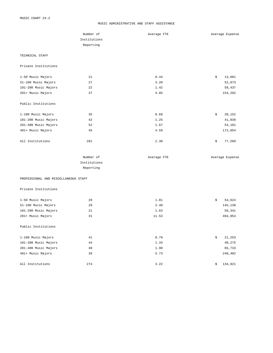#### MUSIC ADMINISTRATIVE AND STAFF ASSISTANCE

|                                      | Number of    | Average FTE | Average Expense |
|--------------------------------------|--------------|-------------|-----------------|
|                                      | Institutions |             |                 |
|                                      | Reporting    |             |                 |
|                                      |              |             |                 |
| TECHNICAL STAFF                      |              |             |                 |
| Private Institutions                 |              |             |                 |
| 1-50 Music Majors                    | 21           | 0.44        | \$<br>13,681    |
| 51-100 Music Majors                  | 27           | 3.20        | 52,073          |
| 101-200 Music Majors                 | 22           | 1.42        | 58,437          |
| 201+ Music Majors                    | 37           | 4.05        | 154,292         |
| Public Institutions                  |              |             |                 |
| 1-100 Music Majors                   | 35           | 0.69        | \$<br>20,152    |
| 101-200 Music Majors                 | 42           | 1.25        | 41,938          |
| 201-400 Music Majors                 | 52           | 1.67        | 54,101          |
| 401+ Music Majors                    | 45           | 4.59        | 172,054         |
|                                      |              |             |                 |
| All Institutions                     | 281          | 2.30        | \$<br>77,260    |
|                                      | Number of    | Average FTE | Average Expense |
|                                      | Institutions |             |                 |
|                                      | Reporting    |             |                 |
| PROFESSIONAL AND MISCELLANEOUS STAFF |              |             |                 |
| Private Institutions                 |              |             |                 |
| 1-50 Music Majors                    | 29           | 1.01        | 54,624<br>\$    |
| 51-100 Music Majors                  | 29           | 2.40        | 145,138         |
| 101-200 Music Majors                 | 21           | 1.63        | 56,341          |
| 201+ Music Majors                    | 31           | 11.53       | 494,954         |
| Public Institutions                  |              |             |                 |
| 1-100 Music Majors                   | 41           | 0.79        | \$<br>21,253    |
| 101-200 Music Majors                 | 44           | 1.33        | 40,275          |
| 201-400 Music Majors                 | 40           | 1.90        | 65,733          |
| 401+ Music Majors                    | 39           | 5.73        | 240,402         |
|                                      |              |             |                 |
| All Institutions                     | 274          | 3.22        | 134,921<br>\$   |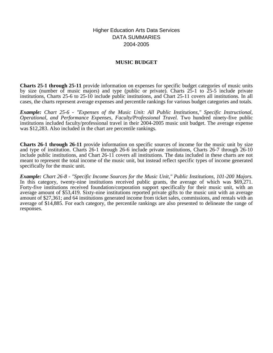Higher Education Arts Data Services DATA SUMMARIES 2004-2005

## **MUSIC BUDGET**

**Charts 25-1 through 25-11** provide information on expenses for specific budget categories of music units by size (number of music majors) and type (public or private). Charts 25-1 to 25-5 include private institutions, Charts 25-6 to 25-10 include public institutions, and Chart 25-11 covers all institutions. In all cases, the charts represent average expenses and percentile rankings for various budget categories and totals.

*Example: Chart 25-6 - "Expenses of the Music Unit: All Public Institutions," Specific Instructional, Operational, and Performance Expenses, Faculty/Professional Travel.* Two hundred ninety-five public institutions included faculty/professional travel in their 2004-2005 music unit budget. The average expense was \$12,283. Also included in the chart are percentile rankings.

**Charts 26-1 through 26-11** provide information on specific sources of income for the music unit by size and type of institution. Charts 26-1 through 26-6 include private institutions, Charts 26-7 through 26-10 include public institutions, and Chart 26-11 covers all institutions. The data included in these charts are not meant to represent the total income of the music unit, but instead reflect specific types of income generated specifically for the music unit.

*Example: Chart 26-8 - "Specific Income Sources for the Music Unit," Public Institutions, 101-200 Majors.* In this category, twenty-nine institutions received public grants, the average of which was \$69,271. Forty-five institutions received foundation/corporation support specifically for their music unit, with an average amount of \$53,419. Sixty-nine institutions reported private gifts to the music unit with an average amount of \$27,361; and 64 institutions generated income from ticket sales, commissions, and rentals with an average of \$14,885. For each category, the percentile rankings are also presented to delineate the range of responses.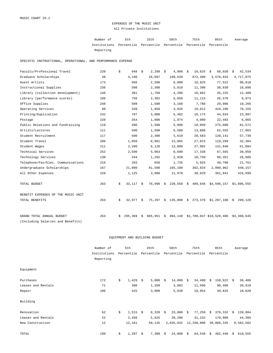## EXPENSES OF THE MUSIC UNIT All Private Institutions

| Number of                                                           | 5th | 25th | 50 t.h | 75th | 95th | Average |
|---------------------------------------------------------------------|-----|------|--------|------|------|---------|
| Institutions Percentile Percentile Percentile Percentile Percentile |     |      |        |      |      |         |
| Reporting                                                           |     |      |        |      |      |         |

SPECIFIC INSTRUCTIONAL, OPERATIONAL, AND PERFORMANCE EXPENSE

| Faculty/Professional Travel        | 220 | \$ | 948     | \$ | 2,299     | - \$ | 4,900                 | \$<br>10,625 | 68,030<br>\$             | 42,534<br>\$    |
|------------------------------------|-----|----|---------|----|-----------|------|-----------------------|--------------|--------------------------|-----------------|
| Graduate Scholarships              | 48  |    | 4,180   |    | 26,097    |      | 189,639               | 872,400      | 3,570,934                | 4,717,075       |
| Guest Artists                      | 174 |    | 566     |    | 2,500     |      | 6,000                 | 16,925       | 77,522                   | 98,818          |
| Instructional Supplies             | 236 |    | 598     |    | 2,308     |      | 5,010                 | 11,390       | 38,838                   | 16,898          |
| Library (collection development)   | 146 |    | 381     |    | 1,760     |      | 4,200                 | 10,962       | 45,225                   | 12,480          |
| Library (performance scores)       | 186 |    | 756     |    | 2,362     |      | 5,050                 | 11,115       | 26,570                   | 8,973           |
| Office Supplies                    | 248 |    | 509     |    | 1,500     |      | 3,168                 | 7,788        | 29,906                   | 10,266          |
| Operating Services                 | 88  |    | 339     |    | 1,850     |      | 4,926                 | 19,012       | 410,296                  | 70,155          |
| Printing/Duplication               | 242 |    | 787     |    | 3,000     |      | 5,482                 | 10,175       | 44,934                   | 23,997          |
| Postage                            | 228 |    | 354     |    | 1,000     |      | 1,974                 | 4,000        | 22,483                   | 6,065           |
| Public Relations and Fundraising   | 119 |    | 496     |    | 1,500     |      | 5,000                 | 18,950       | 275,600                  | 81,572          |
| Artists/Lectures                   | 111 |    | 500     |    | 1,500     |      | 6,500                 | 13,888       | 62,555                   | 17,003          |
| Student Recruitment                | 117 |    | 500     |    | 2,300     |      | 5,610                 | 20,583       | 120,141                  | 57,730          |
| Student Travel                     | 206 |    | 1,050   |    | 6,881     |      | 13,065                | 27,815       | 119,299                  | 32,304          |
| Student Wages                      | 211 |    | 2,200   |    | 6,128     |      | 13,000                | 27,982       | 131,840                  | 61,084          |
| Technical Services                 | 252 |    | 2,500   |    | 5,063     |      | 8,690                 | 17,338       | 67,565                   | 30,050          |
| Technology Services                | 130 |    | 344     |    | 1,292     |      | 2,920                 | 10,750       | 98,351                   | 28,886          |
| Telephone/Fax/Elec. Communications | 216 |    | 203     |    | 658       |      | 1,735                 | 5,925        | 40,700                   | 21,761          |
| Undergraduate Scholarships         | 167 |    | 21,000  |    | 81,500    |      | 165,100               | 392,834      | 2,090,962                | 440,157         |
| All Other Expenses                 | 228 |    | 1,125   |    | 3,000     |      | 11,978                | 38,829       | 361,841                  | 416,699         |
| TOTAL BUDGET                       | 263 | \$ | 33,117  | S. | 78,990 \$ |      | $220,550$ \$          | 409,646      | \$4,598,157              | \$1,896,555     |
| BENEFIT EXPENSES OF THE MUSIC UNIT |     |    |         |    |           |      |                       |              |                          |                 |
| TOTAL BENEFITS                     | 263 | \$ | 32,977  | S. | 75,297    | \$   | $135,000 \text{ }$ \$ | 273,376      | \$1,297,100              | 299,128<br>- \$ |
| GRAND TOTAL ANNUAL BUDGET          | 264 | Ŝ. | 295,369 | \$ | 605,951   | \$   | 984,140               |              | \$1,789,047 \$10,520,406 | \$3,360,645     |
| (Including Salaries and Benefits)  |     |    |         |    |           |      |                       |              |                          |                 |

#### EQUIPMENT AND BUILDING BUDGET

|                    | Number of    | 5th |            | 25th |            | 50th |            | 75th |            | 95th       |              |    | Average   |
|--------------------|--------------|-----|------------|------|------------|------|------------|------|------------|------------|--------------|----|-----------|
|                    | Institutions |     | Percentile |      | Percentile |      | Percentile |      | Percentile | Percentile |              |    |           |
|                    | Reporting    |     |            |      |            |      |            |      |            |            |              |    |           |
| Equipment          |              |     |            |      |            |      |            |      |            |            |              |    |           |
| Purchases          | 172          | \$  | $1,429$ \$ |      | 5,000      | Ŝ.   | 14,000     | \$   | 34,400     | -Ŝ         | $158,922$ \$ |    | 36,486    |
| Leases and Rentals | 71           |     | 300        |      | 1,350      |      | 3,802      |      | 11,500     |            | 98,406       |    | 20,619    |
| Repair             | 106          |     | 425        |      | 3,000      |      | 5,030      |      | 10,954     |            | 39,825       |    | 10,628    |
| Building           |              |     |            |      |            |      |            |      |            |            |              |    |           |
| Renovation         | 62           | \$  | 1,515      | S.   | $8,320$ \$ |      | 23,000     | \$   | 77,250     | S.         | 376,332      | Ŝ. | 139,804   |
| Leases and Rentals | 22           |     | 2,450      |      | 5,625      |      | 20,200     |      | 31,232     |            | 170,900      |    | 44,385    |
| New Construction   | 12           |     | 12,161     |      | 59,145     |      | 2,835,832  |      | 12,250,000 |            | 30,860,335   |    | 8,582,502 |
| TOTAL              | 199          | \$  | 1,297      | \$   | 7,300      | \$   | 24,000     | \$   | 84,548     | \$         | 482,440      | \$ | 610,555   |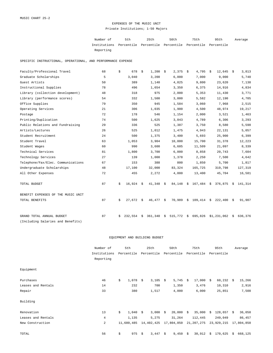#### EXPENSES OF THE MUSIC UNIT Private Institutions; 1-50 Majors

Number of 5th 25th 50th 75th 95th Institutions Percentile Percentile Percentile Percentile Percentile Reporting Average

SPECIFIC INSTRUCTIONAL, OPERATIONAL, AND PERFORMANCE EXPENSE

| Faculty/Professional Travel        | 68 | \$ | 678         | \$ | $1,200$ \$  |    | $2,375$ \$  |      | 4,795                         | \$<br>$12,645$ \$ |      | 3,813   |
|------------------------------------|----|----|-------------|----|-------------|----|-------------|------|-------------------------------|-------------------|------|---------|
| Graduate Scholarships              | 5  |    | 3,040       |    | 3,200       |    | 6,000       |      | 7,000                         | 9,000             |      | 5,740   |
| Guest Artists                      | 50 |    | 389         |    | 1,140       |    | 4,825       |      | 9,800                         | 23,620            |      | 7,138   |
| Instructional Supplies             | 78 |    | 496         |    | 1,654       |    | 3,350       |      | 6,375                         | 14,916            |      | 4,834   |
| Library (collection development)   | 48 |    | 318         |    | 975         |    | 2,000       |      | 5,353                         | 11,430            |      | 3,771   |
| Library (performance scores)       | 54 |    | 332         |    | 1,500       |    | 3,000       |      | 5,582                         | 12,190            |      | 4,705   |
| Office Supplies                    | 79 |    | 350         |    | 945         |    | 1,584       |      | 3,060                         | 7,968             |      | 2,515   |
| Operating Services                 | 21 |    | 306         |    | 1,035       |    | 1,900       |      | 4,500                         | 48,974            |      | 19,217  |
| Postage                            | 72 |    | 178         |    | 546         |    | 1,154       |      | 2,000                         | 3,521             |      | 1,463   |
| Printing/Duplication               | 74 |    | 500         |    | 1,625       |    | 3,043       |      | 4,789                         | 6,306             |      | 3,293   |
| Public Relations and Fundraising   | 29 |    | 336         |    | 525         |    | 1,387       |      | 3,750                         | 8,580             |      | 5,598   |
| Artists/Lectures                   | 26 |    | 525         |    | 1,012       |    | 1,475       |      | 4,943                         | 22,131            |      | 5,057   |
| Student Recruitment                | 24 |    | 500         |    | 1,375       |    | 3,400       |      | 5,693                         | 25,900            |      | 6,399   |
| Student Travel                     | 63 |    | 1,053       |    | 3,904       |    | 10,000      |      | 15,700                        | 31,378            |      | 12,223  |
| Student Wages                      | 60 |    | 990         |    | 3,600       |    | 6,605       |      | 11,509                        | 21,097            |      | 8,339   |
| Technical Services                 | 81 |    | 1,800       |    | 3,700       |    | 6,000       |      | 8,858                         | 20,743            |      | 7,604   |
| Technology Services                | 27 |    | 139         |    | 1,000       |    | 1,378       |      | 2,250                         | 7,500             |      | 4,642   |
| Telephone/Fax/Elec. Communications | 67 |    | 153         |    | 388         |    | 800         |      | 1,850                         | 5,700             |      | 1,817   |
| Undergraduate Scholarships         | 48 |    | 17,100      |    | 32,000      |    | 83,324      |      | 165,725                       | 319,798           |      | 127,319 |
| All Other Expenses                 | 72 |    | 455         |    | 2,272       |    | 4,000       |      | 13,400                        | 45,704            |      | 16,581  |
| TOTAL BUDGET                       | 87 | Ŝ. | $16,924$ \$ |    | $41,348$ \$ |    | $84,148$ \$ |      | 167,484 \$ 376,875 \$ 141,314 |                   |      |         |
| BENEFIT EXPENSES OF THE MUSIC UNIT |    |    |             |    |             |    |             |      |                               |                   |      |         |
| TOTAL BENEFITS                     | 87 | \$ | 27,672      | \$ | 46,477 \$   |    | 70,989      | - \$ | 109,414                       | \$222,400         | - \$ | 91,907  |
| GRAND TOTAL ANNUAL BUDGET          | 87 | Ŝ. | 232,554     | Ŝ. | 361,340     | Ŝ. | 515,772 \$  |      | 695,826                       | \$1,231,062       | Ŝ.   | 636,376 |
| (Including Salaries and Benefits)  |    |    |             |    |             |    |             |      |                               |                   |      |         |

## EQUIPMENT AND BUILDING BUDGET

|                    | Number of                 |            | 5th        |      | 25th       |                       | 50th           |            | 75th        |            | 95th         |    | Average    |
|--------------------|---------------------------|------------|------------|------|------------|-----------------------|----------------|------------|-------------|------------|--------------|----|------------|
|                    | Institutions<br>Reporting | Percentile |            |      |            | Percentile Percentile |                | Percentile |             | Percentile |              |    |            |
| Equipment          |                           |            |            |      |            |                       |                |            |             |            |              |    |            |
| Purchases          | 46                        | \$         | 1,078      | - \$ | $3,105$ \$ |                       | 5,745          | \$         | $17,000$ \$ |            | $60,232$ \$  |    | 15,266     |
| Leases and Rentals | 14                        |            | 232        |      | 700        |                       | 1,350          |            | 3,476       |            | 10,310       |    | 2,916      |
| Repair             | 33                        |            | 380        |      | 1,517      |                       | 4,000          |            | 6,000       |            | 25,851       |    | 7,508      |
| Building           |                           |            |            |      |            |                       |                |            |             |            |              |    |            |
| Renovation         | 13                        | \$         | 1,040      | \$   | $3,000$ \$ |                       | $20,000 \t$ \$ |            | 35,000      | \$         | $128,657$ \$ |    | 36,050     |
| Leases and Rentals | $\overline{4}$            |            | 1,135      |      | 5,275      |                       | 31,264         |            | 112,445     |            | 249,049      |    | 86,457     |
| New Construction   | $\overline{a}$            |            | 11,680,485 |      | 14,402,425 |                       | 17,804,850     |            | 21,207,275  |            | 23,929,215   |    | 17,804,850 |
| TOTAL              | 56                        | \$         | 975        | \$   | 3,447      | \$                    | 9,450          | \$         | 30,912      | \$         | 170,625      | \$ | 668,125    |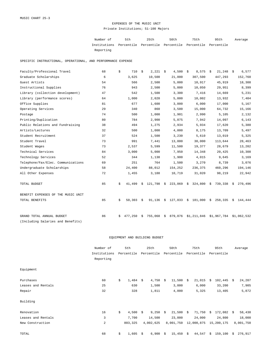# EXPENSES OF THE MUSIC UNIT Private Institutions; 51-100 Majors

| Number of                                                           | 5th | 25th | 50 t.h | 75th | 95th | Average |
|---------------------------------------------------------------------|-----|------|--------|------|------|---------|
| Institutions Percentile Percentile Percentile Percentile Percentile |     |      |        |      |      |         |
| Reporting                                                           |     |      |        |      |      |         |

SPECIFIC INSTRUCTIONAL, OPERATIONAL, AND PERFORMANCE EXPENSE

| Faculty/Professional Travel        | 68 | \$ | 710     | \$ | 2,221   | - \$ | 4,500                 | - \$ | 8,575                           | \$<br>$21,248$ \$ |      | 6,577       |
|------------------------------------|----|----|---------|----|---------|------|-----------------------|------|---------------------------------|-------------------|------|-------------|
| Graduate Scholarships              | 6  |    | 3,625   |    | 10,500  |      | 21,000                |      | 307,500                         | 447,293           |      | 152,760     |
| Guest Artists                      | 54 |    | 566     |    | 2,500   |      | 5,000                 |      | 10,917                          | 45,919            |      | 18,308      |
| Instructional Supplies             | 76 |    | 943     |    | 2,500   |      | 5,000                 |      | 10,050                          | 29,951            |      | 8,399       |
| Library (collection development)   | 47 |    | 542     |    | 1,500   |      | 3,300                 |      | 7,416                           | 14,669            |      | 5,231       |
| Library (performance scores)       | 64 |    | 1,000   |    | 2,020   |      | 5,000                 |      | 10,002                          | 13,932            |      | 7,404       |
| Office Supplies                    | 81 |    | 677     |    | 1,600   |      | 3,000                 |      | 6,000                           | 17,000            |      | 5,167       |
| Operating Services                 | 29 |    | 340     |    | 860     |      | 3,500                 |      | 15,000                          | 64,732            |      | 15,166      |
| Postage                            | 74 |    | 500     |    | 1,000   |      | 1,901                 |      | 2,990                           | 5,105             |      | 2,132       |
| Printing/Duplication               | 80 |    | 784     |    | 2,900   |      | 5,075                 |      | 7,942                           | 14,097            |      | 6,143       |
| Public Relations and Fundraising   | 38 |    | 494     |    | 1,275   |      | 2,934                 |      | 5,934                           | 17,620            |      | 5,380       |
| Artists/Lectures                   | 32 |    | 500     |    | 1,000   |      | 4,000                 |      | 8,175                           | 13,709            |      | 5,497       |
| Student Recruitment                | 37 |    | 524     |    | 1,500   |      | 3,230                 |      | 5,610                           | 13,019            |      | 5,325       |
| Student Travel                     | 73 |    | 991     |    | 7,441   |      | 13,000                |      | 30,000                          | 113,644           |      | 28,463      |
| Student Wages                      | 73 |    | 2,537   |    | 5,599   |      | 11,500                |      | 19,377                          | 28,679            |      | 13,202      |
| Technical Services                 | 84 |    | 3,000   |    | 5,000   |      | 7,950                 |      | 14,348                          | 20,425            |      | 10,308      |
| Technology Services                | 52 |    | 344     |    | 1,138   |      | 1,900                 |      | 4,015                           | 9,645             |      | 3,169       |
| Telephone/Fax/Elec. Communications | 69 |    | 251     |    | 764     |      | 1,500                 |      | 3,270                           | 8,739             |      | 3,076       |
| Undergraduate Scholarships         | 58 |    | 24,400  |    | 88,012  |      | 154,252               |      | 236,375                         | 460,296           |      | 194,146     |
| All Other Expenses                 | 72 |    | 1,455   |    | 3,188   |      | 10,719                |      | 31,020                          | 98,219            |      | 22,942      |
| TOTAL BUDGET                       | 85 | \$ | 41,499  | Ŝ. |         |      | 121,798 \$ 223,069 \$ |      | 324,800                         | $$739,338$ \$     |      | 270,496     |
| BENEFIT EXPENSES OF THE MUSIC UNIT |    |    |         |    |         |      |                       |      |                                 |                   |      |             |
| TOTAL BENEFITS                     | 85 | \$ | 50,303  | S. | 91,136  | - \$ | 127,033               | - \$ | 181,000                         | \$<br>258,335     | - \$ | 144,444     |
| GRAND TOTAL ANNUAL BUDGET          | 86 | Ŝ. | 477,250 | \$ | 755,068 | \$   |                       |      | 879,076 \$1,211,846 \$1,967,784 |                   |      | \$1,062,532 |
| (Including Salaries and Benefits)  |    |    |         |    |         |      |                       |      |                                 |                   |      |             |

|                    | Number of      | 5th              |    | 25th       | 50th         | 75th         |    | 95th              |      | Average   |
|--------------------|----------------|------------------|----|------------|--------------|--------------|----|-------------------|------|-----------|
|                    | Institutions   | Percentile       |    | Percentile | Percentile   | Percentile   |    | Percentile        |      |           |
|                    | Reporting      |                  |    |            |              |              |    |                   |      |           |
| Equipment          |                |                  |    |            |              |              |    |                   |      |           |
| Purchases          | 60             | \$<br>1,484      | \$ | 4,750      | \$<br>11,500 | \$<br>21,015 | \$ | 102,445           | - \$ | 24,207    |
| Leases and Rentals | 25             | 630              |    | 1,500      | 3,000        | 6,000        |    | 33,200            |      | 7,905     |
| Repair             | 32             | 328              |    | 1,811      | 4,000        | 5,325        |    | 13,405            |      | 5,872     |
| Building           |                |                  |    |            |              |              |    |                   |      |           |
| Renovation         | 16             | \$<br>$4,500$ \$ |    | $9,250$ \$ | $21,500$ \$  | 71,750       | S. | $172,082 \quad $$ |      | 58,430    |
| Leases and Rentals | 3              | 7,700            |    | 14,500     | 23,000       | 24,000       |    | 24,800            |      | 18,000    |
| New Construction   | $\overline{a}$ | 803,325          |    | 4,002,625  | 8,001,750    | 12,000,875   |    | 15,200,175        |      | 8,001,750 |
| TOTAL              | 68             | \$<br>1,605      | Ŝ. | 6,900      | \$<br>15,450 | \$<br>44,547 | \$ | 159,100           | Ŝ.   | 276,917   |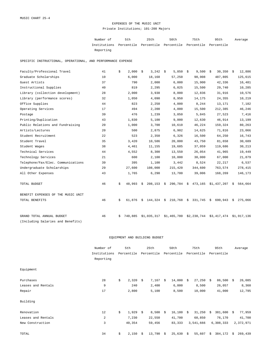#### EXPENSES OF THE MUSIC UNIT Private Institutions; 101-200 Majors

Number of 5th 25th 50th 75th 95th Institutions Percentile Percentile Percentile Percentile Percentile Reporting Average

SPECIFIC INSTRUCTIONAL, OPERATIONAL, AND PERFORMANCE EXPENSE

| Faculty/Professional Travel        | 41 | \$ | 2,000   | \$ | 3,242       | - \$ | 5,850        | - \$ | 9,500                                                        | \$<br>30,350            | - \$ | 12,886  |
|------------------------------------|----|----|---------|----|-------------|------|--------------|------|--------------------------------------------------------------|-------------------------|------|---------|
| Graduate Scholarships              | 10 |    | 6,000   |    | 18,168      |      | 57,250       |      | 90,908                                                       | 487,805                 |      | 125,615 |
| Guest Artists                      | 37 |    | 790     |    | 2,000       |      | 6,000        |      | 15,900                                                       | 42,336                  |      | 16,481  |
| Instructional Supplies             | 40 |    | 819     |    | 2,295       |      | 6,025        |      | 15,500                                                       | 29,740                  |      | 10,285  |
| Library (collection development)   | 28 |    | 2,000   |    | 3,938       |      | 8,000        |      | 12,836                                                       | 31,916                  |      | 10,576  |
| Library (performance scores)       | 32 |    | 1,050   |    | 4,090       |      | 8,950        |      | 14,175                                                       | 24,355                  |      | 10,219  |
| Office Supplies                    | 44 |    | 823     |    | 2,250       |      | 4,000        |      | 8,244                                                        | 13,171                  |      | 7,182   |
| Operating Services                 | 17 |    | 494     |    | 2,200       |      | 4,000        |      | 15,500                                                       | 212,385                 |      | 46,246  |
| Postage                            | 39 |    | 476     |    | 1,239       |      | 3,050        |      | 5,845                                                        | 27,523                  |      | 7,416   |
| Printing/Duplication               | 43 |    | 1,830   |    | 5,100       |      | 9,000        |      | 12,630                                                       | 46,914                  |      | 13,199  |
| Public Relations and Fundraising   | 20 |    | 1,000   |    | 3,700       |      | 10,610       |      | 46,224                                                       | 159,324                 |      | 80,263  |
| Artists/Lectures                   | 20 |    | 500     |    | 2,875       |      | 6,902        |      | 14,625                                                       | 71,816                  |      | 23,066  |
| Student Recruitment                | 22 |    | 523     |    | 2,350       |      | 6,326        |      | 16,500                                                       | 64,250                  |      | 16,743  |
| Student Travel                     | 35 |    | 3,420   |    | 10,586      |      | 20,000       |      | 43,750                                                       | 81,658                  |      | 30,689  |
| Student Wages                      | 38 |    | 4,461   |    | 11,155      |      | 19,685       |      | 37,059                                                       | 119,686                 |      | 30,213  |
| Technical Services                 | 44 |    | 4,552   |    | 8,300       |      | 13,550       |      | 26,054                                                       | 41,965                  |      | 19,449  |
| Technology Services                | 21 |    | 600     |    | 2,100       |      | 10,000       |      | 30,000                                                       | 67,000                  |      | 21,879  |
| Telephone/Fax/Elec. Communications | 39 |    | 395     |    | 1,100       |      | 3,442        |      | 8,524                                                        | 22,217                  |      | 6,537   |
| Undergraduate Scholarships         | 29 |    | 27,600  |    | 108,000     |      | 215,420      |      | 344,600                                                      | 763,574                 |      | 278,415 |
| All Other Expenses                 | 43 |    | 1,765   |    | 6,290       |      | 13,700       |      | 39,006                                                       | 168,269                 |      | 146,173 |
| TOTAL BUDGET                       | 46 | \$ | 48,993  | Ŝ. |             |      |              |      | $208, 153 \div 290, 784 \div 473, 165 \div 1, 437, 207 \div$ |                         |      | 564,664 |
| BENEFIT EXPENSES OF THE MUSIC UNIT |    |    |         |    |             |      |              |      |                                                              |                         |      |         |
| TOTAL BENEFITS                     | 46 | \$ | 61,876  | \$ | 144,324     | \$   | $210,768$ \$ |      | 331,745                                                      | \$<br>690,943           | \$   | 275,066 |
| GRAND TOTAL ANNUAL BUDGET          | 46 | S. | 740,885 |    | \$1,035,317 |      | \$1,465,780  |      | \$2,238,744                                                  | \$3,417,474 \$1,917,136 |      |         |
| (Including Salaries and Benefits)  |    |    |         |    |             |      |              |      |                                                              |                         |      |         |

|                    | Number of      | 5th              |    | 25th       | 50th         | 75th         |      | 95th       |      | Average   |
|--------------------|----------------|------------------|----|------------|--------------|--------------|------|------------|------|-----------|
|                    | Institutions   | Percentile       |    | Percentile | Percentile   | Percentile   |      | Percentile |      |           |
|                    | Reporting      |                  |    |            |              |              |      |            |      |           |
| Equipment          |                |                  |    |            |              |              |      |            |      |           |
| Purchases          | 28             | \$<br>2,320      | -Ŝ | 7,167      | \$<br>14,000 | \$<br>27,250 | - \$ | 86,500     | S.   | 26,085    |
| Leases and Rentals | 9              | 240              |    | 2,400      | 6,000        | 8,500        |      | 26,057     |      | 8,360     |
| Repair             | 17             | 2,800            |    | 5,100      | 8,500        | 10,000       |      | 41,000     |      | 12,795    |
| Building           |                |                  |    |            |              |              |      |            |      |           |
| Renovation         | 12             | \$<br>$1,929$ \$ |    | $8,500$ \$ | $16,180$ \$  | 31,250       | -Ŝ   | 381,600    | - \$ | 77,959    |
| Leases and Rentals | $\overline{a}$ | 7,230            |    | 22,550     | 41,700       | 60,850       |      | 76,170     |      | 41,700    |
| New Construction   | 3              | 40,354           |    | 59,456     | 83,333       | 3,541,666    |      | 6,308,333  |      | 2,372,971 |
| TOTAL              | 34             | \$<br>2,150      | Ŝ. | 13,790     | \$<br>25,630 | \$<br>55,607 | \$   | 384,172    | Ŝ.   | 269,439   |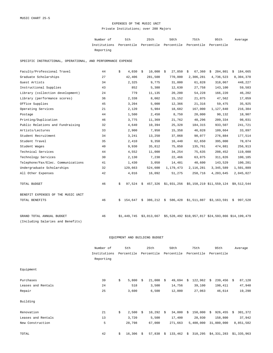#### EXPENSES OF THE MUSIC UNIT Private Institutions; over 200 Majors

Number of 5th 25th 50th 75th 95th Institutions Percentile Percentile Percentile Percentile Percentile Reporting Average

SPECIFIC INSTRUCTIONAL, OPERATIONAL, AND PERFORMANCE EXPENSE

| Faculty/Professional Travel        | 44 | 4,030<br>\$   | $10,000$ \$<br>\$ | 27,850    | 67,360<br>\$ | 204,801<br>\$                                                  | 184,665<br>\$            |
|------------------------------------|----|---------------|-------------------|-----------|--------------|----------------------------------------------------------------|--------------------------|
| Graduate Scholarships              | 27 | 42,406        | 281,500           | 770,000   | 2,306,281    | 4,736,523                                                      | 8,304,378                |
| Guest Artists                      | 34 | 2,325         | 9,775             | 31,000    | 61,828       | 318,067                                                        | 448,227                  |
| Instructional Supplies             | 43 | 852           | 5,388             | 12,630    | 27,758       | 143,100                                                        | 59,583                   |
| Library (collection development)   | 24 | 779           | 11,135            | 20,200    | 54,228       | 166,220                                                        | 46,202                   |
| Library (performance scores)       | 36 | 2,338         | 8,002             | 15,152    | 21,075       | 47,562                                                         | 17,059                   |
| Office Supplies                    | 45 | 3,204         | 5,000             | 12,366    | 21,316       | 59,475                                                         | 35,925                   |
| Operating Services                 | 21 | 2,120         | 5,984             | 18,682    | 167,000      | 1,127,840                                                      | 216,384                  |
| Postage                            | 44 | 1,500         | 2,450             | 8,750     | 20,000       | 90,132                                                         | 18,907                   |
| Printing/Duplication               | 46 | 3,775         | 11,369            | 21,762    | 40,296       | 209,334                                                        | 98,031                   |
| Public Relations and Fundraising   | 32 | 4,640         | 10,394            | 25,328    | 184,315      | 933,507                                                        | 241,721                  |
| Artists/Lectures                   | 33 | 2,900         | 7,950             | 15,358    | 46,028       | 109,664                                                        | 33,897                   |
| Student Recruitment                | 34 | 3,241         | 13,250            | 37,068    | 90,077       | 276,884                                                        | 177,514                  |
| Student Travel                     | 35 | 2,410         | 9,350             | 16,440    | 62,650       | 395,000                                                        | 78,074                   |
| Student Wages                      | 40 | 9,930         | 35,812            | 75,050    | 135,761      | 474,881                                                        | 256,913                  |
| Technical Services                 | 44 | 4,552         | 11,000            | 34,254    | 75,635       | 208,452                                                        | 119,088                  |
| Technology Services                | 30 | 2,130         | 7,238             | 22,466    | 63,875       | 311,826                                                        | 100,185                  |
| Telephone/Fax/Elec. Communications | 41 | 1,430         | 3,050             | 14,481    | 40,600       | 143,529                                                        | 100,281                  |
| Undergraduate Scholarships         | 32 | 129,663       | 524,600           | 1,179,473 | 2,116,281    | 3, 345, 589                                                    | 1,501,889                |
| All Other Expenses                 | 42 | 4,016         | 16,092            | 51,275    | 258,716      | 4,203,645                                                      | 2,045,027                |
| TOTAL BUDGET                       | 46 | \$<br>97,524  | \$                |           |              | 457,326 \$1,931,256 \$5,158,219 \$11,559,124 \$9,512,544       |                          |
| BENEFIT EXPENSES OF THE MUSIC UNIT |    |               |                   |           |              |                                                                |                          |
| TOTAL BENEFITS                     | 46 | 154,647<br>S. | 386,212 \$<br>S.  | 586,428   | \$1,511,887  |                                                                | $$3,163,591 \t$ 997,528$ |
| GRAND TOTAL ANNUAL BUDGET          | 46 | \$1,449,745   |                   |           |              | \$3,013,667 \$5,528,492 \$10,957,817 \$24,593,866 \$14,199,479 |                          |
| (Including Salaries and Benefits)  |    |               |                   |           |              |                                                                |                          |

|                    | Number of    | 5th          |      | 25th        |            | 50th       |    | 75th       |     | 95th        |      | Average     |
|--------------------|--------------|--------------|------|-------------|------------|------------|----|------------|-----|-------------|------|-------------|
|                    | Institutions | Percentile   |      | Percentile  |            | Percentile |    | Percentile |     | Percentile  |      |             |
|                    | Reporting    |              |      |             |            |            |    |            |     |             |      |             |
| Equipment          |              |              |      |             |            |            |    |            |     |             |      |             |
| Purchases          | 39           | \$<br>5,800  | -Ŝ   | 21,000      | Ŝ.         | 49,694     | Ŝ. | 122,962    | - Š | 239,456     | - \$ | 87,120      |
| Leases and Rentals | 24           | 518          |      | 3,500       |            | 14,756     |    | 39,100     |     | 198,411     |      | 47,940      |
| Repair             | 25           | 3,600        |      | 6,500       |            | 12,000     |    | 27,063     |     | 46,614      |      | 19,290      |
| Building           |              |              |      |             |            |            |    |            |     |             |      |             |
| Renovation         | 21           | \$<br>2,500  | - \$ | $10,292$ \$ |            | 34,000     | Ŝ. | 150,000    | S.  | 926,455     | Ŝ.   | 301,372     |
| Leases and Rentals | 13           | 3,720        |      | 5,500       |            | 17,400     |    | 28,930     |     | 158,800     |      | 37,942      |
| New Construction   | 5            | 28,798       |      | 67,000      |            | 271,663    |    | 5,400,000  |     | 31,880,000  |      | 8,851,582   |
| TOTAL              | 42           | \$<br>16,306 | -S   | 57,838      | $\ddot{s}$ | 133,462    | \$ | 310,295    |     | \$4,331,283 |      | \$1,335,963 |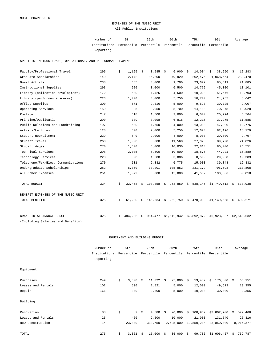# EXPENSES OF THE MUSIC UNIT All Public Institutions

| Number of                                                           | 5th | 25th | 50 t.h | 75th | 95th | Average |
|---------------------------------------------------------------------|-----|------|--------|------|------|---------|
| Institutions Percentile Percentile Percentile Percentile Percentile |     |      |        |      |      |         |
| Reporting                                                           |     |      |        |      |      |         |

SPECIFIC INSTRUCTIONAL, OPERATIONAL, AND PERFORMANCE EXPENSE

| Faculty/Professional Travel        | 295 | \$ | 1,195   | \$ | 3,585             | - \$ | 6,900       | - \$ | 14,004             | 38,950<br>\$    | - \$ | 12,283      |
|------------------------------------|-----|----|---------|----|-------------------|------|-------------|------|--------------------|-----------------|------|-------------|
| Graduate Scholarships              | 149 |    | 2,172   |    | 15,200            |      | 49,920      |      | 202,475            | 1,068,664       |      | 289,470     |
| Guest Artists                      | 238 |    | 685     |    | 3,000             |      | 9,700       |      | 23,672             | 85,619          |      | 21,885      |
| Instructional Supplies             | 293 |    | 920     |    | 3,000             |      | 6,500       |      | 14,779             | 45,000          |      | 13,101      |
| Library (collection development)   | 172 |    | 500     |    | 1,425             |      | 4,500       |      | 10,020             | 51,676          |      | 12,703      |
| Library (performance scores)       | 223 |    | 1,000   |    | 3,000             |      | 5,750       |      | 10,700             | 24,985          |      | 8,642       |
| Office Supplies                    | 300 |    | 671     |    | 2,316             |      | 5,000       |      | 9,520              | 30,725          |      | 9,007       |
| Operating Services                 | 159 |    | 995     |    | 2,050             |      | 5,700       |      | 14,100             | 70,978          |      | 18,028      |
| Postage                            | 247 |    | 418     |    | 1,500             |      | 3,000       |      | 6,000              | 20,794          |      | 5,764       |
| Printing/Duplication               | 290 |    | 789     |    | 3,098             |      | 6,815       |      | 12,215             | 37,275          |      | 11,585      |
| Public Relations and Fundraising   | 197 |    | 500     |    | 1,650             |      | 4,000       |      | 13,000             | 47,800          |      | 12,776      |
| Artists/Lectures                   | 128 |    | 500     |    | 2,000             |      | 5,250       |      | 12,623             | 82,196          |      | 18,179      |
| Student Recruitment                | 229 |    | 540     |    | 2,000             |      | 4,000       |      | 8,000              | 29,000          |      | 9,797       |
| Student Travel                     | 260 |    | 1,000   |    | 5,000             |      | 11,560      |      | 27,028             | 89,790          |      | 24,026      |
| Student Wages                      | 270 |    | 1,500   |    | 5,000             |      | 10,030      |      | 22,813             | 80,000          |      | 24,551      |
| Technical Services                 | 298 |    | 2,085   |    | 5,500             |      | 10,000      |      | 18,875             | 44,221          |      | 15,880      |
| Technology Services                | 228 |    | 500     |    | 1,500             |      | 3,006       |      | 8,500              | 29,030          |      | 10,303      |
| Telephone/Fax/Elec. Communications | 270 |    | 501     |    | 2,832             |      | 6,775       |      | 15,000             | 39,848          |      | 12,332      |
| Undergraduate Scholarships         | 282 |    | 6,050   |    | 33,201            |      | 105,852     |      | 231,172            | 795,598         |      | 217,808     |
| All Other Expenses                 | 251 |    | 1,072   |    | 5,000             |      | 15,000      |      | 41,582             | 190,686         |      | 50,018      |
| TOTAL BUDGET                       | 324 | \$ | 32,458  | \$ | $108,858 \quad $$ |      | 258,850 \$  |      | 538,146            | $$1,749,612$ \$ |      | 538,938     |
| BENEFIT EXPENSES OF THE MUSIC UNIT |     |    |         |    |                   |      |             |      |                    |                 |      |             |
| TOTAL BENEFITS                     | 325 | \$ | 61,200  | S. | 145,634 \$        |      |             |      | 262,750 \$ 470,000 | $$1,149,658$ \$ |      | 402,271     |
| GRAND TOTAL ANNUAL BUDGET          | 325 | Ŝ. | 484,206 | Ŝ. | 984,477           |      | \$1,642,942 |      | \$2,892,872        | \$6,923,037     |      | \$2,540,632 |
| (Including Salaries and Benefits)  |     |    |         |    |                   |      |             |      |                    |                 |      |             |

|                    | Number of    | 5th         |     | 25th        | 50th         |    | 75th       |      | 95th        |    | Average   |
|--------------------|--------------|-------------|-----|-------------|--------------|----|------------|------|-------------|----|-----------|
|                    | Institutions | Percentile  |     | Percentile  | Percentile   |    | Percentile |      | Percentile  |    |           |
|                    | Reporting    |             |     |             |              |    |            |      |             |    |           |
| Equipment          |              |             |     |             |              |    |            |      |             |    |           |
| Purchases          | 249          | \$<br>3,500 | - Š | $11,322$ \$ | 25,000       | S. | 53,489     | - \$ | 176,800     | S. | 65,151    |
| Leases and Rentals | 102          | 500         |     | 1,821       | 5,000        |    | 12,000     |      | 49,623      |    | 13,355    |
| Repair             | 161          | 800         |     | 2,800       | 5,000        |    | 10,000     |      | 30,000      |    | 9,356     |
| Building           |              |             |     |             |              |    |            |      |             |    |           |
| Renovation         | 88           | \$<br>887   | S.  | $4,580$ \$  | 20,000       | Ŝ. | 100,959    |      | \$3,802,700 | Ŝ. | 572,466   |
| Leases and Rentals | 25           | 460         |     | 2,500       | 10,000       |    | 21,000     |      | 131,540     |    | 26,316    |
| New Construction   | 14           | 23,000      |     | 318,750     | 2,525,000    |    | 12,850,204 |      | 33,850,000  |    | 9,915,377 |
| TOTAL              | 275          | \$<br>3,361 | \$  | 15,000      | \$<br>35,000 | \$ | 99,736     |      | \$1,906,457 | \$ | 759,787   |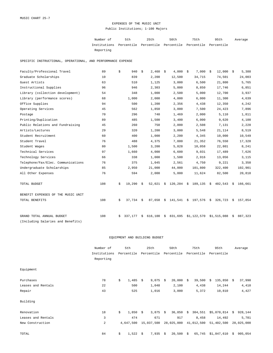# EXPENSES OF THE MUSIC UNIT Public Institutions; 1-100 Majors

| Number of                                                           | 5th | 25th | 50 t.h | 75th | 95th | Average |
|---------------------------------------------------------------------|-----|------|--------|------|------|---------|
| Institutions Percentile Percentile Percentile Percentile Percentile |     |      |        |      |      |         |
| Reporting                                                           |     |      |        |      |      |         |

SPECIFIC INSTRUCTIONAL, OPERATIONAL, AND PERFORMANCE EXPENSE

| Faculty/Professional Travel        | 89  | \$ | 940       | \$ | 2,460       | - \$ | 4,000                        | - \$ | 7,000       | \$<br>$12,000$ \$      | 5,388         |
|------------------------------------|-----|----|-----------|----|-------------|------|------------------------------|------|-------------|------------------------|---------------|
| Graduate Scholarships              | 10  |    | 839       |    | 2,200       |      | 12,500                       |      | 34,715      | 74,501                 | 24,003        |
| Guest Artists                      | 63  |    | 510       |    | 1,125       |      | 3,000                        |      | 6,500       | 21,800                 | 5,765         |
| Instructional Supplies             | 96  |    | 946       |    | 2,303       |      | 5,000                        |      | 8,850       | 17,746                 | 6,851         |
| Library (collection development)   | 54  |    | 348       |    | 1,000       |      | 2,500                        |      | 5,000       | 12,700                 | 3,937         |
| Library (performance scores)       | 68  |    | 1,000     |    | 2,000       |      | 4,000                        |      | 6,000       | 11,300                 | 4,639         |
| Office Supplies                    | 94  |    | 500       |    | 1,200       |      | 2,356                        |      | 4,438       | 12,350                 | 4,242         |
| Operating Services                 | 45  |    | 562       |    | 1,850       |      | 3,000                        |      | 7,500       | 24,423                 | 7,896         |
| Postage                            | 70  |    | 296       |    | 740         |      | 1,469                        |      | 2,000       | 5,110                  | 1,811         |
| Printing/Duplication               | 89  |    | 485       |    | 1,500       |      | 3,400                        |      | 6,000       | 9,620                  | 4,100         |
| Public Relations and Fundraising   | 45  |    | 260       |    | 750         |      | 2,000                        |      | 2,508       | 7,131                  | 2,228         |
| Artists/Lectures                   | 29  |    | 320       |    | 1,200       |      | 3,000                        |      | 5,548       | 21,114                 | 8,519         |
| Student Recruitment                | 60  |    | 400       |    | 1,000       |      | 2,200                        |      | 4,345       | 10,000                 | 10,549        |
| Student Travel                     | 76  |    | 488       |    | 4,375       |      | 7,880                        |      | 21,352      | 76,550                 | 17,328        |
| Student Wages                      | 80  |    | 1,500     |    | 3,200       |      | 5,828                        |      | 10,058      | 22,801                 | 8,241         |
| Technical Services                 | 97  |    | 1,660     |    | 4,000       |      | 6,600                        |      | 9,031       | 17,489                 | 7,626         |
| Technology Services                | 66  |    | 338       |    | 1,000       |      | 1,500                        |      | 2,916       | 13,056                 | 3,115         |
| Telephone/Fax/Elec. Communications | 76  |    | 375       |    | 1,045       |      | 2,561                        |      | 4,750       | 9,221                  | 3,350         |
| Undergraduate Scholarships         | 85  |    | 2,950     |    | 21,000      |      | 44,000                       |      | 101,800     | 322,400                | 102,901       |
| All Other Expenses                 | 76  |    | 594       |    | 2,000       |      | 5,000                        |      | 11,624      | 82,500                 | 20,818        |
| TOTAL BUDGET                       | 108 | \$ | 19,290    | -S |             |      | 52,021 \$ 120,204 \$ 189,135 |      |             | \$<br>$402,543 \t$ \$  | 166,661       |
| BENEFIT EXPENSES OF THE MUSIC UNIT |     |    |           |    |             |      |                              |      |             |                        |               |
| TOTAL BENEFITS                     | 108 | \$ | 37,734 \$ |    | $87,658$ \$ |      | $141,541 \&$                 |      | 197,576     | $$326,723$$ \$ 157,854 |               |
| GRAND TOTAL ANNUAL BUDGET          | 108 | Ŝ. | 337,177   | \$ | 616,100     | \$   | 831,695                      |      | \$1,122,570 | \$1,515,088            | \$<br>887,323 |
| (Including Salaries and Benefits)  |     |    |           |    |             |      |                              |      |             |                        |               |

|                    | Number of      |    | 5th        |    | 25th       |            | 50th       |    | 75th       | 95th          |      | Average    |
|--------------------|----------------|----|------------|----|------------|------------|------------|----|------------|---------------|------|------------|
|                    | Institutions   |    | Percentile |    | Percentile |            | Percentile |    | Percentile | Percentile    |      |            |
|                    | Reporting      |    |            |    |            |            |            |    |            |               |      |            |
| Equipment          |                |    |            |    |            |            |            |    |            |               |      |            |
| Purchases          | 78             | \$ | 1,485      | Ŝ. | 9,075      | $\ddot{s}$ | 20,000     | Ŝ. | 39,500     | 135,850<br>Ŝ. | - \$ | 37,990     |
| Leases and Rentals | 22             |    | 500        |    | 1,048      |            | 2,100      |    | 4,438      | 14,244        |      | 4,410      |
| Repair             | 43             |    | 525        |    | 1,016      |            | 3,000      |    | 5,372      | 10,810        |      | 4,427      |
| Building           |                |    |            |    |            |            |            |    |            |               |      |            |
| Renovation         | 18             | \$ | 1,850      | \$ | $3,875$ \$ |            | 36,850     | \$ | 304,551    | \$5,070,814   | \$   | 928,144    |
| Leases and Rentals | 3              |    | 474        |    | 671        |            | 917        |    | 8,458      | 14,492        |      | 5,781      |
| New Construction   | $\overline{a}$ |    | 4,647,500  |    | 15,037,500 |            | 28,025,000 |    | 41,012,500 | 51,402,500    |      | 28,025,000 |
| TOTAL              | 84             | \$ | 1,522      | \$ | 7,935      | \$         | 20,500     | \$ | 65,745     | \$1,847,610   | \$   | 905,054    |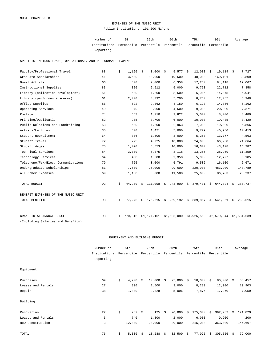### EXPENSES OF THE MUSIC UNIT Public Institutions; 101-200 Majors

| Number of                                                           | 5th | 25th | 50 t.h | 75th | 95th | Average |
|---------------------------------------------------------------------|-----|------|--------|------|------|---------|
| Institutions Percentile Percentile Percentile Percentile Percentile |     |      |        |      |      |         |
| Reporting                                                           |     |      |        |      |      |         |

SPECIFIC INSTRUCTIONAL, OPERATIONAL, AND PERFORMANCE EXPENSE

| Faculty/Professional Travel        | 88 | \$ | 1,190   | \$ | 3,000       | \$<br>$5,577$ \$                   | 12,088        | \$ | $19,114$ \$ |    | 7,727       |
|------------------------------------|----|----|---------|----|-------------|------------------------------------|---------------|----|-------------|----|-------------|
| Graduate Scholarships              | 41 |    | 3,500   |    | 10,000      | 19,500                             | 48,000        |    | 169,101     |    | 39,809      |
| Guest Artists                      | 66 |    | 500     |    | 2,000       | 6,358                              | 17,250        |    | 84,118      |    | 17,067      |
| Instructional Supplies             | 83 |    | 820     |    | 2,512       | 5,000                              | 9,750         |    | 22,712      |    | 7,358       |
| Library (collection development)   | 51 |    | 500     |    | 1,200       | 3,500                              | 6,916         |    | 14,075      |    | 6,041       |
| Library (performance scores)       | 61 |    | 2,000   |    | 3,332       | 5,200                              | 8,750         |    | 12,087      |    | 6,340       |
| Office Supplies                    | 86 |    | 522     |    | 2,362       | 4,150                              | 6,123         |    | 14,856      |    | 5,162       |
| Operating Services                 | 49 |    | 970     |    | 2,000       | 4,500                              | 9,000         |    | 20,800      |    | 7,371       |
| Postage                            | 74 |    | 663     |    | 1,710       | 2,822                              | 5,000         |    | 8,000       |    | 3,489       |
| Printing/Duplication               | 82 |    | 905     |    | 3,700       | 6,000                              | 10,000        |    | 19,435      |    | 7,420       |
| Public Relations and Fundraising   | 53 |    | 500     |    | 1,200       | 2,963                              | 7,000         |    | 19,000      |    | 5,866       |
| Artists/Lectures                   | 35 |    | 500     |    | 1,471       | 5,000                              | 9,729         |    | 40,980      |    | 10,413      |
| Student Recruitment                | 64 |    | 806     |    | 1,500       | 3,000                              | 5,250         |    | 13,777      |    | 4,563       |
| Student Travel                     | 72 |    | 775     |    | 4,725       | 10,000                             | 24,608        |    | 66,250      |    | 21,664      |
| Student Wages                      | 75 |    | 1,070   |    | 5,553       | 10,000                             | 16,600        |    | 43,178      |    | 14,287      |
| Technical Services                 | 84 |    | 3,000   |    | 5,375       | 8,118                              | 13,256        |    | 28,269      |    | 11,359      |
| Technology Services                | 64 |    | 458     |    | 1,500       | 2,350                              | 5,000         |    | 12,797      |    | 5,185       |
| Telephone/Fax/Elec. Communications | 79 |    | 725     |    | 3,000       | 5,791                              | 9,586         |    | 16,100      |    | 6,671       |
| Undergraduate Scholarships         | 81 |    | 7,500   |    | 25,000      | 99,600                             | 220,900       |    | 483,200     |    | 148,789     |
| All Other Expenses                 | 69 |    | 1,180   |    | 5,000       | 11,500                             | 25,600        |    | 86,783      |    | 28,237      |
| TOTAL BUDGET                       | 92 | \$ | 44,900  | Ŝ. | 111,098     | \$<br>243,900                      | \$<br>379,431 | Ŝ. | 644,824     | Ŝ. | 280,737     |
| BENEFIT EXPENSES OF THE MUSIC UNIT |    |    |         |    |             |                                    |               |    |             |    |             |
| TOTAL BENEFITS                     | 93 | \$ | 77,275  |    |             | $$176,615 \t $259,192 \t $339,867$ |               | \$ | 541,061     | Ŝ. | 260,515     |
| GRAND TOTAL ANNUAL BUDGET          | 93 | Ŝ. | 770,316 |    | \$1,121,161 | \$1,605,080                        | \$1,926,550   |    | \$2,579,844 |    | \$1,581,639 |
| (Including Salaries and Benefits)  |    |    |         |    |             |                                    |               |    |             |    |             |

|                    | Number of    | 5th         |      | 25th       |    | 50th       |    | 75th       |    | 95th       |    | Average |
|--------------------|--------------|-------------|------|------------|----|------------|----|------------|----|------------|----|---------|
|                    | Institutions | Percentile  |      | Percentile |    | Percentile |    | Percentile |    | Percentile |    |         |
|                    | Reporting    |             |      |            |    |            |    |            |    |            |    |         |
| Equipment          |              |             |      |            |    |            |    |            |    |            |    |         |
| Purchases          | 69           | \$<br>4,200 | Ŝ.   | 10,000     | S. | 25,000     | \$ | 50,000     | -Ŝ | 80,000     | S. | 33,457  |
| Leases and Rentals | 27           | 300         |      | 1,500      |    | 3,000      |    | 8,280      |    | 12,000     |    | 10,903  |
| Repair             | 38           | 1,000       |      | 2,828      |    | 5,096      |    | 7,875      |    | 17,370     |    | 7,059   |
| Building           |              |             |      |            |    |            |    |            |    |            |    |         |
| Renovation         | 22           | \$<br>967   | - \$ | $8,125$ \$ |    | 20,000     | Ŝ. | 175,000    | -Ŝ | 392,962    | S. | 121,829 |
| Leases and Rentals | 3            | 740         |      | 1,300      |    | 2,000      |    | 6,000      |    | 9,200      |    | 4,200   |
| New Construction   | 3            | 12,000      |      | 20,000     |    | 30,000     |    | 215,000    |    | 363,000    |    | 146,667 |
| TOTAL              | 76           | \$<br>5,000 | Ŝ.   | 13,288     | \$ | 32,500     | \$ | 77,075     | \$ | 305,556    | \$ | 79,000  |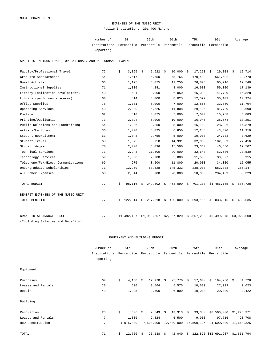# EXPENSES OF THE MUSIC UNIT Public Institutions; 201-400 Majors

| Number of                                                           | 5th | 25th | 50 t.h | 75th | 95th | Average |
|---------------------------------------------------------------------|-----|------|--------|------|------|---------|
| Institutions Percentile Percentile Percentile Percentile Percentile |     |      |        |      |      |         |
| Reporting                                                           |     |      |        |      |      |         |

SPECIFIC INSTRUCTIONAL, OPERATIONAL, AND PERFORMANCE EXPENSE

| Faculty/Professional Travel        | 72 | \$ | 3,365       | \$ | $5,622$ \$             | 10,000        | - \$ | 17,250                 | \$<br>$29,808$ \$ |    | 12,714      |
|------------------------------------|----|----|-------------|----|------------------------|---------------|------|------------------------|-------------------|----|-------------|
| Graduate Scholarships              | 54 |    | 1,617       |    | 15,650                 | 55,765        |      | 170,400                | 661,692           |    | 129,770     |
| Guest Artists                      | 66 |    | 1,125       |    | 5,075                  | 12,250        |      | 26,875                 | 60,716            |    | 19,740      |
| Instructional Supplies             | 71 |    | 1,000       |    | 4,241                  | 8,000         |      | 16,900                 | 59,000            |    | 17,139      |
| Library (collection development)   | 40 |    | 684         |    | 2,000                  | 6,050         |      | 15,000                 | 41,739            |    | 16,328      |
| Library (performance scores)       | 60 |    | 814         |    | 5,000                  | 8,025         |      | 12,592                 | 30,101            |    | 10,924      |
| Office Supplies                    | 75 |    | 1,701       |    | 5,000                  | 7,000         |      | 12,866                 | 32,060            |    | 11,794      |
| Operating Services                 | 40 |    | 2,000       |    | 5,525                  | 11,808        |      | 29,125                 | 81,739            |    | 33,690      |
| Postage                            | 62 |    | 810         |    | 3,075                  | 5,000         |      | 7,000                  | 10,988            |    | 5,883       |
| Printing/Duplication               | 73 |    | 2,824       |    | 6,000                  | 10,000        |      | 16,945                 | 28,674            |    | 13,251      |
| Public Relations and Fundraising   | 54 |    | 1,296       |    | 2,350                  | 5,000         |      | 15,112                 | 28,236            |    | 14,379      |
| Artists/Lectures                   | 36 |    | 1,000       |    | 4,025                  | 6,850         |      | 12,248                 | 43,370            |    | 11,919      |
| Student Recruitment                | 63 |    | 1,048       |    | 2,750                  | 5,000         |      | 10,000                 | 24,733            |    | 7,629       |
| Student Travel                     | 68 |    | 1,675       |    | 5,750                  | 14,931        |      | 32,050                 | 102,689           |    | 27,416      |
| Student Wages                      | 70 |    | 2,000       |    | 6,036                  | 15,500        |      | 23,360                 | 46,550            |    | 19,507      |
| Technical Services                 | 73 |    | 2,943       |    | 11,500                 | 20,000        |      | 32,648                 | 62,686            |    | 23,530      |
| Technology Services                | 59 |    | 1,000       |    | 2,900                  | 5,000         |      | 11,500                 | 30,397            |    | 8,915       |
| Telephone/Fax/Elec. Communications | 69 |    | 970         |    | 8,500                  | 11,800        |      | 20,000                 | 34,000            |    | 15,055      |
| Undergraduate Scholarships         | 71 |    | 12,250      |    | 68,528                 | 145,332       |      | 238,000                | 582,338           |    | 255,147     |
| All Other Expenses                 | 63 |    | 2,544       |    | 8,900                  | 20,000        |      | 50,000                 | 234,409           |    | 56,329      |
| TOTAL BUDGET                       | 77 | \$ | 98,116      |    | $$249,502$$ \$ 463,090 |               | - \$ | 701,100 \$1,486,155 \$ |                   |    | 586,728     |
| BENEFIT EXPENSES OF THE MUSIC UNIT |    |    |             |    |                        |               |      |                        |                   |    |             |
| TOTAL BENEFITS                     | 77 | Ŝ. | 122,014     | Ŝ. | 287,518                | \$<br>400,000 | \$   | 593,155                | \$<br>833,915     | S. | 468,535     |
| GRAND TOTAL ANNUAL BUDGET          | 77 |    | \$1,492,437 |    | \$1,959,657            | \$2,857,820   |      | \$3,657,209            | \$5,499,978       |    | \$3,022,600 |
| (Including Salaries and Benefits)  |    |    |             |    |                        |               |      |                        |                   |    |             |

|                    | Number of    |    | 5th        |    | 25th            |    | 50th        | 75th         |    | 95th                 |    | Average     |
|--------------------|--------------|----|------------|----|-----------------|----|-------------|--------------|----|----------------------|----|-------------|
|                    | Institutions |    | Percentile |    | Percentile      |    | Percentile  | Percentile   |    | Percentile           |    |             |
|                    | Reporting    |    |            |    |                 |    |             |              |    |                      |    |             |
| Equipment          |              |    |            |    |                 |    |             |              |    |                      |    |             |
| Purchases          | 64           | \$ | 4,150      | -Ŝ | $17,970$ \$     |    | 25,770      | \$<br>57,600 | Ŝ. | 194,250              | Ŝ. | 84,726      |
| Leases and Rentals | 28           |    | 600        |    | 3,564           |    | 5,575       | 10,639       |    | 27,999               |    | 9,623       |
| Repair             | 49           |    | 1,235      |    | 3,500           |    | 6,800       | 10,000       |    | 20,000               |    | 8,422       |
| Building           |              |    |            |    |                 |    |             |              |    |                      |    |             |
| Renovation         | 23           | \$ | 606        | \$ | $2,643 \quad $$ |    | $13,313$ \$ | 93,380       |    | \$8,560,000          |    | \$1,276,371 |
| Leases and Rentals | 7            |    | 1,800      |    | 2,824           |    | 5,500       | 9,000        |    | 97,716               |    | 23,708      |
| New Construction   | 7            |    | 1,075,000  |    | 7,500,000       |    | 12,400,000  | 15,500,136   |    | 21,500,000           |    | 11,664,325  |
| TOTAL              | 71           | \$ | 12,750     | -Ŝ | 26,238          | \$ | 42,040      | \$           |    | 122,875 \$12,691,287 |    | \$1,651,794 |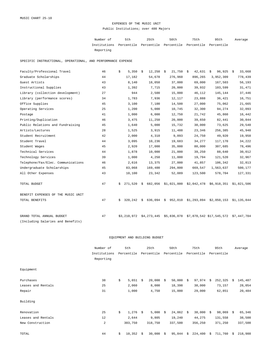#### EXPENSES OF THE MUSIC UNIT Public Institutions; over 400 Majors

Number of 5th 25th 50th 75th 95th Institutions Percentile Percentile Percentile Percentile Percentile Reporting Average

SPECIFIC INSTRUCTIONAL, OPERATIONAL, AND PERFORMANCE EXPENSE

| Faculty/Professional Travel        | 46 | \$ | 5,350       | \$ | 12,250      | - \$ | 21,750      | - \$ | 42,631      | 96,925<br>\$                                            | - \$ | 33,668      |
|------------------------------------|----|----|-------------|----|-------------|------|-------------|------|-------------|---------------------------------------------------------|------|-------------|
| Graduate Scholarships              | 44 |    | 17,182      |    | 54,678      |      | 276,960     |      | 896,265     | 3,952,309                                               |      | 778,439     |
| Guest Artists                      | 43 |    | 8,140       |    | 18,050      |      | 37,000      |      | 69,000      | 167,503                                                 |      | 56,193      |
| Instructional Supplies             | 43 |    | 1,392       |    | 7,715       |      | 20,000      |      | 39,932      | 103,599                                                 |      | 31,471      |
| Library (collection development)   | 27 |    | 944         |    | 2,500       |      | 15,000      |      | 46,112      | 145,144                                                 |      | 37,446      |
| Library (performance scores)       | 34 |    | 1,783       |    | 7,936       |      | 12,117      |      | 23,888      | 36,421                                                  |      | 16,751      |
| Office Supplies                    | 45 |    | 3,100       |    | 7,100       |      | 14,500      |      | 27,000      | 75,062                                                  |      | 21,665      |
| Operating Services                 | 25 |    | 1,200       |    | 5,000       |      | 10,745      |      | 32,300      | 94,274                                                  |      | 32,093      |
| Postage                            | 41 |    | 1,000       |    | 6,000       |      | 12,750      |      | 21,742      | 45,860                                                  |      | 16,442      |
| Printing/Duplication               | 46 |    | 3,475       |    | 11,250      |      | 20,000      |      | 39,650      | 82,441                                                  |      | 30,844      |
| Public Relations and Fundraising   | 45 |    | 1,640       |    | 5,000       |      | 15,732      |      | 30,000      | 73,625                                                  |      | 29,540      |
| Artists/Lectures                   | 28 |    | 1,525       |    | 3,915       |      | 11,488      |      | 23,346      | 256,385                                                 |      | 45,940      |
| Student Recruitment                | 42 |    | 2,000       |    | 4,310       |      | 9,093       |      | 24,750      | 49,920                                                  |      | 19,950      |
| Student Travel                     | 44 |    | 3,095       |    | 10,236      |      | 19,683      |      | 34,277      | 117,170                                                 |      | 34,222      |
| Student Wages                      | 45 |    | 2,920       |    | 17,000      |      | 35,000      |      | 80,000      | 307,685                                                 |      | 78,496      |
| Technical Services                 | 44 |    | 1,878       |    | 10,000      |      | 21,000      |      | 39,250      | 88,640                                                  |      | 30,012      |
| Technology Services                | 39 |    | 1,000       |    | 4,250       |      | 11,000      |      | 19,794      | 121,520                                                 |      | 32,967      |
| Telephone/Fax/Elec. Communications | 46 |    | 2,616       |    | 13,375      |      | 27,000      |      | 41,857      | 106,342                                                 |      | 32,813      |
| Undergraduate Scholarships         | 45 |    | 83,068      |    | 169,400     |      | 294,800     |      | 669,547     | 1,563,637                                               |      | 500,177     |
| All Other Expenses                 | 43 |    | 10,100      |    | 23,342      |      | 52,089      |      | 123,500     | 578,704                                                 |      | 127,331     |
| TOTAL BUDGET                       | 47 | S. | 271,520     | S. |             |      |             |      |             | 682,056 \$1,021,000 \$2,042,478 \$6,918,351 \$1,821,506 |      |             |
| BENEFIT EXPENSES OF THE MUSIC UNIT |    |    |             |    |             |      |             |      |             |                                                         |      |             |
| TOTAL BENEFITS                     | 47 | Ŝ. | 320,242     | \$ | 636,094     | \$   | 952,010     |      | \$1,293,894 | \$2,050,153                                             |      | \$1,135,844 |
| GRAND TOTAL ANNUAL BUDGET          | 47 |    | \$3,210,972 |    | \$4,273,445 |      | \$5,836,078 |      |             | \$7,870,542 \$17,545,572 \$7,447,704                    |      |             |
| (Including Salaries and Benefits)  |    |    |             |    |             |      |             |      |             |                                                         |      |             |

|                    | Number of      | 5th          |      | 25th       |    | 50th       | 75th          |     | 95th       |    | Average |
|--------------------|----------------|--------------|------|------------|----|------------|---------------|-----|------------|----|---------|
|                    | Institutions   | Percentile   |      | Percentile |    | Percentile | Percentile    |     | Percentile |    |         |
|                    | Reporting      |              |      |            |    |            |               |     |            |    |         |
| Equipment          |                |              |      |            |    |            |               |     |            |    |         |
| Purchases          | 38             | \$<br>5,651  | Ŝ.   | 20,000     | S. | 50,000     | \$<br>97,974  | Ŝ.  | 252,325    | S. | 145,487 |
| Leases and Rentals | 25             | 2,060        |      | 8,000      |    | 18,398     | 30,000        |     | 73,157     |    | 28,054  |
| Repair             | 31             | 1,000        |      | 4,750      |    | 15,000     | 29,000        |     | 62,851     |    | 20,484  |
| Building           |                |              |      |            |    |            |               |     |            |    |         |
| Renovation         | 25             | \$<br>1,276  | - \$ | 5,000      | \$ | 24,862     | \$<br>38,000  | - Š | 98,069     | S. | 65,346  |
| Leases and Rentals | 12             | 2,644        |      | 9,805      |    | 19,240     | 44,275        |     | 131,558    |    | 38,500  |
| New Construction   | $\overline{a}$ | 303,750      |      | 318,750    |    | 337,500    | 356,250       |     | 371,250    |    | 337,500 |
| TOTAL              | 44             | \$<br>10,352 | Ŝ.   | 30,000     | \$ | 95,844     | \$<br>224,400 | \$  | 711,760    | \$ | 218,988 |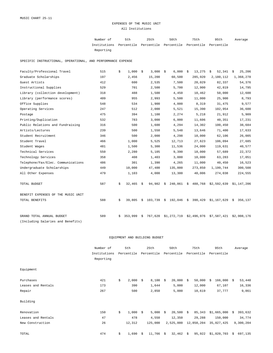#### EXPENSES OF THE MUSIC UNIT All Institutions

Number of 5th 25th 50th 75th 95th Institutions Percentile Percentile Percentile Percentile Percentile Reporting Average

SPECIFIC INSTRUCTIONAL, OPERATIONAL, AND PERFORMANCE EXPENSE

| Faculty/Professional Travel        | 515 | \$ | 1,000   | \$ | 3,000   | - \$ | 6,000       | - \$ | 13,275      | 52,341<br>\$              | 25,206<br>\$ |
|------------------------------------|-----|----|---------|----|---------|------|-------------|------|-------------|---------------------------|--------------|
| Graduate Scholarships              | 197 |    | 2,456   |    | 15,200  |      | 60,500      |      | 285,920     | 2,180,112                 | 1,368,278    |
| Guest Artists                      | 412 |    | 600     |    | 2,535   |      | 7,500       |      | 20,029      | 82,337                    | 54,376       |
| Instructional Supplies             | 529 |    | 701     |    | 2,500   |      | 5,700       |      | 12,900      | 42,819                    | 14,795       |
| Library (collection development)   | 318 |    | 488     |    | 1,500   |      | 4,450       |      | 10,462      | 50,000                    | 12,600       |
| Library (performance scores)       | 409 |    | 955     |    | 2,993   |      | 5,500       |      | 11,000      | 25,900                    | 8,793        |
| Office Supplies                    | 548 |    | 534     |    | 1,900   |      | 4,000       |      | 8,319       | 31,475                    | 9,577        |
| Operating Services                 | 247 |    | 512     |    | 2,000   |      | 5,521       |      | 15,390      | 102,954                   | 36,600       |
| Postage                            | 475 |    | 394     |    | 1,108   |      | 2,274       |      | 5,218       | 21,912                    | 5,909        |
| Printing/Duplication               | 532 |    | 783     |    | 3,000   |      | 6,000       |      | 11,606      | 40,351                    | 17,231       |
| Public Relations and Fundraising   | 316 |    | 500     |    | 1,600   |      | 4,294       |      | 14,302      | 100,450                   | 38,684       |
| Artists/Lectures                   | 239 |    | 500     |    | 1,550   |      | 5,548       |      | 13,646      | 71,400                    | 17,633       |
| Student Recruitment                | 346 |    | 500     |    | 2,000   |      | 4,298       |      | 10,000      | 62,106                    | 26,005       |
| Student Travel                     | 466 |    | 1,000   |    | 5,525   |      | 12,713      |      | 27,623      | 106,094                   | 27,685       |
| Student Wages                      | 481 |    | 1,500   |    | 5,300   |      | 11,536      |      | 24,000      | 119,631                   | 40,577       |
| Technical Services                 | 550 |    | 2,280   |    | 5,105   |      | 9,390       |      | 18,000      | 57,689                    | 22,372       |
| Technology Services                | 358 |    | 408     |    | 1,403   |      | 3,000       |      | 10,000      | 63,283                    | 17,051       |
| Telephone/Fax/Elec. Communications | 486 |    | 301     |    | 1,390   |      | 4,265       |      | 11,000      | 40,450                    | 16,523       |
| Undergraduate Scholarships         | 449 |    | 10,000  |    | 47,400  |      | 135,000     |      | 273,850     | 1,199,744                 | 300,508      |
| All Other Expenses                 | 479 |    | 1,103   |    | 4,000   |      | 13,300      |      | 40,006      | 274,038                   | 224,555      |
| TOTAL BUDGET                       | 587 | \$ | 32,465  | S. | 94,982  | \$   | 240,861     | \$   | 488,768     | $$2,592,639$ $$1,147,206$ |              |
| BENEFIT EXPENSES OF THE MUSIC UNIT |     |    |         |    |         |      |             |      |             |                           |              |
| TOTAL BENEFITS                     | 588 | \$ | 39,805  | Ŝ. | 103,739 |      | \$192,046   | - \$ | 390,429     | $$1,167,629$ \$           | 356,137      |
| GRAND TOTAL ANNUAL BUDGET          | 589 | Ŝ. | 353,999 | Ŝ. | 767,620 |      | \$1,272,719 |      | \$2,496,976 | \$7,587,421               | \$2,908,176  |
| (Including Salaries and Benefits)  |     |    |         |    |         |      |             |      |             |                           |              |

|                    | Number of    | 5th         |    | 25th        |    | 50th        | 75th         | 95th |             | Average |           |
|--------------------|--------------|-------------|----|-------------|----|-------------|--------------|------|-------------|---------|-----------|
|                    | Institutions | Percentile  |    | Percentile  |    | Percentile  | Percentile   |      | Percentile  |         |           |
|                    | Reporting    |             |    |             |    |             |              |      |             |         |           |
| Equipment          |              |             |    |             |    |             |              |      |             |         |           |
| Purchases          | 421          | \$<br>2,000 | Ŝ. | 8,100       | Ŝ. | 20,000      | \$<br>50,000 | \$   | 166,000     | S.      | 53,440    |
| Leases and Rentals | 173          | 390         |    | 1,644       |    | 5,000       | 12,000       |      | 67,107      |         | 16,336    |
| Repair             | 267          | 500         |    | 2,850       |    | 5,000       | 10,619       |      | 37,777      |         | 9,861     |
| Building           |              |             |    |             |    |             |              |      |             |         |           |
| Renovation         | 150          | \$<br>1,000 | -Ŝ | $5,000$ \$  |    | $20,500$ \$ | 85,343       |      | \$1,665,000 | Ŝ.      | 393,632   |
| Leases and Rentals | 47           | 478         |    | 4,550       |    | 12,350      | 29,288       |      | 150,000     |         | 34,774    |
| New Construction   | 26           | 12,312      |    | 125,000     |    | 2,525,000   | 12,850,204   |      | 35,027,425  |         | 9,300,204 |
| TOTAL              | 474          | \$<br>1,690 | Ŝ. | $11,766$ \$ |    | 32,462      | \$<br>95,922 |      | \$1,020,703 | \$      | 697,135   |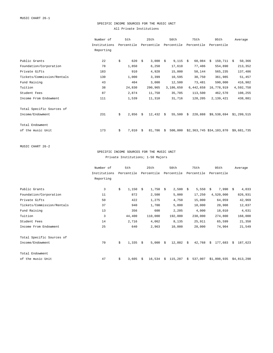### SPECIFIC INCOME SOURCES FOR THE MUSIC UNIT All Private Institutions

|                            | Number of    | 5th         |     | 25th                   | 50th          | 75th          | 95th                     | Average     |
|----------------------------|--------------|-------------|-----|------------------------|---------------|---------------|--------------------------|-------------|
|                            | Institutions | Percentile  |     | Percentile             | Percentile    | Percentile    | Percentile               |             |
|                            | Reporting    |             |     |                        |               |               |                          |             |
| Public Grants              | 22           | \$          | 620 | $3,000$ \$<br>Ŝ.       | $9,115$ \$    | 60,984        | $150,711$ \$<br>Ŝ.       | 50,366      |
| Foundation/Corporation     | 78           | 1,850       |     | 6,250                  | 17,610        | 77,486        | 554,890                  | 213,352     |
| Private Gifts              | 183          |             | 910 | 4,928                  | 15,000        | 50,144        | 565,235                  | 137,486     |
| Tickets/Commission/Rentals | 130          | 1,000       |     | 3,399                  | 10,595        | 30,750        | 361,985                  | 51,457      |
| Fund Raising               | 43           | 404         |     | 3,000                  | 12,500        | 73,481        | 590,000                  | 416,982     |
| Tuition                    | 38           | 24,830      |     | 290,965                | 3,186,650     | 6,442,658     | 16,778,919               | 4,592,758   |
| Student Fees               | 87           | 2,874       |     | 11,750                 | 35,705        | 113,500       | 462,570                  | 108,255     |
| Income From Endowment      | 111          | 1,539       |     | 11,310                 | 31,716        | 128,205       | 2,139,421                | 438,881     |
| Total Specific Sources of  |              |             |     |                        |               |               |                          |             |
| Income/Endowment           | 231          | \$<br>2,856 |     | $12,432 \quad $$<br>Ŝ. | 55,500        | 220,888<br>Ŝ. | \$9,538,694              | \$1,299,515 |
| Total Endowment            |              |             |     |                        |               |               |                          |             |
|                            |              |             |     |                        |               |               |                          |             |
| of the music Unit          | 173          | \$<br>7,010 |     | 81,786<br>Ŝ.           | 500,000<br>Ŝ. |               | \$2,363,745 \$34,103,870 | \$9,681,735 |

MUSIC CHART 26-2

### SPECIFIC INCOME SOURCES FOR THE MUSIC UNIT Private Institutions; 1-50 Majors

|                            | Number of      | 5th         |     | 25th       | 50th       |    | 75th       |    | 95th        |    | Average     |
|----------------------------|----------------|-------------|-----|------------|------------|----|------------|----|-------------|----|-------------|
|                            | Institutions   | Percentile  |     | Percentile | Percentile |    | Percentile |    | Percentile  |    |             |
|                            | Reporting      |             |     |            |            |    |            |    |             |    |             |
|                            |                |             |     |            |            |    |            |    |             |    |             |
| Public Grants              | $\overline{3}$ | \$<br>1,150 | -Ŝ  | $1,750$ \$ | 2,500      | Ŝ. | 5,550      | Ŝ. | $7,990$ \$  |    | 4,033       |
| Foundation/Corporation     | 11             | 872         |     | 2,500      | 5,000      |    | 17,250     |    | 4,520,000   |    | 826,931     |
| Private Gifts              | 50             | 422         |     | 1,275      | 4,750      |    | 15,000     |    | 64,059      |    | 42,969      |
| Tickets/Commission/Rentals | 37             | 940         |     | 1,700      | 5,000      |    | 10,000     |    | 20,908      |    | 12,837      |
| Fund Raising               | 13             | 356         |     | 600        | 2,205      |    | 4,000      |    | 18,010      |    | 4,631       |
| Tuition                    | 3              | 44,400      |     | 110,000    | 192,000    |    | 238,000    |    | 274,800     |    | 168,000     |
| Student Fees               | 14             | 2,716       |     | 4,062      | 8,135      |    | 25,911     |    | 65,599      |    | 21,350      |
| Income From Endowment      | 25             | 640         |     | 2,963      | 10,000     |    | 28,000     |    | 74,904      |    | 21,549      |
| Total Specific Sources of  |                |             |     |            |            |    |            |    |             |    |             |
| Income/Endowment           | 70             | \$<br>1,335 | - Š | $5,000$ \$ | 12,882     | Ŝ. | 42,768     | Ŝ. | 177,683     | S. | 187,623     |
| Total Endowment            |                |             |     |            |            |    |            |    |             |    |             |
| of the music Unit          | 47             | \$<br>3,605 | Ŝ.  | 16,534     | \$115,287  | Ŝ. | 537,007    |    | \$1,898,935 |    | \$4,813,298 |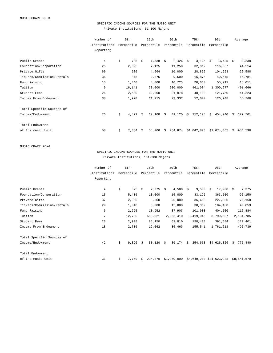### SPECIFIC INCOME SOURCES FOR THE MUSIC UNIT Private Institutions; 51-100 Majors

|                            | Number of      | 5th         |    | 25th           |      | 50th       |    | 75th        |    | 95th        |    | Average   |
|----------------------------|----------------|-------------|----|----------------|------|------------|----|-------------|----|-------------|----|-----------|
|                            | Institutions   | Percentile  |    | Percentile     |      | Percentile |    | Percentile  |    | Percentile  |    |           |
|                            | Reporting      |             |    |                |      |            |    |             |    |             |    |           |
| Public Grants              | $\overline{4}$ | \$<br>788   | Ŝ. | $1,538$ \$     |      | $2,426$ \$ |    | 3,125       | S. | $3,425$ \$  |    | 2,238     |
| Foundation/Corporation     | 26             | 2,625       |    | 7,125          |      | 11,250     |    | 32,812      |    | 116,967     |    | 41,514    |
| Private Gifts              | 60             | 980         |    | 4,964          |      | 10,000     |    | 28,875      |    | 104,553     |    | 29,588    |
| Tickets/Commission/Rentals | 36             | 875         |    | 2,875          |      | 9,500      |    | 16,875      |    | 49,675      |    | 16,781    |
| Fund Raising               | 13             | 1,440       |    | 3,000          |      | 10,723     |    | 20,060      |    | 55,711      |    | 18,011    |
| Tuition                    | 9              | 16,141      |    | 70,000         |      | 200,000    |    | 461,084     |    | 1,300,977   |    | 401,666   |
| Student Fees               | 26             | 2,600       |    | 12,000         |      | 21,978     |    | 48,100      |    | 121,750     |    | 41,223    |
| Income From Endowment      | 38             | 1,920       |    | 11,215         |      | 23,332     |    | 52,000      |    | 126,948     |    | 38,768    |
| Total Specific Sources of  |                |             |    |                |      |            |    |             |    |             |    |           |
| Income/Endowment           | 76             | \$<br>4,822 | Ŝ. | $17,100 \pm 5$ |      | 49,125     | Ŝ. | 112,175     | S. | 454,740     |    | \$129,761 |
| Total Endowment            |                |             |    |                |      |            |    |             |    |             |    |           |
| of the music Unit          | 58             | \$<br>7,384 | Ŝ. | 38,706         | - \$ | 284,874    |    | \$1,042,873 |    | \$2,674,465 | S. | 986,598   |

MUSIC CHART 26-4

SPECIFIC INCOME SOURCES FOR THE MUSIC UNIT Private Institutions; 101-200 Majors

|                            | Number of      | 5th         |    | 25th        |     | 50th        |    | 75th       |    | 95th                     |    | Average     |
|----------------------------|----------------|-------------|----|-------------|-----|-------------|----|------------|----|--------------------------|----|-------------|
|                            | Institutions   | Percentile  |    | Percentile  |     | Percentile  |    | Percentile |    | Percentile               |    |             |
|                            | Reporting      |             |    |             |     |             |    |            |    |                          |    |             |
| Public Grants              | $\overline{4}$ | \$<br>875   | -Ŝ | 2,375       | - Š | 4,500       | \$ | 9,500      | Ŝ. | $17,900 \text{ }$ \$     |    | 7,375       |
|                            |                |             |    |             |     |             |    |            |    |                          |    |             |
| Foundation/Corporation     | 15             | 5,400       |    | 10,000      |     | 15,000      |    | 83,125     |    | 363,500                  |    | 95,150      |
| Private Gifts              | 37             | 2,900       |    | 8,500       |     | 20,000      |    | 36,450     |    | 227,800                  |    | 76,158      |
| Tickets/Commission/Rentals | 29             | 1,048       |    | 5,000       |     | 15,000      |    | 38,369     |    | 184,180                  |    | 40,053      |
| Fund Raising               | 6              | 2,625       |    | 10,952      |     | 37,903      |    | 101,000    |    | 404,500                  |    | 116,884     |
| Tuition                    | 7              | 12,700      |    | 583,021     |     | 2,953,410   |    | 3,419,946  |    | 3,799,507                |    | 2,131,785   |
| Student Fees               | 23             | 2,938       |    | 25,150      |     | 63,810      |    | 128,438    |    | 391,584                  |    | 112,401     |
| Income From Endowment      | 18             | 2,700       |    | 19,062      |     | 35,463      |    | 155,541    |    | 1,761,614                |    | 495,739     |
| Total Specific Sources of  |                |             |    |             |     |             |    |            |    |                          |    |             |
| Income/Endowment           | 42             | \$<br>9,396 | -Ŝ | $30,120$ \$ |     | 86,174      | Ŝ. | 254,658    |    | \$4,626,826              | Ŝ. | 775,440     |
| Total Endowment            |                |             |    |             |     |             |    |            |    |                          |    |             |
| of the music Unit          | 31             | \$<br>7,750 | -Ŝ | 214,870     |     | \$1,350,000 |    |            |    | \$4,649,200 \$41,623,288 |    | \$8,541,670 |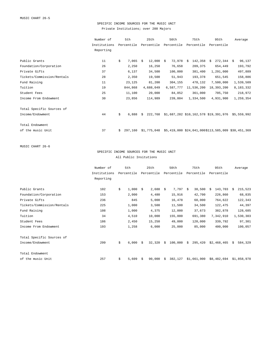# SPECIFIC INCOME SOURCES FOR THE MUSIC UNIT Private Institutions; over 200 Majors

|                            | Number of    | 5th           | 25th                       | 50th       | 75th          | 95th                                                               | Average      |
|----------------------------|--------------|---------------|----------------------------|------------|---------------|--------------------------------------------------------------------|--------------|
|                            | Institutions | Percentile    | Percentile                 | Percentile | Percentile    | Percentile                                                         |              |
|                            | Reporting    |               |                            |            |               |                                                                    |              |
|                            |              |               |                            |            |               |                                                                    |              |
| Public Grants              | 11           | \$<br>7,065   | $12,000 \text{ }$ \$<br>Ŝ. | 72,978     | 142,358<br>Ŝ. | 272,344<br>Ŝ.                                                      | 96,137<br>Ŝ. |
| Foundation/Corporation     | 26           | 2,250         | 16,250                     | 76,658     | 209, 375      | 654,449                                                            | 193,792      |
| Private Gifts              | 37           | 6,137         | 34,500                     | 100,000    | 381,400       | 1,291,000                                                          | 497,889      |
| Tickets/Commission/Rentals | 28           | 2,350         | 19,500                     | 51,943     | 193,378       | 651,545                                                            | 158,886      |
| Fund Raising               | 11           | 23,125        | 81,200                     | 304,155    | 478,132       | 7,500,000                                                          | 1,539,509    |
| Tuition                    | 19           | 844,868       | 4,688,049                  | 6,587,777  | 11,536,200    | 18,393,200                                                         | 8,183,332    |
| Student Fees               | 25           | 11,100        | 20,000                     | 84,852     | 361,000       | 705,750                                                            | 218,972      |
| Income From Endowment      | 30           | 23,856        | 114,989                    | 239,804    | 1,334,500     | 4,931,900                                                          | 1,259,354    |
| Total Specific Sources of  |              |               |                            |            |               |                                                                    |              |
| Income/Endowment           | 44           | \$<br>6,888   | Ŝ.                         |            |               | 222,768 \$1,687,282 \$10,162,578 \$19,391,976 \$5,559,992          |              |
| Total Endowment            |              |               |                            |            |               |                                                                    |              |
| of the music Unit          | 37           | 297,160<br>Ŝ. |                            |            |               | $$1,775,048$ $$5,419,000$ $$24,041,000$ \$113,585,009 \$30,451,369 |              |

MUSIC CHART 26-6

### SPECIFIC INCOME SOURCES FOR THE MUSIC UNIT All Public Insitutions

|                            | Number of    | 5th         |    | 25th       |    | 50th       |    | 75th        | 95th          |    | Average     |
|----------------------------|--------------|-------------|----|------------|----|------------|----|-------------|---------------|----|-------------|
|                            | Institutions | Percentile  |    | Percentile |    | Percentile |    | Percentile  | Percentile    |    |             |
|                            | Reporting    |             |    |            |    |            |    |             |               |    |             |
|                            |              |             |    |            |    |            |    |             |               |    |             |
| Public Grants              | 102          | \$<br>1,000 | Ŝ. | 2,688      | S. | $7,797$ \$ |    | 38,500      | 143,703<br>Ŝ. | Ŝ. | 215,523     |
| Foundation/Corporation     | 153          | 2,000       |    | 4,480      |    | 15,916     |    | 42,700      | 226,860       |    | 68,835      |
| Private Gifts              | 236          | 845         |    | 5,000      |    | 16,478     |    | 60,000      | 764,622       |    | 122,343     |
| Tickets/Commission/Rentals | 225          | 1,000       |    | 3,500      |    | 11,500     |    | 34,500      | 122,475       |    | 44,397      |
| Fund Raising               | 108          | 1,000       |    | 4,375      |    | 12,000     |    | 37,673      | 382,878       |    | 128,685     |
| Tuition                    | 34           | 4,510       |    | 10,000     |    | 155,000    |    | 691,380     | 7,342,910     |    | 1,530,303   |
| Student Fees               | 186          | 2,450       |    | 15,250     |    | 49,000     |    | 120,000     | 339,792       |    | 97,301      |
| Income From Endowment      | 193          | 1,258       |    | 6,000      |    | 25,000     |    | 85,000      | 400,000       |    | 100,057     |
| Total Specific Sources of  |              |             |    |            |    |            |    |             |               |    |             |
| Income/Endowment           | 299          | \$<br>6,000 | Ŝ. | 32,320     | -Ŝ | 100,000    | Ŝ. | 295,420     | \$2,468,465   | -Ŝ | 584,329     |
| Total Endowment            |              |             |    |            |    |            |    |             |               |    |             |
| of the music Unit          | 257          | \$<br>5,609 | Ŝ. | 90,000     | -S | 382,127    |    | \$1,661,900 | \$8,482,694   |    | \$1,858,978 |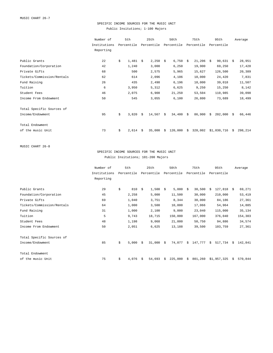# SPECIFIC INCOME SOURCES FOR THE MUSIC UNIT Public Insitutions; 1-100 Majors

| Number of    |          | 5th   |                              |        |                             | 50th                      |                     | 75th          |                                | 95th    |                                     | Average                |
|--------------|----------|-------|------------------------------|--------|-----------------------------|---------------------------|---------------------|---------------|--------------------------------|---------|-------------------------------------|------------------------|
| Institutions |          |       |                              |        |                             |                           |                     |               |                                |         |                                     |                        |
| Reporting    |          |       |                              |        |                             |                           |                     |               |                                |         |                                     |                        |
|              |          |       |                              |        |                             |                           |                     |               |                                |         |                                     |                        |
|              |          |       |                              |        |                             |                           |                     |               |                                |         |                                     | 28,951                 |
|              |          |       |                              |        |                             |                           |                     |               |                                |         |                                     | 17,428                 |
| 68           |          | 500   |                              | 2,575  |                             | 5,965                     |                     | 15,627        |                                | 126,500 |                                     | 20,389                 |
| 62           |          | 614   |                              | 2,096  |                             | 4,106                     |                     | 10,000        |                                | 24,420  |                                     | 7,831                  |
| 26           |          | 435   |                              | 2,498  |                             | 6,196                     |                     | 18,000        |                                | 39,018  |                                     | 11,507                 |
| 6            |          | 3,950 |                              | 5,312  |                             | 6,625                     |                     | 9,250         |                                | 15,250  |                                     | 8,142                  |
| 46           |          | 2,075 |                              | 6,908  |                             | 21,250                    |                     | 53,504        |                                | 110,985 |                                     | 39,098                 |
| 50           |          | 545   |                              | 3,055  |                             | 6,100                     |                     | 26,800        |                                | 73,689  |                                     | 18,499                 |
|              |          |       |                              |        |                             |                           |                     |               |                                |         |                                     |                        |
| 95           | \$       | 3,820 | Ŝ.                           |        |                             | 34,400                    | \$                  | 86,900        | Ŝ.                             |         | S.                                  | 66,446                 |
|              |          |       |                              |        |                             |                           |                     |               |                                |         |                                     |                        |
| 73           | \$       | 2,614 | Ŝ.                           | 35,000 | -Ŝ                          | 120,000                   | Ŝ.                  | 328,002       |                                |         | S.                                  | 298,214                |
|              | 22<br>42 | \$    | Percentile<br>1,481<br>1,240 | Ŝ.     | 25th<br>Percentile<br>3,000 | $2,250$ \$<br>$14,567$ \$ | Percentile<br>6,250 | 6,750<br>- \$ | Percentile<br>21,206<br>19,900 | Ŝ.      | Percentile<br>69,250<br>\$1,030,716 | $90,631$ \$<br>202,000 |

MUSIC CHART 26-8

### SPECIFIC INCOME SOURCES FOR THE MUSIC UNIT Public Insitutions; 101-200 Majors

|                            | Number of    | 5th         |    | 25th        |     | 50th       |    | 75th       |    | 95th         |    | Average |
|----------------------------|--------------|-------------|----|-------------|-----|------------|----|------------|----|--------------|----|---------|
|                            | Institutions | Percentile  |    | Percentile  |     | Percentile |    | Percentile |    | Percentile   |    |         |
|                            | Reporting    |             |    |             |     |            |    |            |    |              |    |         |
|                            |              |             |    |             |     |            |    |            |    |              |    |         |
| Public Grants              | 29           | \$<br>810   | -Ŝ | 1,500       | - Š | 5,000      | Ŝ. | 30,500     | Ŝ. | $127,818$ \$ |    | 69,271  |
| Foundation/Corporation     | 45           | 2,258       |    | 5,000       |     | 11,500     |    | 30,000     |    | 210,000      |    | 53,419  |
| Private Gifts              | 69           | 1,040       |    | 3,751       |     | 8,344      |    | 30,000     |    | 84,186       |    | 27,361  |
| Tickets/Commission/Rentals | 64           | 1,000       |    | 3,500       |     | 10,000     |    | 17,066     |    | 54,964       |    | 14,885  |
| Fund Raising               | 31           | 1,000       |    | 2,100       |     | 9,000      |    | 23,040     |    | 115,000      |    | 35,134  |
| Tuition                    | 5            | 9,743       |    | 18,715      |     | 150,000    |    | 167,000    |    | 376,040      |    | 154,303 |
| Student Fees               | 48           | 1,198       |    | 9,068       |     | 21,000     |    | 50,750     |    | 94,886       |    | 34,574  |
| Income From Endowment      | 50           | 2,051       |    | 6,625       |     | 13,188     |    | 39,500     |    | 103,759      |    | 27,361  |
| Total Specific Sources of  |              |             |    |             |     |            |    |            |    |              |    |         |
| Income/Endowment           | 85           | \$<br>5,000 | Ŝ. | $31,000$ \$ |     | 74,077     | Ŝ. | 147,777    | Ŝ. | 517,734      | Ŝ. | 142,841 |
| Total Endowment            |              |             |    |             |     |            |    |            |    |              |    |         |
| of the music Unit          | 75           | \$<br>4,076 | -Ŝ | 54,693      | S.  | 225,000    | \$ | 801,260    |    | \$1,957,325  | S. | 570,844 |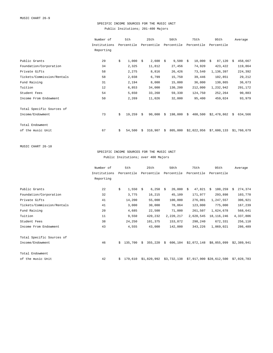# SPECIFIC INCOME SOURCES FOR THE MUSIC UNIT Public Insitutions; 201-400 Majors

|                            | Number of    | 5th          |    | 25th       |    | 50th       |    | 75th        | 95th         |    | Average     |
|----------------------------|--------------|--------------|----|------------|----|------------|----|-------------|--------------|----|-------------|
|                            | Institutions | Percentile   |    | Percentile |    | Percentile |    | Percentile  | Percentile   |    |             |
|                            | Reporting    |              |    |            |    |            |    |             |              |    |             |
| Public Grants              | 29           | \$<br>1,000  | Ŝ. | $2,600$ \$ |    | 9,500      | -S | 18,000      | 87,120<br>Ŝ. | Ŝ  | 458,667     |
| Foundation/Corporation     | 34           | 2,325        |    | 11,812     |    | 27,456     |    | 74,920      | 423,422      |    | 119,864     |
| Private Gifts              | 58           | 2,275        |    | 8,816      |    | 26,426     |    | 73,540      | 1,136,397    |    | 224,392     |
| Tickets/Commission/Rentals | 58           | 2,038        |    | 6,799      |    | 15,750     |    | 39,446      | 102,851      |    | 29,212      |
| Fund Raising               | 31           | 2,194        |    | 8,000      |    | 15,000     |    | 36,000      | 130,865      |    | 36,673      |
| Tuition                    | 12           | 6,853        |    | 34,000     |    | 130,200    |    | 212,000     | 1,232,942    |    | 291,172     |
| Student Fees               | 54           | 5,650        |    | 33,260     |    | 59,330     |    | 124,750     | 252,264      |    | 90,883      |
| Income From Endowment      | 50           | 2,269        |    | 11,026     |    | 32,000     |    | 95,400      | 459,024      |    | 93,979      |
| Total Specific Sources of  |              |              |    |            |    |            |    |             |              |    |             |
| Income/Endowment           | 73           | \$<br>19,259 | Ŝ. | 90,000     | Ŝ. | 198,000    | Ŝ. | 408,500     | \$2,478,862  | S. | 634,566     |
| Total Endowment            |              |              |    |            |    |            |    |             |              |    |             |
| of the music Unit          | 67           | \$<br>54,500 | Ŝ  | 310,907    | Ŝ. | 805,000    |    | \$2,022,956 | \$7,600,133  |    | \$1,760,679 |

MUSIC CHART 26-10

SPECIFIC INCOME SOURCES FOR THE MUSIC UNIT Public Insitutions; over 400 Majors

|                            | Number of    |    | 5th        |    | 25th        |    | 50th        |    | 75th        | 95th                     |    | Average     |
|----------------------------|--------------|----|------------|----|-------------|----|-------------|----|-------------|--------------------------|----|-------------|
|                            | Institutions |    | Percentile |    | Percentile  |    | Percentile  |    | Percentile  | Percentile               |    |             |
|                            | Reporting    |    |            |    |             |    |             |    |             |                          |    |             |
|                            |              |    |            |    |             |    |             |    |             |                          |    |             |
| Public Grants              | 22           | \$ | 1,550      | Ŝ. | $6,250$ \$  |    | 20,000      | Ŝ. | 47,821      | 180,259<br>Ŝ.            | -Ŝ | 274,374     |
| Foundation/Corporation     | 32           |    | 3,775      |    | 16,215      |    | 45,109      |    | 171,977     | 293,898                  |    | 103,770     |
| Private Gifts              | 41           |    | 14,200     |    | 55,000      |    | 100,000     |    | 276,001     | 1,247,557                |    | 306,921     |
| Tickets/Commission/Rentals | 41           |    | 3,000      |    | 30,000      |    | 78,064      |    | 123,000     | 775,000                  |    | 167,239     |
| Fund Raising               | 20           |    | 4,685      |    | 22,500      |    | 71,000      |    | 261,507     | 1,624,678                |    | 568,641     |
| Tuition                    | 11           |    | 9,550      |    | 420,232     |    | 2,220,217   |    | 2,620,545   | 18, 116, 246             |    | 4,337,806   |
| Student Fees               | 38           |    | 24,250     |    | 101,375     |    | 153,872     |    | 298,240     | 672,331                  |    | 256,110     |
| Income From Endowment      | 43           |    | 4,555      |    | 43,000      |    | 142,000     |    | 343,226     | 1,069,021                |    | 286,489     |
| Total Specific Sources of  |              |    |            |    |             |    |             |    |             |                          |    |             |
| Income/Endowment           | 46           | Ŝ. | 135,700    | Ŝ. | 355,220     | S. | 606,104     |    | \$2,072,148 | \$8,055,099              |    | \$2,389,941 |
|                            |              |    |            |    |             |    |             |    |             |                          |    |             |
| Total Endowment            |              |    |            |    |             |    |             |    |             |                          |    |             |
| of the music Unit          | 42           | \$ | 179,610    |    | \$1,820,992 |    | \$3,732,138 |    |             | \$7,917,900 \$28,612,500 |    | \$7,028,783 |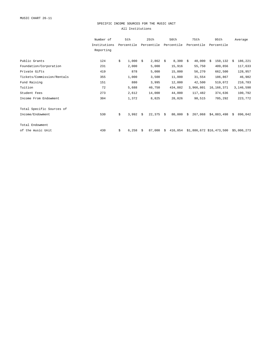#### SPECIFIC INCOME SOURCES FOR THE MUSIC UNIT All Institutions

|                            | Number of    | 5th         |    | 25th        |    | 50th       |      | 75th       | 95th                     |    | Average     |
|----------------------------|--------------|-------------|----|-------------|----|------------|------|------------|--------------------------|----|-------------|
|                            | Institutions | Percentile  |    | Percentile  |    | Percentile |      | Percentile | Percentile               |    |             |
|                            | Reporting    |             |    |             |    |            |      |            |                          |    |             |
|                            |              |             |    |             |    |            |      |            |                          |    |             |
| Public Grants              | 124          | \$<br>1,000 | Ŝ. | $2,862$ \$  |    | 8,300      | - \$ | 40,000     | 150,132<br>Ŝ.            | Ŝ. | 186,221     |
| Foundation/Corporation     | 231          | 2,000       |    | 5,000       |    | 15,916     |      | 55,750     | 409,856                  |    | 117,633     |
| Private Gifts              | 419          | 878         |    | 5,000       |    | 15,000     |      | 56,270     | 662,500                  |    | 128,957     |
| Tickets/Commission/Rentals | 355          | 1,000       |    | 3,500       |    | 11,000     |      | 31,554     | 186,867                  |    | 46,982      |
| Fund Raising               | 151          | 880         |    | 3,995       |    | 12,000     |      | 42,500     | 519,072                  |    | 210,783     |
| Tuition                    | 72           | 5,688       |    | 40,750      |    | 434,882    |      | 3,966,801  | 16, 166, 371             |    | 3,146,598   |
| Student Fees               | 273          | 2,612       |    | 14,000      |    | 44,000     |      | 117,482    | 374,636                  |    | 100,792     |
| Income From Endowment      | 304          | 1,372       |    | 8,825       |    | 28,026     |      | 98,515     | 705,292                  |    | 223,772     |
| Total Specific Sources of  |              |             |    |             |    |            |      |            |                          |    |             |
| Income/Endowment           | 530          | \$<br>3,992 | Ŝ. | $22,375$ \$ |    | 80,000     | Ŝ.   | 267,068    | \$4,883,498              | Ŝ. | 896,042     |
| Total Endowment            |              |             |    |             |    |            |      |            |                          |    |             |
| of the music Unit          | 430          | \$<br>6,258 | Ŝ. | 87,000      | S. | 416,054    |      |            | \$1,886,672 \$16,473,500 |    | \$5,006,273 |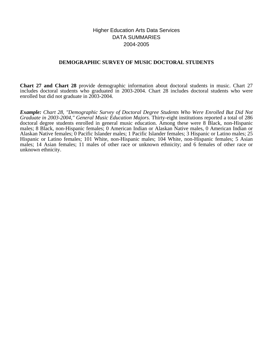# Higher Education Arts Data Services DATA SUMMARIES 2004-2005

# **DEMOGRAPHIC SURVEY OF MUSIC DOCTORAL STUDENTS**

**Chart 27 and Chart 28** provide demographic information about doctoral students in music. Chart 27 includes doctoral students who graduated in 2003-2004. Chart 28 includes doctoral students who were enrolled but did not graduate in 2003-2004.

*Example: Chart 28, "Demographic Survey of Doctoral Degree Students Who Were Enrolled But Did Not Graduate in 2003-2004," General Music Education Majors.* Thirty-eight institutions reported a total of 286 doctoral degree students enrolled in general music education. Among these were 8 Black, non-Hispanic males; 8 Black, non-Hispanic females; 0 American Indian or Alaskan Native males, 0 American Indian or Alaskan Native females; 0 Pacific Islander males; 1 Pacific Islander females; 3 Hispanic or Latino males; 25 Hispanic or Latino females; 101 White, non-Hispanic males; 104 White, non-Hispanic females; 5 Asian males; 14 Asian females; 11 males of other race or unknown ethnicity; and 6 females of other race or unknown ethnicity.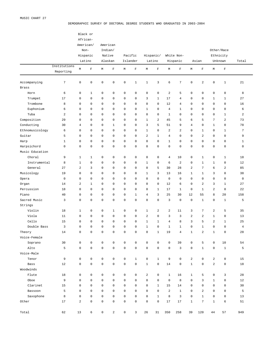#### DEMOGRAPHIC SURVEY OF DOCTORAL DEGREE STUDENTS WHO GRADUATED IN 2003-2004

|                      |                |                     | Black or<br>African- |                     |                     |                     |              |                         |                         |                         |                        |                         |                         |                         |                      |                         |
|----------------------|----------------|---------------------|----------------------|---------------------|---------------------|---------------------|--------------|-------------------------|-------------------------|-------------------------|------------------------|-------------------------|-------------------------|-------------------------|----------------------|-------------------------|
|                      |                |                     |                      |                     | American            |                     |              |                         |                         |                         |                        |                         |                         |                         |                      |                         |
|                      |                |                     | American/            |                     | Indian/             |                     |              |                         |                         |                         |                        |                         |                         |                         | Other/Race           |                         |
|                      |                |                     | Non-                 |                     |                     |                     | Pacific      |                         | Hispanic/               |                         |                        |                         |                         |                         |                      |                         |
|                      |                |                     | Hispanic<br>Latino   |                     | Native<br>Alaskan   |                     | Islander     |                         | Latino                  |                         | White Non-<br>Hispanic |                         | Asian                   |                         | Ethnicity<br>Unknown | Total                   |
|                      | Institutions   |                     |                      |                     |                     |                     |              |                         |                         |                         |                        |                         |                         |                         |                      |                         |
|                      | Reporting      | М                   | $\mathbf F$          | М                   | $\mathbf F$         | M                   | $\mathbf F$  | М                       | $\mathbf F$             | М                       | $\mathbf F$            | М                       | $\mathbf F$             | М                       | $\mathbf F$          |                         |
|                      |                |                     |                      |                     | $\mathbf 0$         | $\mathbf 0$         |              |                         |                         |                         |                        |                         |                         |                         | $1\,$                | 21                      |
| Accompanying         | $\overline{7}$ | $\mathsf 0$         | 0                    | 0                   |                     |                     | $\mathbf 1$  | $\mathbf 1$             | $\overline{3}$          | 6                       | 7                      | $\mathsf 0$             | $\overline{\mathbf{c}}$ | $\mathsf 0$             |                      |                         |
| <b>Brass</b><br>Horn | 6              | $\mathsf 0$         | $\mathbf{1}$         | 0                   | $\mathbf 0$         | $\mathbf 0$         | 0            | 0                       | $\mathbb O$             | $\sqrt{2}$              | 5                      | 0                       | 0                       | $\mathsf 0$             | $\mathbb O$          | 8                       |
|                      | 17             | $\mathbf 0$         | 0                    | 0                   | $\mathbf 0$         | $\mathbf 0$         | 0            | 3                       | $\mathbf{1}$            | 17                      | 4                      | $\mathbf 0$             | 0                       | $\mathbf{1}$            | $\mathbf{1}$         | 27                      |
| Trumpet<br>Trombone  | 8              | $\mathbf 0$         | 0                    | 0                   | $\mathbf 0$         | $\mathbf 0$         | 0            | 0                       | $\mathbf 0$             | 12                      | 4                      | $\mathbf 0$             | 0                       | 0                       | 0                    | 16                      |
|                      |                | $\mathbf 0$         | 0                    |                     | $\mathbf 0$         | $\mathbf 0$         | 0            |                         |                         |                         |                        | $\mathbf 0$             |                         |                         |                      |                         |
| Euphonium            | 6              |                     |                      | 0                   |                     |                     |              | $\mathbf{1}$            | $\mathbf 0$             | $\overline{4}$          | $\mathbf{1}$           |                         | 0                       | 0                       | 0                    | 6                       |
| Tuba                 | $\sqrt{2}$     | $\mathbf 0$         | 0                    | 0                   | $\mathbf 0$         | $\mathbf 0$         | 0            | 0                       | $\mathbf 0$             | $\mathbf{1}$            | 0                      | $\mathbf 0$             | 0                       | 0                       | $\mathbf{1}$         | $\overline{\mathbf{c}}$ |
| Composition          | 29             | $\mathbf 0$         | 0                    | 0                   | $\mathbf 0$         | $\mathbf 0$         | 0            | $\mathbf{1}$            | $\overline{\mathbf{c}}$ | 45                      | 5                      | 6                       | 5                       | 7                       | $\overline{a}$       | 73                      |
| Conducting           | 30             | 4                   | 0                    | 0                   | $\mathbf{1}$        | $\mathbf 0$         | 0            | 3                       | 5                       | 51                      | 9                      | $\overline{4}$          | 0                       | $\mathbf{1}$            | 0                    | 78                      |
| Ethnomusicology      | 6              | $\mathbf 0$         | 0                    | 0                   | $\mathbf 0$         | $\mathbf 0$         | 0            | $1\,$                   | $\mathbf 0$             | 2                       | 2                      | $\mathbf 0$             | $1\,$                   | $\mathbf 0$             | $\mathbf{1}$         | $\sqrt{ }$              |
| Guitar               | 5              | $\mathbf 0$         | 0                    | 0                   | $\mathbf 0$         | $\mathbf 0$         | 0            | $\overline{a}$          | $\mathbf{1}$            | $\overline{4}$          | 0                      | $\mathbf 0$             | $\overline{a}$          | 0                       | $\mathbf 0$          | 9                       |
| Harp                 | $\mathbf{1}$   | $\mathbf 0$         | 0                    | 0                   | $\mathbf 0$         | $\mathbf 0$         | 0            | 0                       | $\mathbf 0$             | $\mathbf{1}$            | 0                      | $\mathbf 0$             | $\mathbf 0$             | 0                       | 0                    | $\mathbf{1}$            |
| Harpsichord          | $\mathsf 0$    | $\mathbf 0$         | 0                    | 0                   | $\mathbf 0$         | $\mathbf 0$         | 0            | 0                       | $\mathbf 0$             | $\mathbf 0$             | 0                      | $\mathsf 0$             | 0                       | $\mathsf 0$             | $\mathbf 0$          | $\mathsf 0$             |
| Music Education      |                |                     |                      |                     |                     |                     |              |                         |                         |                         |                        |                         |                         |                         |                      |                         |
| Choral               | 9              | $\mathbf 1$         | $\mathbf{1}$         | 0                   | $\mathbf 0$         | $\mathbf 0$         | 0            | 0                       | $\mathbf 0$             | $\overline{4}$          | 10                     | 0                       | $\mathbf 1$             | 0                       | $1\,$                | 18                      |
| Instrumental         | 8              | $1\,$               | 0                    | 0                   | $\mathbf 0$         | $\mathbf 0$         | 0            | $\mathbf{1}$            | $\mathbf 0$             | 6                       | 2                      | 0                       | $1\,$                   | $\mathbf{1}$            | 0                    | 12                      |
| General              | 27             | $\overline{a}$      | 3                    | 0                   | $\mathbf 0$         | $\mathbf 0$         | 0            | 0                       | 5                       | 30                      | 28                     | $\overline{a}$          | 7                       | 6                       | 2                    | 85                      |
| Musicology           | 19             | $\mathbf 0$         | 0                    | 0                   | $\mathbf 0$         | $\mathbf 0$         | 0            | $\mathbf{1}$            | 3                       | 13                      | 16                     | $\mathbf{1}$            | $1\,$                   | 3                       | 0                    | 38                      |
| Opera                | $\mathbf 0$    | $\mathbf 0$         | 0                    | 0                   | $\mathbf 0$         | $\mathbf 0$         | 0            | 0                       | $\mathbf 0$             | $\mathbf 0$             | 0                      | $\mathbf 0$             | $\mathbf 0$             | $\mathsf 0$             | $\mathbf 0$          | $\mathbf 0$             |
| Organ                | 14             | $\overline{a}$      | $\mathbf 1$          | 0                   | $\mathbf 0$         | $\mathbf 0$         | 0            | 0                       | $\mathbf 0$             | 12                      | 6                      | $\mathbf 0$             | $\overline{2}$          | 3                       | $\mathbf{1}$         | 27                      |
| Percussion           | 18             | $\mathbf 0$         | 0                    | 0                   | $\mathbf 0$         | $\mathbf 0$         | 0            | 0                       | $\mathbf{1}$            | 17                      | $\mathbf{1}$           | 0                       | $1\,$                   | $\sqrt{2}$              | $\circ$              | 22                      |
| Piano                | 40             | $\mathbf 0$         | 0                    | 0                   | $\mathbf 0$         | $\mathbf 0$         | $\mathbf{1}$ | 4                       | $\overline{3}$          | 25                      | 30                     | 12                      | 55                      | 8                       | 20                   | 158                     |
| Sacred Music         | 3              | $\mathbf 0$         | 0                    | 0                   | $\mathbf 0$         | $\mathbf 0$         | 0            | 0                       | $\mathbf 0$             | 3                       | 0                      | $\mathbf 0$             | $1\,$                   | $\mathbf 0$             | $\mathbf{1}$         | 5                       |
| Strings              |                |                     |                      |                     |                     |                     |              |                         |                         |                         |                        |                         |                         |                         |                      |                         |
| Violin               | 18             | $\mathbf 1$         | 0                    | 0                   | $\mathbf{1}$        | $\mathbf 0$         | 0            | $1\,$                   | $\overline{a}$          | $\overline{\mathbf{c}}$ | 11                     | 3                       | 7                       | $\sqrt{2}$              | 5                    | 35                      |
| Viola                | 11             | $\mathbf 0$         | 0                    | 0                   | $\mathbf 0$         | $\mathbf 0$         | 0            | $\overline{\mathbf{c}}$ | $\mathbf 0$             | 3                       | 3                      | $\overline{a}$          | $\overline{c}$          | $\mathbf{1}$            | 0                    | 13                      |
| Cello                | 15             | $\mathbf 0$         | 0                    | 0                   | $\mathbf 0$         | $\mathbf 0$         | 0            | $\mathbf{1}$            | $\mathbf{1}$            | $\overline{4}$          | 8                      | 3                       | 5                       | $\sqrt{2}$              | $1\,$                | 25                      |
| Double Bass          | 3              | $\mathbf 0$         | 0                    | 0                   | $\mathbf 0$         | $\mathbf 0$         | 0            | $1\,$                   | $\mathbf 0$             | $1\,$                   | $\mathbf{1}$           | $\mathbf 0$             | $\mathbf{1}$            | $\mathbf 0$             | $\mathbf 0$          | $\overline{4}$          |
| Theory               | 14             | 0                   | 0                    | 0                   | $\mathbf 0$         | $\mathbf 0$         | 0            | 0                       | 1                       | 19                      | 4                      | $\mathbf{1}$            | 2                       | $1\,$                   | $\Omega$             | 28                      |
| Voice-Female         |                |                     |                      |                     |                     |                     |              |                         |                         |                         |                        |                         |                         |                         |                      |                         |
| Soprano              | 30             | $\mathsf 0$         | 0                    | $\mathbb O$         | $\mathsf{O}\xspace$ | $\mathsf 0$         | $\mathsf 0$  | 0                       | $\mathsf 0$             | 0                       | 39                     | $\mathsf 0$             | 5                       | 0                       | 10                   | 54                      |
| Alto                 | 5              | $\mathsf{O}\xspace$ | $\mathsf{O}\xspace$  | $\mathbb O$         | $\mathsf{O}\xspace$ | $\mathbb O$         | $\mathbb O$  | $\mathsf 0$             | $\mathsf{O}\xspace$     | $\mathsf 0$             | 3                      | 0                       | $\mathbf 1$             | $\mathsf{O}\xspace$     | $1\,$                | 5                       |
| Voice-Male           |                |                     |                      |                     |                     |                     |              |                         |                         |                         |                        |                         |                         |                         |                      |                         |
| Tenor                | 9              | $\mathsf{O}\xspace$ | $\mathsf 0$          | $\mathbb O$         | $\mathsf{O}\xspace$ | $\mathbb O$         | $\mathbf{1}$ | $\mathsf 0$             | $\mathbf{1}$            | 9                       | 0                      | $\overline{\mathbf{c}}$ | $\mathsf 0$             | $\overline{\mathbf{c}}$ | $\mathsf{O}$         | 15                      |
| Bass                 | 12             | $\mathsf{O}\xspace$ | 0                    | $\mathbb O$         | $\mathsf{O}\xspace$ | $\mathsf{O}\xspace$ | $\mathsf 0$  | $1\,$                   | $\mathsf{O}\xspace$     | 14                      | 0                      | $\mathbf{1}$            | $\mathsf 0$             | $\sqrt{2}$              | $\mathsf{O}$         | 18                      |
| Woodwinds            |                |                     |                      |                     |                     |                     |              |                         |                         |                         |                        |                         |                         |                         |                      |                         |
| Flute                | 18             | $\mathsf{O}\xspace$ | $\mathsf 0$          | $\mathbb O$         | $\mathsf{O}\xspace$ | $\mathbb O$         | $\mathsf 0$  | 2                       | $\mathsf{O}\xspace$     | $\mathbf{1}$            | 16                     | $\mathbf{1}$            | 5                       | $\mathsf{O}\xspace$     | 3                    | 28                      |
| Oboe                 | 9              | $\mathbf 0$         | 0                    | $\mathbf 0$         | $\mathsf{O}\xspace$ | $\mathbb O$         | 0            | 0                       | $\mathsf{O}\xspace$     | $\mathsf{O}\xspace$     | 8                      | $\mathsf 0$             | 3                       | $\mathbf{1}$            | $\mathsf{O}$         | 12                      |
| Clarinet             | 15             | $\mathbf 0$         | 0                    | $\mathbf 0$         | $\mathsf{O}\xspace$ | $\mathbb O$         | 0            | $\mathsf 0$             | $\mathbf{1}$            | 15                      | 14                     | $\mathsf 0$             | $\mathsf 0$             | $\mathsf{O}\xspace$     | $\mathsf{O}$         | 30                      |
| Bassoon              | 5              | $\mathbf 0$         | 0                    | $\mathbf 0$         | $\mathsf{O}\xspace$ | $\mathbb O$         | $\mathsf 0$  | $\mathsf 0$             | $\mathsf{O}\xspace$     | $\overline{a}$          | $\mathbf{1}$           | 0                       | $\sqrt{2}$              | $\mathsf{O}\xspace$     | $\mathsf{O}$         | 5                       |
| Saxophone            | $^{\rm 8}$     | $\mathsf 0$         | 0                    | $\mathbf 0$         | $\mathsf{O}\xspace$ | $\mathbb O$         | $\mathsf 0$  | 0                       | $\mathbf{1}$            | 8                       | 3                      | $\mathsf 0$             | $\mathbf 1$             | $\mathsf{O}\xspace$     | $\mathsf{O}$         | 13                      |
| Other                | 17             | $\sqrt{2}$          | 0                    | $\mathsf{O}\xspace$ | $\mathsf{O}\xspace$ | $\mathbb O$         | $\mathsf 0$  | $\mathsf 0$             | $\mathsf 0$             | 17                      | $17\,$                 | $\mathbf{1}$            | $\sqrt{ }$              | $\mathbf{1}$            | 6                    | 51                      |
|                      |                |                     |                      |                     |                     |                     |              |                         |                         |                         |                        |                         |                         |                         |                      |                         |
| Total                | 62             | 13                  | 6                    | $\mathsf 0$         | $\overline{a}$      | $\mathsf{O}\xspace$ | $\mathbf{3}$ | 26                      | 31                      | 350                     | 258                    | 39                      | 120                     | 44                      | 57                   | 949                     |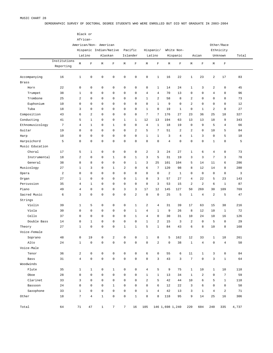DEMOGRAPHIC SURVEY OF DOCTORAL DEGREE STUDENTS WHO WERE ENROLLED BUT DID NOT GRADUATE IN 2003-2004

|                 |                |                | Black or       |                        |                 |                |                |                     |                |                |                 |                |                |                 |                |       |  |
|-----------------|----------------|----------------|----------------|------------------------|-----------------|----------------|----------------|---------------------|----------------|----------------|-----------------|----------------|----------------|-----------------|----------------|-------|--|
|                 |                | African-       |                |                        |                 |                |                |                     |                |                |                 |                |                |                 |                |       |  |
|                 |                |                |                | American/Non- American |                 |                |                |                     |                |                |                 |                |                |                 | Other/Race     |       |  |
|                 |                |                |                | Hispanic Indian/Native |                 |                | Pacific        |                     | Hispanic/      |                | White Non-      |                |                |                 | Ethnicity      |       |  |
|                 |                |                | Latino         | Alaskan                |                 |                | Islander       |                     | Latino         |                | Hispanic        |                | Asian          |                 | Unknown        | Total |  |
|                 | Institutions   |                |                |                        |                 |                |                |                     |                |                |                 |                |                |                 |                |       |  |
|                 | Reporting      | М              | $\mathbf F$    | М                      | $\mathbf F$     | M              | $\mathbf F$    | М                   | $\mathbf F$    | М              | $\mathbf F$     | М              | $\mathbf F$    | М               | $\mathbf F$    |       |  |
|                 |                |                |                |                        |                 |                |                |                     |                |                |                 |                |                |                 |                |       |  |
| Accompanying    | 16             | $\mathbf 1$    | $\mathsf 0$    | $\mathbf 0$            | $\mathsf 0$     | $\mathsf 0$    | $\mathbf 0$    | $\mathsf{O}\xspace$ | $\mathbf{1}$   | 16             | 22              | $\mathbf{1}$   | 23             | $\sqrt{2}$      | 17             | 83    |  |
| <b>Brass</b>    |                |                |                |                        |                 |                |                |                     |                |                |                 |                |                |                 |                |       |  |
| Horn            | 22             | $\mathsf 0$    | $\mathbf 0$    | $\mathbf 0$            | $\mathsf 0$     | $\mathsf 0$    | $\mathbf 0$    | $\mathbf 0$         | $\mathbf{1}$   | 14             | 24              | $\mathbf{1}$   | 3              | $\overline{a}$  | $\mathbf 0$    | 45    |  |
| Trumpet         | 38             | $\mathbf 1$    | $\mathbf 0$    | $\mathbf 0$            | 0               | 0              | 0              | $\overline{4}$      | 4              | 70             | 13              | $\mathbf 0$    | $\mathsf 0$    | 4               | 0              | 96    |  |
| Trombone        | 25             | $\overline{a}$ | $\mathbf 0$    | $\mathbf 0$            | $\mathsf 0$     | $\mathbf 0$    | 0              | $\mathbf{1}$        | $\overline{a}$ | 58             | 8               | $\overline{2}$ | $\mathsf 0$    | 0               | 0              | 73    |  |
| Euphonium       | 10             | $\mathsf 0$    | $\mathbf 0$    | $\mathbf 0$            | $\mathsf 0$     | $\mathbf 0$    | 0              | $\mathsf{O}$        | $\mathbf{1}$   | 9              | $\mathbf 0$     | $\overline{2}$ | $\mathsf 0$    | $\mathsf 0$     | $\mathbf 0$    | 12    |  |
| Tuba            | 18             | 3              | $\mathbf 0$    | $\mathbf 0$            | $\mathsf 0$     | $\mathbf 0$    | 0              | $\mathbf{1}$        | $\mathsf 0$    | 19             | $\mathbf{1}$    | $\mathsf 0$    | $\mathbf{1}$   | $\overline{a}$  | $\mathbf 0$    | 27    |  |
| Composition     | 43             | 6              | $\overline{a}$ | $\mathbf 0$            | 0               | $\mathbf 0$    | 0              | 7                   | $\sqrt{ }$     | 176            | 27              | 23             | 36             | 25              | 18             | 327   |  |
| Conducting      | 41             | 5              | $1\,$          | $\mathbf 0$            | 0               | 1              | $\mathbf{1}$   | 12                  | 13             | 194            | 63              | 13             | 13             | 18              | 9              | 343   |  |
| Ethnomusicology | $\overline{7}$ | $\overline{4}$ | $\mathbf{1}$   | $\mathbf 0$            | $\mathbf{1}$    | 0              | 0              | $\overline{4}$      | $\mathbf{1}$   | 18             | 19              | $\mathbf 0$    | 9              | 5               | $\overline{4}$ | 66    |  |
| Guitar          | 19             | $\mathsf 0$    | $\mathbf 0$    | $\mathbf 0$            | $\mathsf 0$     | $\mathbf 0$    | $\overline{a}$ | 5                   | $\sqrt{ }$     | 51             | $\overline{a}$  | $\overline{2}$ | $\mathsf 0$    | 10              | 5              | 84    |  |
| Harp            | 10             | $\mathsf 0$    | $\mathbf 0$    | $\mathbf 0$            | 0               | 0              | 0              | $\mathbf{1}$        | $1\,$          | 3              | $\overline{4}$  | $\mathbf{1}$   | 3              | $\mathsf 0$     | 5              | 18    |  |
| Harpsichord     | 5              | $\mathsf 0$    | $\mathsf 0$    | $\mathbf 0$            | $\mathsf 0$     | $\mathbf 0$    | 0              | 0                   | $\mathsf 0$    | $\overline{4}$ | $\mathbf 0$     | $\mathsf 0$    | 0              | $1\,$           | $\mathbf 0$    | 5     |  |
| Music Education |                |                |                |                        |                 |                |                |                     |                |                |                 |                |                |                 |                |       |  |
| Choral          | 17             | 5              | $\mathbf{1}$   | $\mathbf 0$            | $\mathsf 0$     | $\mathsf 0$    | $\mathbf 0$    | $\overline{c}$      | 3              | 24             | 27              | $\mathbf{1}$   | 6              | 4               | $\mathsf 0$    | 73    |  |
| Instrumental    | 18             | $\overline{a}$ | $\mathbf 0$    | $\mathbf 0$            | $\mathbf{1}$    | 0              | $\mathbf{1}$   | 3                   | 5              | 31             | 19              | 3              | 3              | $7\phantom{.0}$ | 3              | 78    |  |
| General         | 38             | 8              | 8              | $\mathbf 0$            | $\mathsf 0$     | 0              | $\mathbf{1}$   | 3                   | 25             | 101            | 104             | 5              | 14             | 11              | 6              | 286   |  |
| Musicology      | 27             | $\mathbf 1$    | 3              | $\mathbf 0$            | $\mathbf{1}$    | $\overline{a}$ | 0              | 6                   | $\overline{7}$ | 120            | 98              | 8              | 12             | 14              | 8              | 280   |  |
| Opera           | $\overline{a}$ | $\mathsf 0$    | $\mathbf 0$    | $\mathbf 0$            | $\mathbf 0$     | $\mathbf 0$    | 0              | 0                   | $\mathsf 0$    | $\overline{a}$ | $\mathbf{1}$    | $\mathsf 0$    | $\mathbb O$    | 0               | $\mathbf 0$    | 3     |  |
| Organ           | 27             | $\mathbf 1$    | $\mathbf 0$    | $\mathbf 0$            | 0               | 0              | $\mathbf{1}$   | $\mathbf 0$         | 3              | 57             | 27              | $\overline{4}$ | 22             | 5               | 23             | 143   |  |
| Percussion      | 35             | $\overline{4}$ | $\mathbf{1}$   | $\mathbf 0$            | $\mathsf 0$     | 0              | $\mathbf 0$    | $\mathsf{O}\xspace$ | $\overline{3}$ | 53             | 15              | $\overline{a}$ | $\overline{a}$ | 6               | $\mathbf{1}$   | 87    |  |
| Piano           | 49             | $\overline{4}$ | $\mathbf 0$    | $\mathbf 0$            | 0               | 3              | 3              | 17                  | 12             | 145            | 127             | 50             | 269            | 30              | 109            | 769   |  |
| Sacred Music    | 6              | 3              | $\mathsf 0$    | $\mathbf 0$            | $\mathsf 0$     | $\mathsf 0$    | $\overline{a}$ | $\mathsf{O}$        | $\mathsf 0$    | 25             | 5               | $\mathbf{1}$   | $\overline{4}$ | $\overline{a}$  | 5              | 47    |  |
| Strings         |                |                |                |                        |                 |                |                |                     |                |                |                 |                |                |                 |                |       |  |
| Violin          | 39             | $\mathbf 1$    | 5              | $\mathbf 0$            | $\mathsf 0$     | 0              | $\mathbf{1}$   | $\overline{c}$      | $\overline{4}$ | 31             | 39              | 17             | 63             | 15              | 38             | 216   |  |
| Viola           | 30             | $\mathsf 0$    | $\mathsf 0$    | $\mathbf 0$            | 0               | 0              | $\mathbf{1}$   | $\overline{4}$      | $\mathbf{1}$   | 9              | 26              | 8              | 12             | 10              | $\mathbf{1}$   | 72    |  |
| Cello           | 37             | $\mathsf 0$    | $\mathbf 0$    | $\mathbf 0$            | $\mathsf 0$     | 0              | $\mathbf{1}$   | $\overline{4}$      | $\mathsf 0$    | 30             | 31              | 10             | 24             | 10              | 16             | 126   |  |
| Double Bass     | 14             | $\mathsf 0$    | $\mathbf{1}$   | $\mathbf 0$            | $\mathsf 0$     | $\mathbf 0$    | 0              | $\mathbf{1}$        | $\overline{a}$ | 15             | 3               | $\overline{2}$ | $\mathsf 0$    | 5               | $\mathbf 0$    | 29    |  |
| Theory          | 27             | $\mathbf 1$    | $\mathbf 0$    | $\mathbf 0$            | 0               | 1              | $\mathbf{1}$   | 5                   | $1\,$          | 84             | 43              | 6              | 8              | 10              | 8              | 168   |  |
| Voice-Female    |                |                |                |                        |                 |                |                |                     |                |                |                 |                |                |                 |                |       |  |
| Soprano         | 48             | $\mathsf 0$    | 19             | $\mathbb O$            | $\overline{a}$  | 0              | 0              | $\mathbf{1}$        | 8              | 5              | 162             | 12             | 33             | $\mathbf{1}$    | 18             | 261   |  |
| Alto            | 24             | $\mathbf{1}$   | $\mathsf 0$    | $\mathsf 0$            | $\mathsf 0$     | $\mathsf 0$    | $\mathbb O$    | $\mathsf{O}\xspace$ | $\overline{a}$ | $\mathbf 0$    | 38              | $\mathbf{1}$   | $\overline{4}$ | $\mathsf 0$     | $\overline{4}$ | 50    |  |
| Voice-Male      |                |                |                |                        |                 |                |                |                     |                |                |                 |                |                |                 |                |       |  |
| Tenor           | 36             | $\overline{a}$ | $\mathsf 0$    | $\mathbb O$            | $\mathsf 0$     | $\mathsf 0$    | $\mathbb O$    | 6                   | $\mathsf 0$    | 55             | 6               | 11             | $\mathbf{1}$   | 3               | $\mathsf 0$    | 84    |  |
| Bass            | 31             | $\overline{4}$ | $\mathsf 0$    | $\mathsf 0$            | $\mathsf 0$     | $\mathsf 0$    | $\mathbb O$    | $\mathsf{O}\xspace$ | 3              | 43             | 3               | $\overline{7}$ | $\mathsf 0$    | 3               | $\mathbf{1}$   | 64    |  |
| Woodwinds       |                |                |                |                        |                 |                |                |                     |                |                |                 |                |                |                 |                |       |  |
| Flute           | 35             | $\mathbf{1}$   | $\mathbf{1}$   | $\mathbb O$            | $\mathbf{1}$    | $\mathsf 0$    | $\mathbb O$    | $\overline{4}$      | 5              | 9              | 75              | $\mathbf{1}$   | 10             | $\mathbf{1}$    | 10             | 118   |  |
| Oboe            | 28             | $\mathbf 0$    | $\mathbf 0$    | $\mathbb O$            | $\mathsf 0$     | $\mathsf 0$    | $\mathsf 0$    | $\mathbf{1}$        | $\mathbf{1}$   | 13             | 34              | $\mathbf{1}$   | $\overline{a}$ | $\mathsf 0$     | $\sqrt{ }$     | 59    |  |
| Clarinet        | 33             | 3              | $\mathbf 0$    | $\mathbb O$            | $\mathsf 0$     | $\mathsf 0$    | $\mathbb O$    | 2                   | 5              | 42             | 44              | 10             | 6              | 5               | $\mathbf{1}$   | 118   |  |
| Bassoon         | 24             | $\mathsf 0$    | $\mathbf 0$    | $\mathbb O$            | $\mathbf{1}$    | $\mathsf 0$    | $\mathsf 0$    | $\mathsf{O}$        | 6              | 12             | 22              | 3              | 6              | $\mathsf 0$     | $\mathsf 0$    | 50    |  |
| Saxophone       | 33             | $\mathbf 1$    | $\mathbf 0$    | $\mathbb O$            | $\mathsf 0$     | $\mathsf 0$    | $\mathbb O$    | $\mathbf{1}$        | $\overline{4}$ | 42             | 13              | 3              | $\mathbf{1}$   | $\overline{4}$  | 2              | 71    |  |
| Other           | 18             | 7              | $\overline{4}$ | $1\,$                  | $\mathsf 0$     | $\mathsf 0$    | $\mathbf{1}$   | 8                   | 8              | 118            | 95              | 9              | 14             | 25              | 16             | 306   |  |
|                 |                |                |                |                        |                 |                |                |                     |                |                |                 |                |                |                 |                |       |  |
| Total           | 64             | 71             | 47             | $\mathbf{1}$           | $7\phantom{.0}$ | $7\phantom{.}$ | 16             | 105                 |                |                | 146 1,698 1,240 | 220            | 604            | 240             | 335            | 4,737 |  |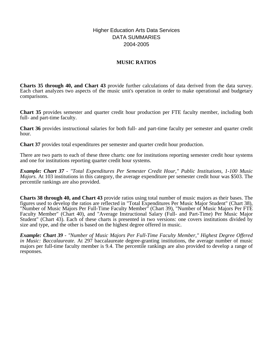# Higher Education Arts Data Services DATA SUMMARIES 2004-2005

# **MUSIC RATIOS**

**Charts 35 through 40, and Chart 43** provide further calculations of data derived from the data survey. Each chart analyzes two aspects of the music unit's operation in order to make operational and budgetary comparisons.

**Chart 35** provides semester and quarter credit hour production per FTE faculty member, including both full- and part-time faculty.

**Chart 36** provides instructional salaries for both full- and part-time faculty per semester and quarter credit hour.

**Chart 37** provides total expenditures per semester and quarter credit hour production.

There are two parts to each of these three charts: one for institutions reporting semester credit hour systems and one for institutions reporting quarter credit hour systems.

*Example: Chart 37 - "Total Expenditures Per Semester Credit Hour," Public Institutions, 1-100 Music Majors.* At 103 institutions in this category, the average expenditure per semester credit hour was \$503. The percentile rankings are also provided.

**Charts 38 through 40, and Chart 43** provide ratios using total number of music majors as their bases. The figures used to develop the ratios are reflected in "Total Expenditures Per Music Major Student" (Chart 38), "Number of Music Majors Per Full-Time Faculty Member" (Chart 39), "Number of Music Majors Per FTE Faculty Member" (Chart 40), and "Average Instructional Salary (Full- and Part-Time) Per Music Major Student" (Chart 43). Each of these charts is presented in two versions: one covers institutions divided by size and type, and the other is based on the highest degree offered in music.

*Example: Chart 39 - "Number of Music Majors Per Full-Time Faculty Member," Highest Degree Offered in Music: Baccalaureate.* At 297 baccalaureate degree-granting institutions, the average number of music majors per full-time faculty member is 9.4. The percentile rankings are also provided to develop a range of responses.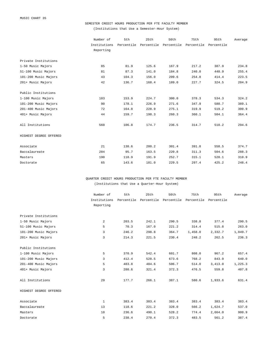#### SEMESTER CREDIT HOURS PRODUCTION PER FTE FACULTY MEMBER

(Institutions that Use a Semester-Hour System)

|                        | Number of    | 5th        | 25th       | 50th       | 75th       | 95th       | Average |
|------------------------|--------------|------------|------------|------------|------------|------------|---------|
|                        | Institutions | Percentile | Percentile | Percentile | Percentile | Percentile |         |
|                        | Reporting    |            |            |            |            |            |         |
| Private Institutions   |              |            |            |            |            |            |         |
| 1-50 Music Majors      | 85           | 81.9       | 125.6      | 167.9      | 217.2      | 387.9      | 234.8   |
| 51-100 Music Majors    | 81           | 87.3       | 141.0      | 184.8      | 240.0      | 448.9      | 255.4   |
| 101-200 Music Majors   | 43           | 104.3      | 156.0      | 209.6      | 254.8      | 414.4      | 223.5   |
| 201+ Music Majors      | 42           | 136.7      | 168.4      | 189.0      | 227.7      | 324.5      | 204.9   |
| Public Institutions    |              |            |            |            |            |            |         |
| 1-100 Music Majors     | 103          | 153.9      | 224.7      | 300.0      | 378.3      | 534.3      | 324.2   |
| 101-200 Music Majors   | 90           | 178.1      | 226.9      | 271.6      | 347.9      | 580.7      | 389.1   |
| 201-400 Music Majors   | 72           | 164.8      | 228.9      | 275.1      | 319.9      | 519.2      | 300.9   |
| 401+ Music Majors      | 44           | 159.7      | 198.3      | 260.3      | 360.1      | 504.1      | 364.4   |
| All Institutions       | 560          | 106.8      | 174.7      | 236.5      | 314.7      | 510.2      | 294.6   |
| HIGHEST DEGREE OFFERED |              |            |            |            |            |            |         |
| Associate              | 21           | 138.6      | 200.2      | 301.4      | 391.8      | 558.5      | 374.7   |
| Baccalaureate          | 284          | 95.7       | 163.5      | 220.8      | 311.3      | 504.6      | 288.3   |
| Masters                | 190          | 118.9      | 191.9      | 252.7      | 315.1      | 528.1      | 310.9   |
| Doctorate              | 65           | 143.6      | 181.0      | 229.5      | 297.4      | 425.2      | 248.4   |

QUARTER CREDIT HOURS PRODUCTION PER FTE FACULTY MEMBER (Institutions that Use a Quarter-Hour System)

|                        | Number of    | 5th        | 25th       | 50th       | 75th       | 95th       | Average |
|------------------------|--------------|------------|------------|------------|------------|------------|---------|
|                        | Institutions | Percentile | Percentile | Percentile | Percentile | Percentile |         |
|                        | Reporting    |            |            |            |            |            |         |
| Private Institutions   |              |            |            |            |            |            |         |
|                        |              |            |            |            |            |            |         |
| 1-50 Music Majors      | 2            | 203.5      | 242.1      | 290.5      | 338.8      | 377.4      | 290.5   |
| 51-100 Music Majors    | 5            | 70.3       | 167.0      | 221.2      | 314.4      | 515.8      | 263.0   |
| 101-200 Music Majors   | 3            | 246.2      | 298.8      | 364.7      | 1,458.0    | 2,332.7    | 1,049.7 |
| 201+ Music Majors      | 3            | 214.3      | 221.5      | 230.4      | 248.2      | 262.5      | 236.3   |
| Public Institutions    |              |            |            |            |            |            |         |
| 1-100 Music Majors     | 5            | 370.9      | 542.4      | 601.7      | 808.0      | 967.2      | 657.4   |
| 101-200 Music Majors   | 3            | 412.4      | 528.5      | 673.6      | 768.2      | 843.9      | 640.0   |
| 201-400 Music Majors   | 5            | 483.8      | 484.6      | 506.7      | 514.0      | 3,413.0    | 1,225.3 |
| 401+ Music Majors      | 3            | 280.6      | 321.4      | 372.3      | 476.5      | 559.8      | 407.8   |
| All Institutions       | 29           | 177.7      | 266.1      | 387.1      | 580.6      | 1,933.6    | 631.4   |
| HIGHEST DEGREE OFFERED |              |            |            |            |            |            |         |
| Associate              | $\mathbf{1}$ | 383.4      | 383.4      | 383.4      | 383.4      | 383.4      | 383.4   |
| Baccalaureate          | 13           | 118.6      | 221.2      | 328.0      | 566.2      | 1,624.7    | 537.0   |
| Masters                | 10           | 236.6      | 490.1      | 528.2      | 774.4      | 2,664.0    | 900.9   |
| Doctorate              | 5            | 238.4      | 270.4      | 372.3      | 483.5      | 561.2      | 387.4   |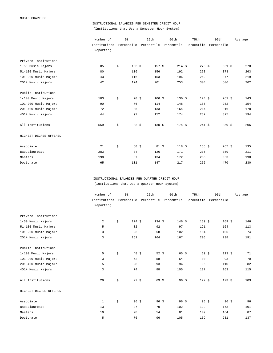# INSTRUCTIONAL SALARIES PER SEMESTER CREDIT HOUR (Institutions that Use a Semester-Hour System)

|                        | Number of    | 5th                    | 25th              | 50th                                                   | 75th     | 95th     | Average |
|------------------------|--------------|------------------------|-------------------|--------------------------------------------------------|----------|----------|---------|
|                        | Institutions |                        |                   | Percentile Percentile Percentile Percentile Percentile |          |          |         |
|                        | Reporting    |                        |                   |                                                        |          |          |         |
| Private Institutions   |              |                        |                   |                                                        |          |          |         |
| 1-50 Music Majors      | 85           | \$<br>$103$ \$         | 157S              | $214$ \$                                               | $275$ \$ | 561 $$$  | 278     |
| 51-100 Music Majors    | 80           | 116                    | 156               | 192                                                    | 278      | 373      | 263     |
| 101-200 Music Majors   | 43           | 116                    | 153               | 196                                                    | 262      | 377      | 219     |
| 201+ Music Majors      | 42           | 124                    | 201               | 253                                                    | 304      | 506      | 262     |
| Public Institutions    |              |                        |                   |                                                        |          |          |         |
| 1-100 Music Majors     | 103          | \$<br>70 \$            | $106$ \$          | 130S                                                   | 174S     | 261S     | 143     |
| 101-200 Music Majors   | 90           | 76                     | 114               | 148                                                    | 185      | 252      | 154     |
| 201-400 Music Majors   | 72           | 85                     | 133               | 164                                                    | 214      | 316      | 178     |
| 401+ Music Majors      | 44           | 97                     | 152               | 174                                                    | 232      | 325      | 194     |
| All Institutions       | 559          | \$<br>$83 \;$ \$       | $130 \text{ }$ \$ | 174S                                                   | 241S     | 359 \$   | 206     |
| HIGHEST DEGREE OFFERED |              |                        |                   |                                                        |          |          |         |
| Associate              | 21           | \$<br>$60 \text{ } $5$ | $81 \;$ \$        | 118S                                                   | 155S     | $267$ \$ | 135     |
| Baccalaureate          | 283          | 84                     | 126               | 171                                                    | 236      | 359      | 211     |
| Masters                | 190          | 87                     | 134               | 172                                                    | 236      | 353      | 198     |
| Doctorate              | 65           | 101                    | 147               | 217                                                    | 266      | 470      | 230     |

INSTRUCTIONAL SALARIES PER QUARTER CREDIT HOUR (Institutions that Use a Quarter-Hour System)

|                        | Number of    | 5th                   | 25th              | 50th                                                   | 75th             | 95th            | Average |
|------------------------|--------------|-----------------------|-------------------|--------------------------------------------------------|------------------|-----------------|---------|
|                        | Institutions |                       |                   | Percentile Percentile Percentile Percentile Percentile |                  |                 |         |
|                        | Reporting    |                       |                   |                                                        |                  |                 |         |
| Private Institutions   |              |                       |                   |                                                        |                  |                 |         |
| 1-50 Music Majors      | 2            | \$<br>124S            | $134 \text{ }$ \$ | 146S                                                   | 159S             | $169$ \$        | 146     |
| 51-100 Music Majors    | 5            | 82                    | 92                | 97                                                     | 121              | 164             | 113     |
| 101-200 Music Majors   | 3            | 23                    | 58                | 102                                                    | 104              | 105             | 74      |
| 201+ Music Majors      | 3            | 161                   | 164               | 167                                                    | 206              | 238             | 191     |
| Public Institutions    |              |                       |                   |                                                        |                  |                 |         |
| 1-100 Music Majors     | 5            | \$<br>$48 \text{ } $$ | 52 $$$            | $65 \frac{1}{5}$                                       | 69S              | 113S            | 71      |
| 101-200 Music Majors   | 3            | 52                    | 58                | 64                                                     | 80               | 93              | 70      |
| 201-400 Music Majors   | 5            | 28                    | 93                | 94                                                     | 96               | 110             | 82      |
| 401+ Music Majors      | 3            | 74                    | 88                | 105                                                    | 137              | 163             | 115     |
| All Institutions       | 29           | \$<br>27S             | $69$ \$           | $96 \text{ } $5$                                       | 122S             | 173S            | 103     |
| HIGHEST DEGREE OFFERED |              |                       |                   |                                                        |                  |                 |         |
| Associate              | 1            | \$<br>$96 \text{ } $$ | $96 \frac{1}{5}$  | $96 \text{ } $$                                        | $96 \text{ } $5$ | $96 \text{ } $$ | 96      |
| Baccalaureate          | 13           | 37                    | 79                | 102                                                    | 122              | 173             | 101     |
| Masters                | 10           | 28                    | 54                | 81                                                     | 109              | 164             | 87      |
| Doctorate              | 5            | 76                    | 96                | 105                                                    | 169              | 231             | 137     |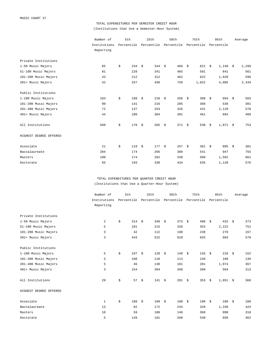# TOTAL EXPENDITURES PER SEMESTER CREDIT HOUR (Institutions that Use a Semester-Hour System)

|                        | Number of    | 5th       | 25th      | 50th                                                   | 75th       | 95th               | Average     |
|------------------------|--------------|-----------|-----------|--------------------------------------------------------|------------|--------------------|-------------|
|                        | Institutions |           |           | Percentile Percentile Percentile Percentile Percentile |            |                    |             |
|                        | Reporting    |           |           |                                                        |            |                    |             |
| Private Institutions   |              |           |           |                                                        |            |                    |             |
| 1-50 Music Majors      | 85           | \$<br>234 | - \$      | 344 $$$<br>466                                         | 621<br>\$  | $1,148$ \$<br>- \$ | 1,299       |
| 51-100 Music Majors    | 81           | 228       | 341       | 465                                                    | 591        | 841                | 561         |
| 101-200 Music Majors   | 43           | 212       | 312       | 462                                                    | 622        | 1,929              | 596         |
| 201+ Music Majors      | 42           | 257       | 458       | 759                                                    | 1,022      | 4,005              | 2,434       |
| Public Institutions    |              |           |           |                                                        |            |                    |             |
| 1-100 Music Majors     | 103          | \$<br>160 | \$<br>218 | 268<br>- \$                                            | \$<br>398  | 694<br>\$          | 503<br>- \$ |
| 101-200 Music Majors   | 90           | 141       | 216       | 285                                                    | 366        | 538                | 301         |
| 201-400 Music Majors   | 72           | 137       | 253       | 326                                                    | 431        | 2,129              | 570         |
| 401+ Music Majors      | 44           | 180       | 304       | 391                                                    | 461        | 684                | 409         |
| All Institutions       | 560          | \$<br>170 | \$        | 371S<br>$265 - $$                                      | 538        | $1,071$ \$<br>\$   | 753         |
| HIGHEST DEGREE OFFERED |              |           |           |                                                        |            |                    |             |
| Associate              | 21           | \$<br>119 | \$        | 177S<br>257                                            | \$<br>381S | 605                | 301<br>\$   |
| Baccalaureate          | 284          | 174       | 266       | 380                                                    | 541        | 947                | 755         |
| Masters                | 190          | 174       | 262       | 338                                                    | 500        | 1,562              | 861         |
| Doctorate              | 65           | 193       | 330       | 434                                                    | 635        | 1,128              | 576         |

TOTAL EXPENDITURES PER QUARTER CREDIT HOUR (Institutions that Use a Quarter-Hour System)

|                        | Number of    | 5th       | 25th                                        | 50th        | 75th      | 95th             | Average     |
|------------------------|--------------|-----------|---------------------------------------------|-------------|-----------|------------------|-------------|
|                        | Institutions |           | Percentile Percentile Percentile Percentile |             |           | Percentile       |             |
|                        | Reporting    |           |                                             |             |           |                  |             |
| Private Institutions   |              |           |                                             |             |           |                  |             |
| 1-50 Music Majors      | 2            | \$<br>314 | Ŝ.<br>340                                   | 373<br>\$   | 406<br>\$ | 432<br>\$        | 373<br>- \$ |
| 51-100 Music Majors    | 5            | 181       | 215                                         | 328         | 353       | 2,222            | 751         |
| 101-200 Music Majors   | 3            | 42        | 112                                         | 198         | 238       | 270              | 167         |
| 201+ Music Majors      | 3            | 443       | 522                                         | 620         | 655       | 683              | 578         |
| Public Institutions    |              |           |                                             |             |           |                  |             |
| 1-100 Music Majors     | 5            | \$<br>107 | \$<br>120                                   | 148<br>- \$ | 155<br>\$ | 218<br>\$        | \$<br>152   |
| 101-200 Music Majors   | 3            | 108       | 110                                         | 113         | 150       | 180              | 136         |
| 201-400 Music Majors   | 5            | 46        | 138                                         | 181         | 201       | 1,074            | 367         |
| 401+ Music Majors      | 3            | 154       | 204                                         | 268         | 399       | 504              | 313         |
| All Institutions       | 29           | \$<br>57  | \$<br>141S                                  | 201S        | 353       | $1,051$ \$<br>\$ | 368         |
| HIGHEST DEGREE OFFERED |              |           |                                             |             |           |                  |             |
| Associate              | $\mathbf{1}$ | \$<br>188 | 188<br>- \$                                 | 188<br>- \$ | 188<br>\$ | 188<br>- \$      | 188<br>\$   |
| Baccalaureate          | 13           | 82        | 172                                         | 234         | 328       | 1,339            | 424         |
| Masters                | 10           | 59        | 108                                         | 146         | 368       | 990              | 318         |
| Doctorate              | 5            | 149       | 181                                         | 268         | 530       | 658              | 362         |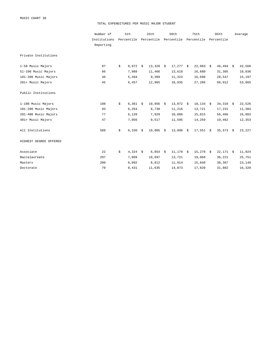MUSIC CHART 38

#### TOTAL EXPENDITURES PER MUSIC MAJOR STUDENT

|                        | Number of    | 5th              |      | 25th        |  | 50th        |  | 75th         |            | 95th        | Average |
|------------------------|--------------|------------------|------|-------------|--|-------------|--|--------------|------------|-------------|---------|
|                        | Institutions | Percentile       |      | Percentile  |  | Percentile  |  | Percentile   | Percentile |             |         |
|                        | Reporting    |                  |      |             |  |             |  |              |            |             |         |
| Private Institutions   |              |                  |      |             |  |             |  |              |            |             |         |
| 1-50 Music Majors      | 87           | \$<br>8,972      | - \$ | $13,328$ \$ |  | $17,277$ \$ |  | 22,983       | - \$       | $46,494$ \$ | 42,568  |
| 51-100 Music Majors    | 86           | 7,988            |      | 11,466      |  | 13,618      |  | 16,680       |            | 31,385      | 18,036  |
| 101-200 Music Majors   | 46           | 5,494            |      | 9,399       |  | 11,324      |  | 16,690       |            | 28,547      | 15,197  |
| 201+ Music Majors      | 45           | 6,457            |      | 12,965      |  | 18,035      |  | 27,286       |            | 66,912      | 53,865  |
| Public Institutions    |              |                  |      |             |  |             |  |              |            |             |         |
| 1-100 Music Majors     | 108          | \$<br>6,361      | - \$ | $10,956$ \$ |  | $13,072$ \$ |  | $18, 134$ \$ |            | $34,310$ \$ | 22,526  |
| 101-200 Music Majors   | 93           | 6,264            |      | 8,738       |  | 11,216      |  | 13,721       |            | 17,231      | 11,304  |
| 201-400 Music Majors   | 77           | 6,120            |      | 7,929       |  | 10,886      |  | 15,015       |            | 56,466      | 16,083  |
| 401+ Music Majors      | 47           | 7,056            |      | 9,517       |  | 11,595      |  | 14,259       |            | 19,462      | 12,353  |
| All Institutions       | 589          | \$<br>6,330      | Ŝ.   | $10,005$ \$ |  | $13,096$ \$ |  | $17,551$ \$  |            | $35,573$ \$ | 23,227  |
| HIGHEST DEGREE OFFERED |              |                  |      |             |  |             |  |              |            |             |         |
| Associate              | 22           | \$<br>$4,324$ \$ |      | $6,854$ \$  |  | $11,170$ \$ |  | 15,278       | S.         | $22,171$ \$ | 11,924  |
| Baccalaureate          | 297          | 7,009            |      | 10,697      |  | 13,721      |  | 19,068       |            | 36,221      | 25,751  |
| Masters                | 200          | 6,092            |      | 8,812       |  | 11,914      |  | 15,840       |            | 38,367      | 23,140  |
| Doctorate              | 70           | 8,431            |      | 11,635      |  | 14,073      |  | 17,820       |            | 31,882      | 16,320  |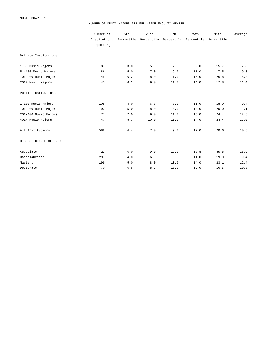#### NUMBER OF MUSIC MAJORS PER FULL-TIME FACULTY MEMBER

|                        | Number of    | 5th        | 25th                  | 50th | 75th       | 95th       | Average |
|------------------------|--------------|------------|-----------------------|------|------------|------------|---------|
|                        | Institutions | Percentile | Percentile Percentile |      | Percentile | Percentile |         |
|                        | Reporting    |            |                       |      |            |            |         |
| Private Institutions   |              |            |                       |      |            |            |         |
| 1-50 Music Majors      | 87           | 3.0        | 5.0                   | 7.0  | 9.0        | 15.7       | 7.8     |
| 51-100 Music Majors    | 86           | 5.0        | 7.0                   | 9.0  | 11.0       | 17.5       | 9.8     |
| 101-200 Music Majors   | 45           | 6.2        | 8.0                   | 11.0 | 15.0       | 26.8       | 15.8    |
| 201+ Music Majors      | 45           | $6.2$      | 9.0                   | 11.0 | 14.0       | 17.8       | 11.4    |
| Public Institutions    |              |            |                       |      |            |            |         |
| 1-100 Music Majors     | 108          | 4.0        | 6.8                   | 8.0  | 11.0       | 18.0       | 9.4     |
| 101-200 Music Majors   | 93           | 5.0        | 8.0                   | 10.0 | 13.0       | 20.0       | 11.1    |
| 201-400 Music Majors   | 77           | 7.0        | 9.0                   | 11.0 | 15.0       | 24.4       | 12.6    |
| 401+ Music Majors      | 47           | 8.3        | 10.0                  | 11.0 | 14.0       | 24.4       | 13.0    |
| All Institutions       | 588          | 4.4        | 7.0                   | 9.0  | 12.0       | 20.6       | 10.8    |
| HIGHEST DEGREE OFFERED |              |            |                       |      |            |            |         |
| Associate              | 22           | 6.0        | 9.0                   | 13.0 | 18.8       | 35.8       | 15.9    |
| Baccalaureate          | 297          | 4.0        | 6.0                   | 8.0  | 11.0       | 19.0       | 9.4     |
| Masters                | 199          | 5.0        | 8.0                   | 10.0 | 14.0       | 23.1       | 12.4    |
| Doctorate              | 70           | 6.5        | 8.2                   | 10.0 | 12.0       | 16.5       | 10.8    |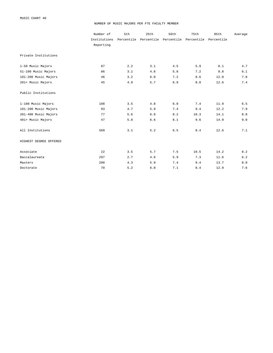#### NUMBER OF MUSIC MAJORS PER FTE FACULTY MEMBER

|                        | Number of<br>Institutions | 5th | 25th  | 50th<br>Percentile Percentile Percentile | 75th<br>Percentile Percentile | 95th | Average      |
|------------------------|---------------------------|-----|-------|------------------------------------------|-------------------------------|------|--------------|
|                        | Reporting                 |     |       |                                          |                               |      |              |
| Private Institutions   |                           |     |       |                                          |                               |      |              |
| 1-50 Music Majors      | 87                        | 2.2 | 3.1   | 4.5                                      | 5.9                           | 8.1  | 4.7          |
| 51-100 Music Majors    | 86                        | 3.1 | 4.6   | 5.8                                      | 7.2                           | 9.8  | 6.1          |
| 101-200 Music Majors   | 46                        | 3.2 | 6.0   | 7.2                                      | 8.6                           | 12.0 | $7.8\,$      |
| 201+ Music Majors      | 45                        | 4.9 | 5.7   | 6.9                                      | 8.0                           | 12.6 | 7.4          |
| Public Institutions    |                           |     |       |                                          |                               |      |              |
| 1-100 Music Majors     | 108                       | 3.5 | 4.8   | 6.0                                      | 7.4                           | 11.9 | 6.5          |
| 101-200 Music Majors   | 93                        | 4.7 | 5.9   | 7.4                                      | 9.4                           | 12.2 | 7.9          |
| 201-400 Music Majors   | 77                        | 5.6 | 6.8   | 8.2                                      | 10.3                          | 14.1 | $8.8\,$      |
| 401+ Music Majors      | 47                        | 5.8 | $6.6$ | 8.1                                      | 9.6                           | 14.9 | 9.0          |
| All Institutions       | 589                       | 3.1 | 5.2   | $6.5$                                    | 8.4                           | 12.6 | 7.1          |
| HIGHEST DEGREE OFFERED |                           |     |       |                                          |                               |      |              |
| Associate              | 22                        | 3.5 | 5.7   | 7.5                                      | 10.5                          | 14.2 | 8.2          |
| Baccalaureate          | 297                       | 2.7 | 4.6   | 5.9                                      | 7.3                           | 11.6 | $6.2\,$      |
| Masters                | 200                       | 4.3 | 5.9   | 7.4                                      | 9.4                           | 13.7 | $8\,.$ $0\,$ |
| Doctorate              | 70                        | 5.2 | 6.0   | 7.1                                      | 8.4                           | 12.9 | 7.6          |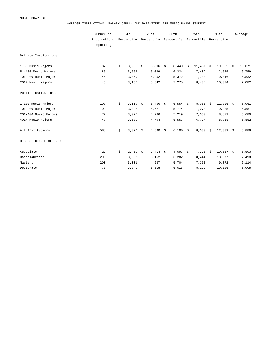AVERAGE INSTRUCTIONAL SALARY (FULL- AND PART-TIME) PER MUSIC MAJOR STUDENT

|                        | Number of    | 5th         | 25th                             | 50th                | 75th           | 95th              | Average |
|------------------------|--------------|-------------|----------------------------------|---------------------|----------------|-------------------|---------|
|                        | Institutions | Percentile  | Percentile Percentile Percentile |                     |                | Percentile        |         |
|                        | Reporting    |             |                                  |                     |                |                   |         |
| Private Institutions   |              |             |                                  |                     |                |                   |         |
| 1-50 Music Majors      | 87           | \$<br>3,965 | \$<br>5,896 \$                   | $8,440 \frac{1}{5}$ | $11,461 \t$ \$ | $19,662$ \$       | 10,071  |
| 51-100 Music Majors    | 85           | 3,556       | 5,039                            | 6,234               | 7,482          | 12,575            | 6,759   |
| 101-200 Music Majors   | 46           | 3,060       | 4,252                            | 5,372               | 7,780          | 9,016             | 5,832   |
| 201+ Music Majors      | 45           | 3,157       | 5,642                            | 7,275               | 8,434          | 10,304            | 7,082   |
| Public Institutions    |              |             |                                  |                     |                |                   |         |
| 1-100 Music Majors     | 108          | \$<br>3,119 | \$<br>5,456 $\frac{1}{5}$        | $6,554$ \$          | $8,056$ \$     | $11,836$ \$       | 6,961   |
| 101-200 Music Majors   | 93           | 3,322       | 4,671                            | 5,774               | 7,078          | 9,235             | 5,881   |
| 201-400 Music Majors   | 77           | 3,027       | 4,286                            | 5,219               | 7,050          | 8,871             | 5,680   |
| 401+ Music Majors      | 47           | 3,580       | 4,794                            | 5,557               | 6,724          | 8,768             | 5,852   |
| All Institutions       | 588          | \$<br>3,320 | \$<br>$4,890$ \$                 | $6,100$ \$          | 8,030          | \$<br>$12,339$ \$ | 6,886   |
| HIGHEST DEGREE OFFERED |              |             |                                  |                     |                |                   |         |
| Associate              | 22           | \$<br>2,450 | \$<br>$3,414$ \$                 | $4,697$ \$          | $7,275$ \$     | $10,567$ \$       | 5,593   |
| Baccalaureate          | 296          | 3,388       | 5,152                            | 6,282               | 8,444          | 13,677            | 7,498   |
| Masters                | 200          | 3,331       | 4,637                            | 5,704               | 7,350          | 9,872             | 6,114   |
| Doctorate              | 70           | 3,840       | 5,518                            | 6,616               | 8,127          | 10,186            | 6,908   |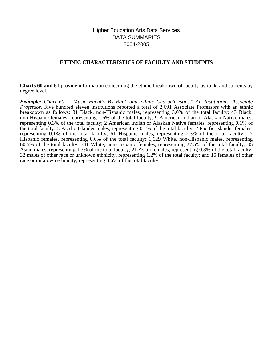# Higher Education Arts Data Services DATA SUMMARIES 2004-2005

# **ETHNIC CHARACTERISTICS OF FACULTY AND STUDENTS**

**Charts 60 and 61** provide information concerning the ethnic breakdown of faculty by rank, and students by degree level.

*Example: Chart 60 - "Music Faculty By Rank and Ethnic Characteristics," All Institutions, Associate Professor.* Five hundred eleven institutions reported a total of 2,691 Associate Professors with an ethnic breakdown as follows: 81 Black, non-Hispanic males, representing 3.0% of the total faculty; 43 Black, non-Hispanic females, representing 1.6% of the total faculty; 9 American Indian or Alaskan Native males, representing 0.3% of the total faculty; 2 American Indian or Alaskan Native females, representing 0.1% of the total faculty; 3 Pacific Islander males, representing 0.1% of the total faculty; 2 Pacific Islander females, representing 0.1% of the total faculty; 61 Hispanic males, representing 2.3% of the total faculty; 17 Hispanic females, representing 0.6% of the total faculty; 1,629 White, non-Hispanic males, representing 60.5% of the total faculty; 741 White, non-Hispanic females, representing 27.5% of the total faculty; 35 Asian males, representing 1.3% of the total faculty; 21 Asian females, representing 0.8% of the total faculty; 32 males of other race or unknown ethnicity, representing 1.2% of the total faculty; and 15 females of other race or unknown ethnicity, representing 0.6% of the total faculty.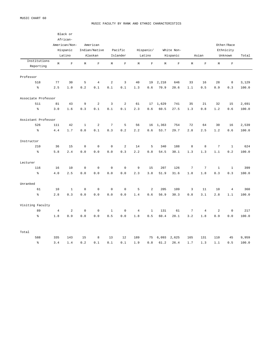#### MUSIC FACULTY BY RANK AND ETHNIC CHARACTERISTICS

|                           |                | Black or<br>African-<br>American/Non-<br>Hispanic<br>Latino | American<br>Indian/Native<br>Pacific<br>Alaskan<br>Islander |                |                | Hispanic/<br>White Non-<br>Latino<br>Hispanic |                |                |             |             | Asian          | Other/Race<br>Ethnicity<br>Unknown |                | Total          |       |
|---------------------------|----------------|-------------------------------------------------------------|-------------------------------------------------------------|----------------|----------------|-----------------------------------------------|----------------|----------------|-------------|-------------|----------------|------------------------------------|----------------|----------------|-------|
| Institutions<br>Reporting | $\mathbb M$    | $\mathbf F$                                                 | $\mathbb M$                                                 | $\mathbf F$    | M              | $\mathbf F$                                   | $\mathbb M$    | $\mathbf F$    | $\mathbb M$ | $\mathbf F$ | $\mathbb M$    | $\mathbf{F}$                       | $\mathbb M$    | $\mathbf F$    |       |
| Professor                 |                |                                                             |                                                             |                |                |                                               |                |                |             |             |                |                                    |                |                |       |
| 518                       | 77             | 30                                                          | 5                                                           | $\overline{4}$ | $\overline{a}$ | 3                                             | 40             | 19             | 2,218       | 646         | 33             | 16                                 | 28             | 8              | 3,129 |
| $\frac{9}{6}$             | 2.5            | 1.0                                                         | 0.2                                                         | 0.1            | 0.1            | 0.1                                           | 1.3            | 0.6            | 70.9        | 20.6        | 1.1            | 0.5                                | 0.9            | $0.3$          | 100.0 |
| Associate Professor       |                |                                                             |                                                             |                |                |                                               |                |                |             |             |                |                                    |                |                |       |
| 511                       | 81             | 43                                                          | $\overline{9}$                                              | $\sqrt{2}$     | $\overline{3}$ | $\overline{a}$                                | 61             | 17             | 1,629       | 741         | 35             | 21                                 | 32             | 15             | 2,691 |
| $\rm _{e}^{\circ}$        | 3.0            | $1.6\,$                                                     | 0.3                                                         | $0\,.\,1$      | $0.1$          | 0.1                                           | 2.3            | 0.6            | 60.5        | 27.5        | $1.3\,$        | 0.8                                | 1.2            | 0.6            | 100.0 |
| Assistant Professor       |                |                                                             |                                                             |                |                |                                               |                |                |             |             |                |                                    |                |                |       |
| 526                       | 111            | 42                                                          | $1\,$                                                       | $\sqrt{2}$     | $\sqrt{ }$     | 5                                             | 56             | 16             | 1,363       | 754         | 72             | 64                                 | 30             | 16             | 2,539 |
| $\hat{\mathcal{S}}$       | 4.4            | 1.7                                                         | 0.0                                                         | 0.1            | 0.3            | 0.2                                           | 2.2            | 0.6            | 53.7        | 29.7        | 2.8            | 2.5                                | 1.2            | 0.6            | 100.0 |
| Instructor                |                |                                                             |                                                             |                |                |                                               |                |                |             |             |                |                                    |                |                |       |
| 210                       | 36             | 15                                                          | $\mathbf 0$                                                 | $\mathbf 0$    | $\mathbf 0$    | $\overline{2}$                                | 14             | 5              | 340         | 188         | 8              | 8                                  | $\overline{7}$ | $1\,$          | 624   |
| $\rm _{o}^{\rm o}$        | 5.8            | 2.4                                                         | $0.0$                                                       | $0.0$          | 0.0            | 0.3                                           | 2.2            | 0.8            | 54.5        | 30.1        | 1.3            | 1.3                                | 1.1            | 0.2            | 100.0 |
| Lecturer                  |                |                                                             |                                                             |                |                |                                               |                |                |             |             |                |                                    |                |                |       |
| 116                       | 16             | 10                                                          | $\mathbb O$                                                 | $\mathbf 0$    | $\mathbb O$    | $\mathbf 0$                                   | 9              | 15             | 207         | 126         | $\overline{7}$ | $\boldsymbol{7}$                   | $\mathbf 1$    | $\mathbf 1$    | 399   |
| $\epsilon$                | 4.0            | 2.5                                                         | $0.0$                                                       | 0.0            | 0.0            | 0.0                                           | 2.3            | 3.8            | 51.9        | 31.6        | $1\,.8$        | 1.8                                | 0.3            | 0.3            | 100.0 |
| Unranked                  |                |                                                             |                                                             |                |                |                                               |                |                |             |             |                |                                    |                |                |       |
| 61                        | 10             | $1\,$                                                       | $\mathbb O$                                                 | $\mathbf 0$    | $\mathsf 0$    | $\mathbf 0$                                   | 5              | $\overline{2}$ | 205         | 109         | $\overline{3}$ | 11                                 | 10             | $\overline{4}$ | 360   |
| နွ                        | 2.8            | 0.3                                                         | 0.0                                                         | 0.0            | 0.0            | 0.0                                           | 1.4            | 0.6            | 56.9        | 30.3        | 0.8            | 3.1                                | 2.8            | 1.1            | 100.0 |
| Visiting Faculty          |                |                                                             |                                                             |                |                |                                               |                |                |             |             |                |                                    |                |                |       |
| 89                        | $\overline{4}$ | $\overline{a}$                                              | $\mathbf 0$                                                 | $\mathbf 0$    | $\mathbf{1}$   | $\mathbf{0}$                                  | $\overline{4}$ | $\mathbf{1}$   | 131         | 61          | $\overline{7}$ | $\overline{4}$                     | 2              | $\mathbf 0$    | 217   |
| $\mathsf{S}^{\mathsf{c}}$ | 1.8            | 0.9                                                         | 0.0                                                         | $0.0$          | 0.5            | 0.0                                           | $1.8$          | 0.5            | 60.4        | 28.1        | 3.2            | 1.8                                | 0.9            | 0.0            | 100.0 |
| Total                     |                |                                                             |                                                             |                |                |                                               |                |                |             |             |                |                                    |                |                |       |
| 588                       | 335            | 143                                                         | 15                                                          | 8              | 13             | 12                                            | 189            | 75             | 6,093       | 2,625       | 165            | 131                                | 110            | 45             | 9,959 |
| နွ                        | 3.4            | 1.4                                                         | 0.2                                                         | 0.1            | 0.1            | 0.1                                           | 1.9            | 0.8            | 61.2        | 26.4        | 1.7            | 1.3                                | 1.1            | 0.5            | 100.0 |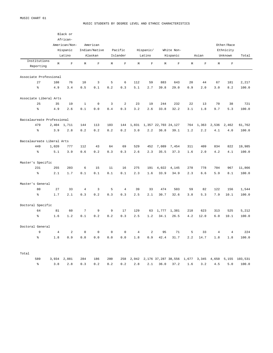MUSIC STUDENTS BY DEGREE LEVEL AND ETHNIC CHARACTERISTICS

|                            |             | Black or<br>African- |                |                |              |                |                 |             |       |                     |             |             |                |             |                                                           |
|----------------------------|-------------|----------------------|----------------|----------------|--------------|----------------|-----------------|-------------|-------|---------------------|-------------|-------------|----------------|-------------|-----------------------------------------------------------|
|                            |             | American/Non-        |                | American       |              |                |                 |             |       |                     |             |             |                | Other/Race  |                                                           |
|                            |             | Hispanic             |                | Indian/Native  |              | Pacific        |                 | Hispanic/   |       | White Non-          |             |             |                | Ethnicity   |                                                           |
|                            |             | Latino               |                | Alaskan        |              | Islander       |                 | Latino      |       | Hispanic            |             | Asian       |                | Unknown     | Total                                                     |
| Institutions               | $\mathbb M$ | $\mathbf F$          | M              | $\mathbf{F}$   | М            | $\mathbf F$    | М               | $\mathbf F$ | М     | $\mathbf F$         | $\mathbb M$ | $\mathbf F$ | М              | $\mathbf F$ |                                                           |
| Reporting                  |             |                      |                |                |              |                |                 |             |       |                     |             |             |                |             |                                                           |
| Associate Professional     |             |                      |                |                |              |                |                 |             |       |                     |             |             |                |             |                                                           |
| 27                         | 108         | 76                   | 10             | $\overline{3}$ | 5            | 6              | 112             | 59          | 883   | 643                 | 20          | 44          | 67             | 181         | 2,217                                                     |
| $\,$ $\,$ $\,$             | 4.9         | 3.4                  | 0.5            | 0.1            | 0.2          | 0.3            | 5.1             | 2.7         | 39.8  | 29.0                | 0.9         | 2.0         | 3.0            | 8.2         | 100.0                                                     |
| Associate Liberal Arts     |             |                      |                |                |              |                |                 |             |       |                     |             |             |                |             |                                                           |
| 25                         | 35          | 19                   | $\mathbf{1}$   | $\mathbf 0$    | 3            | $\overline{a}$ | 23              | 19          | 244   | 232                 | 22          | 13          | 70             | 38          | 721                                                       |
| $\epsilon$                 | 4.9         | 2.6                  | 0.1            | 0.0            | 0.4          | 0.3            | 3.2             | 2.6         | 33.8  | 32.2                | 3.1         | 1.8         | 9.7            | 5.3         | 100.0                                                     |
| Baccalaureate Professional |             |                      |                |                |              |                |                 |             |       |                     |             |             |                |             |                                                           |
| 479                        |             | 2,404 1,711          | 144            | 113            | 103          | 144            | 1,831           |             |       | 1,357 22,703 24,127 | 764         | 1,363       | 2,536          | 2,462       | 61,762                                                    |
| $\,$ $\,$ $\,$             | 3.9         | 2.8                  | 0.2            | 0.2            | 0.2          | 0.2            | 3.0             | 2.2         | 36.8  | 39.1                | 1.2         | 2.2         | 4.1            | 4.0         | 100.0                                                     |
| Baccalaureate Liberal Arts |             |                      |                |                |              |                |                 |             |       |                     |             |             |                |             |                                                           |
| 449                        | 1,020       | 777                  | 112            | 43             | 64           | 69             | 529             | 452         | 7,089 | 7,454               | 311         | 409         | 834            | 822         | 19,985                                                    |
| န့                         | 5.1         | 3.9                  | 0.6            | 0.2            | 0.3          | 0.3            | 2.6             | 2.3         | 35.5  | 37.3                | 1.6         | 2.0         | 4.2            | 4.1         | 100.0                                                     |
| Master's Specific          |             |                      |                |                |              |                |                 |             |       |                     |             |             |                |             |                                                           |
| 231                        | 255         | 203                  | 6              | 15             | 11           | 16             | 275             | 191         | 4,022 | 4,145               | 278         | 778         | 704            | 967         | 11,866                                                    |
| $\,$ $\,$ $\,$             | 2.1         | 1.7                  | 0.1            | 0.1            | 0.1          | 0.1            | 2.3             | 1.6         | 33.9  | 34.9                | 2.3         | 6.6         | 5.9            | 8.1         | 100.0                                                     |
| Master's General           |             |                      |                |                |              |                |                 |             |       |                     |             |             |                |             |                                                           |
| 80                         | 27          | 33                   | $\overline{4}$ | 3              | 5            | $\overline{4}$ | 39              | 33          | 474   | 503                 | 59          | 82          | 122            | 156         | 1,544                                                     |
| ៖                          | 1.7         | 2.1                  | 0.3            | 0.2            | 0.3          | 0.3            | 2.5             | 2.1         | 30.7  | 32.6                | 3.8         | 5.3         | 7.9            | 10.1        | 100.0                                                     |
| Doctoral Specific          |             |                      |                |                |              |                |                 |             |       |                     |             |             |                |             |                                                           |
| 64                         | 81          | 60                   | 7              | 9              | 9            | 17             | 129             | 63          | 1,777 | 1,381               | 218         | 623         | 313            | 525         | 5,212                                                     |
| နွ                         | 1.6         | 1.2                  | 0.1            | 0.2            | 0.2          | 0.3            | 2.5             | 1.2         | 34.1  | 26.5                | 4.2         | 12.0        | 6.0            | 10.1        | 100.0                                                     |
| Doctoral General           |             |                      |                |                |              |                |                 |             |       |                     |             |             |                |             |                                                           |
| 9                          | 4           | $\overline{a}$       | $\mathbf{0}$   | $\mathbf{0}$   | $\mathbf{0}$ | 0              | $4\overline{ }$ | 2           | 95    | 71                  | 5           | 33          | $\overline{4}$ | 4           | 224                                                       |
| နွ                         | 1.8         | 0.9                  | 0.0            | 0.0            | 0.0          | 0.0            | 1.8             | 0.9         | 42.4  | 31.7                | 2.2         | 14.7        | 1.8            | 1.8         | 100.0                                                     |
| Total                      |             |                      |                |                |              |                |                 |             |       |                     |             |             |                |             |                                                           |
| 589                        |             | 3,934 2,881          | 284            | 186            | 200          | 258            |                 |             |       |                     |             |             |                |             | 2,942 2,176 37,287 38,556 1,677 3,345 4,650 5,155 103,531 |
| $\frac{6}{6}$              | 3.8         | 2.8                  | 0.3            | 0.2            | 0.2          | 0.2            | 2.8             | 2.1         | 36.0  | 37.2                | 1.6         | 3.2         | 4.5            | $5.0$       | 100.0                                                     |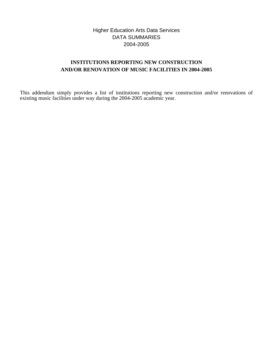# Higher Education Arts Data Services DATA SUMMARIES 2004-2005

# **INSTITUTIONS REPORTING NEW CONSTRUCTION AND/OR RENOVATION OF MUSIC FACILITIES IN 2004-2005**

This addendum simply provides a list of institutions reporting new construction and/or renovations of existing music facilities under way during the 2004-2005 academic year.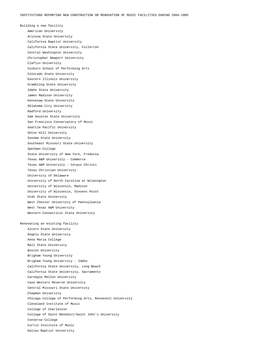Building a new facility American University Arizona State University California Baptist University California State University, Fullerton Central Washington University Christopher Newport University Claflin University Colburn School of Performing Arts Colorado State University Eastern Illinois University Grambling State University Idaho State University James Madison University Kennesaw State University Oklahoma City University Radford University Sam Houston State University San Francisco Conservatory of Music Seattle Pacific University Seton Hill University Sonoma State University Southeast Missouri State University Spelman College State University of New York, Fredonia Texas A&M University - Commerce Texas A&M University - Corpus Christi Texas Christian University University of Delaware University of North Carolina at Wilmington University of Wisconsin, Madison University of Wisconsin, Stevens Point Utah State University West Chester University of Pennsylvania West Texas A&M University Western Connecticut State University Renovating an existing facility Alcorn State University Angelo State University Anna Maria College Ball State University

 Boston University Brigham Young University Brigham Young University - Idaho California State University, Long Beach California State University, Sacramento Carnegie Mellon University Case Western Reserve University Central Missouri State University Chapman University Chicago College of Performing Arts, Roosevelt University Cleveland Institute of Music College of Charleston College of Saint Benedict/Saint John's University Converse College Curtis Institute of Music Dallas Baptist University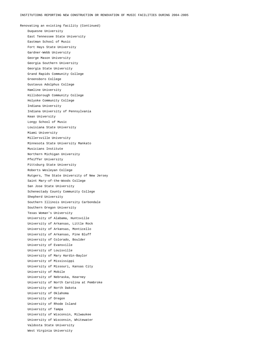Renovating an existing facility (Continued) Duquesne University East Tennessee State University Eastman School of Music Fort Hays State University Gardner-Webb University George Mason University Georgia Southern University Georgia State University Grand Rapids Community College Greensboro College Gustavus Adolphus College Hamline University Hillsborough Community College Holyoke Community College Indiana University Indiana University of Pennsylvania Kean University Longy School of Music Louisiana State University Miami University Millersville University Minnesota State University Mankato Musicians Institute Northern Michigan University Pfeiffer University Pittsburg State University Roberts Wesleyan College Rutgers, The State University of New Jersey Saint Mary-of-the-Woods College San Jose State University Schenectady County Community College Shepherd University Southern Illinois University Carbondale Southern Oregon University Texas Woman's University University of Alabama, Huntsville University of Arkansas, Little Rock University of Arkansas, Monticello University of Arkansas, Pine Bluff University of Colorado, Boulder University of Evansville University of Louisville University of Mary Hardin-Baylor University of Mississippi University of Missouri, Kansas City University of Mobile University of Nebraska, Kearney University of North Carolina at Pembroke University of North Dakota University of Oklahoma University of Oregon University of Rhode Island University of Tampa University of Wisconsin, Milwaukee University of Wisconsin, Whitewater Valdosta State University West Virginia University